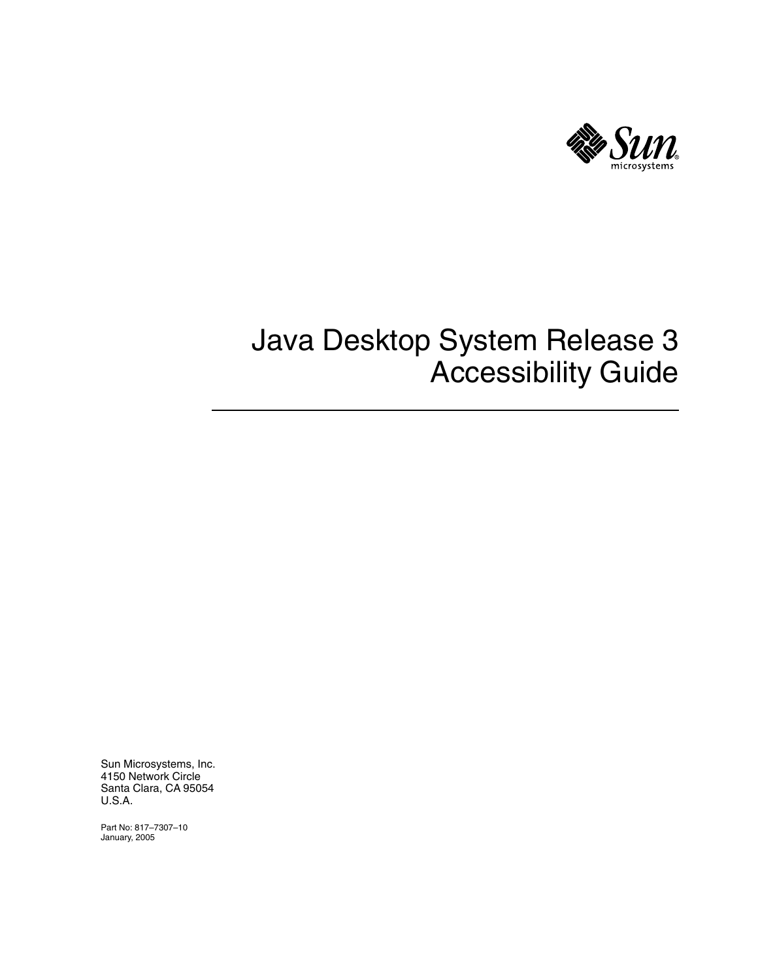

# Java Desktop System Release 3 Accessibility Guide

Sun Microsystems, Inc. 4150 Network Circle Santa Clara, CA 95054 U.S.A.

Part No: 817–7307–10 January, 2005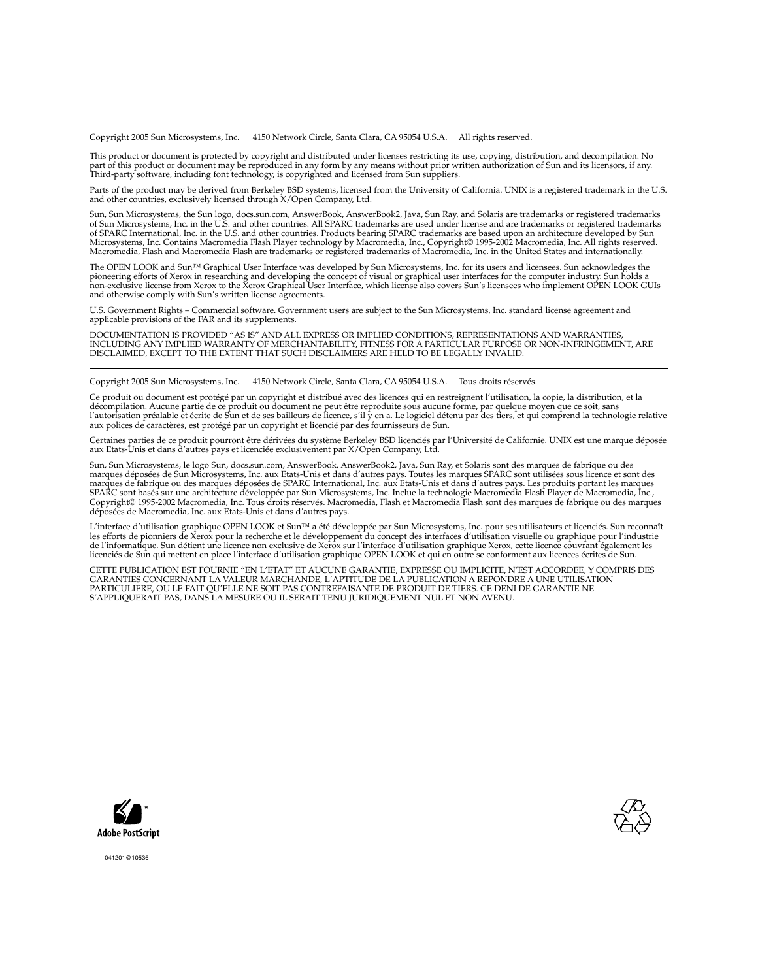Copyright 2005 Sun Microsystems, Inc. 4150 Network Circle, Santa Clara, CA 95054 U.S.A. All rights reserved.

This product or document is protected by copyright and distributed under licenses restricting its use, copying, distribution, and decompilation. No part of this product or document may be reproduced in any form by any means without prior written authorization of Sun and its licensors, if any.<br>Third-party software, including font technology, is copyrighted and licensed

Parts of the product may be derived from Berkeley BSD systems, licensed from the University of California. UNIX is a registered trademark in the U.S. and other countries, exclusively licensed through X/Open Company, Ltd.

Sun, Sun Microsystems, the Sun logo, docs.sun.com, AnswerBook, AnswerBook2, Java, Sun Ray, and Solaris are trademarks or registered trademarks<br>of Sun Microsystems, Inc. in the U.S. and other countries. All SPARC trademarks Microsystems, Inc. Contains Macromedia Flash Player technology by Macromedia, Inc., Copyright© 1995-2002 Macromedia, Inc. All rights reserved.<br>Macromedia, Flash and Macromedia Flash are trademarks or registered trademarks

The OPEN LOOK and Sun™ Graphical User Interface was developed by Sun Microsystems, Inc. for its users and licensees. Sun acknowledges the pioneering efforts of Xerox in researching and developing the concept of visual or graphical user interfaces for the computer industry. Sun holds a<br>non-exclusive license from Xerox to the Xerox Graphical User Interface, wh and otherwise comply with Sun's written license agreements.

U.S. Government Rights – Commercial software. Government users are subject to the Sun Microsystems, Inc. standard license agreement and applicable provisions of the FAR and its supplements.

DOCUMENTATION IS PROVIDED "AS IS" AND ALL EXPRESS OR IMPLIED CONDITIONS, REPRESENTATIONS AND WARRANTIES,<br>INCLUDING ANY IMPLIED WARRANTY OF MERCHANTABILITY, FITNESS FOR A PARTICULAR PURPOSE OR NON-INFRINGEMENT, ARE DISCLAIMED, EXCEPT TO THE EXTENT THAT SUCH DISCLAIMERS ARE HELD TO BE LEGALLY INVALID.

Copyright 2005 Sun Microsystems, Inc. 4150 Network Circle, Santa Clara, CA 95054 U.S.A. Tous droits réservés.

Ce produit ou document est protégé par un copyright et distribué avec des licences qui en restreignent l'utilisation, la copie, la distribution, et la décompilation. Aucune partie de ce produit ou document ne peut être reproduite sous aucune forme, par quelque moyen que ce soit, sans<br>l'autorisation préalable et écrite de Sun et de ses bailleurs de licence, s'il y en a. L aux polices de caractères, est protégé par un copyright et licencié par des fournisseurs de Sun.

Certaines parties de ce produit pourront être dérivées du système Berkeley BSD licenciés par l'Université de Californie. UNIX est une marque déposée aux Etats-Unis et dans d'autres pays et licenciée exclusivement par X/Open Company, Ltd.

Sun, Sun Microsystems, le logo Sun, docs.sun.com, AnswerBook, AnswerBook2, Java, Sun Ray, et Solaris sont des marques de fabrique ou des marques déposées de Sun Microsystems, Inc. aux Etats-Unis et dans d'autres pays. Toutes les marques SPARC sont utilisées sous licence et sont des marques de fabrique ou des marques déposées de SPARC International, Inc. aux Etats-Unis et dans d'autres pays. Les produits portant les marques SPARC sont basés sur une architecture développée par Sun Microsystems, Inc. Inclue la technologie Macromedia Flash Player de Macromedia, Inc.,<br>Copyright© 1995-2002 Macromedia, Inc. Tous droits réservés. Macromedia, Flash e déposées de Macromedia, Inc. aux Etats-Unis et dans d'autres pays.

L'interface d'utilisation graphique OPEN LOOK et Sun™a été développée par Sun Microsystems, Inc. pour ses utilisateurs et licenciés. Sun reconnaît<br>les efforts de pionniers de Xerox pour la recherche et le développement du licenciés de Sun qui mettent en place l'interface d'utilisation graphique OPEN LOOK et qui en outre se conforment aux licences écrites de Sun.

CETTE PUBLICATION EST FOURNIE "EN L'ETAT" ET AUCUNE GARANTIE, EXPRESSE OU IMPLICITE, N'EST ACCORDEE, Y COMPRIS DES GARANTIES CONCERNANT LA VALEUR MARCHANDE, L'APTITUDE DE LA PUBLICATION A REPONDRE A UNE UTILISATION PARTICULIERE, OU LE FAIT QU'ELLE NE SOIT PAS CONTREFAISANTE DE PRODUIT DE TIERS. CE DENI DE GARANTIE NE S'APPLIQUERAIT PAS, DANS LA MESURE OU IL SERAIT TENU JURIDIQUEMENT NUL ET NON AVENU.





041201@10536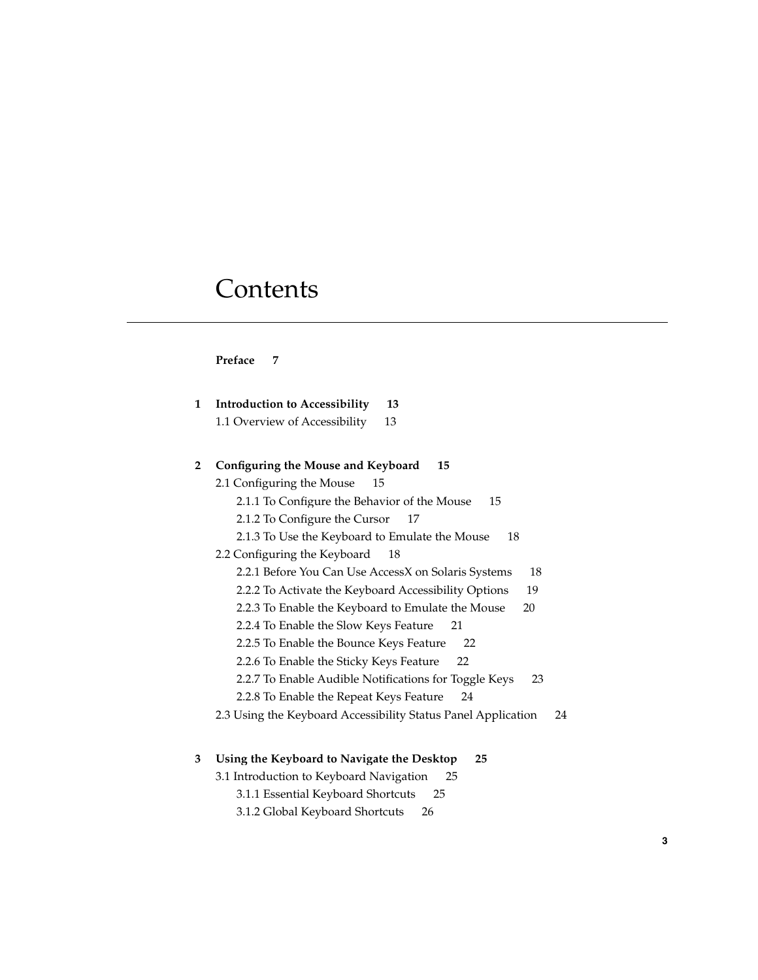## **Contents**

#### **[Preface 7](#page-6-0)**

| 1              | <b>Introduction to Accessibility</b><br>13                          |
|----------------|---------------------------------------------------------------------|
|                | 1.1 Overview of Accessibility<br>13                                 |
|                |                                                                     |
| $\overline{2}$ | Configuring the Mouse and Keyboard<br>15                            |
|                | 2.1 Configuring the Mouse<br>15                                     |
|                | 2.1.1 To Configure the Behavior of the Mouse<br>15                  |
|                | 2.1.2 To Configure the Cursor<br>17                                 |
|                | 2.1.3 To Use the Keyboard to Emulate the Mouse<br>18                |
|                | 2.2 Configuring the Keyboard<br>18                                  |
|                | 18<br>2.2.1 Before You Can Use AccessX on Solaris Systems           |
|                | 19<br>2.2.2 To Activate the Keyboard Accessibility Options          |
|                | 2.2.3 To Enable the Keyboard to Emulate the Mouse<br>20             |
|                | 2.2.4 To Enable the Slow Keys Feature<br>21                         |
|                | 2.2.5 To Enable the Bounce Keys Feature<br>22                       |
|                | 2.2.6 To Enable the Sticky Keys Feature<br>22                       |
|                | 2.2.7 To Enable Audible Notifications for Toggle Keys<br>23         |
|                | 2.2.8 To Enable the Repeat Keys Feature<br>24                       |
|                | 2.3 Using the Keyboard Accessibility Status Panel Application<br>24 |
|                |                                                                     |
| 3              | Using the Keyboard to Navigate the Desktop<br>25                    |
|                | 3.1 Introduction to Keyboard Navigation<br>25                       |
|                |                                                                     |

[3.1.1 Essential Keyboard Shortcuts 25](#page-24-0)

[3.1.2 Global Keyboard Shortcuts 26](#page-25-0)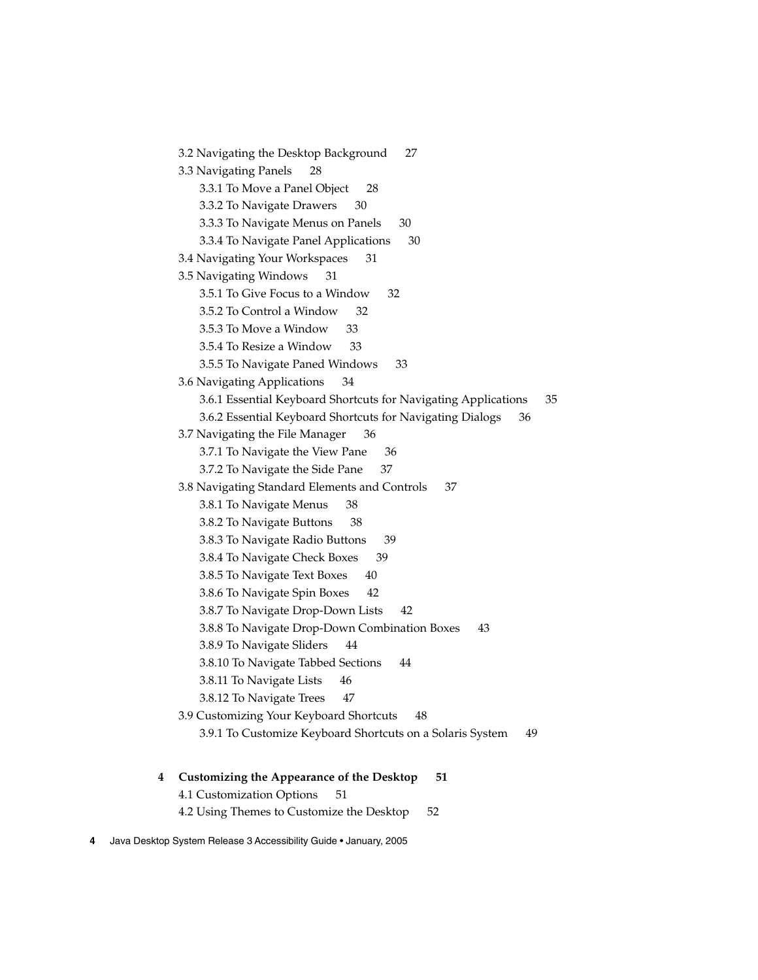[3.2 Navigating the Desktop Background 27](#page-26-0) [3.3 Navigating Panels 28](#page-27-0) [3.3.1 To Move a Panel Object 28](#page-27-0) [3.3.2 To Navigate Drawers 30](#page-29-0) [3.3.3 To Navigate Menus on Panels 30](#page-29-0) [3.3.4 To Navigate Panel Applications 30](#page-29-0) [3.4 Navigating Your Workspaces 31](#page-30-0) [3.5 Navigating Windows 31](#page-30-0) [3.5.1 To Give Focus to a Window 32](#page-31-0) [3.5.2 To Control a Window 32](#page-31-0) [3.5.3 To Move a Window 33](#page-32-0) [3.5.4 To Resize a Window 33](#page-32-0) [3.5.5 To Navigate Paned Windows 33](#page-32-0) [3.6 Navigating Applications 34](#page-33-0) [3.6.1 Essential Keyboard Shortcuts for Navigating Applications 35](#page-34-0) [3.6.2 Essential Keyboard Shortcuts for Navigating Dialogs 36](#page-35-0) [3.7 Navigating the File Manager 36](#page-35-0) [3.7.1 To Navigate the View Pane 36](#page-35-0) [3.7.2 To Navigate the Side Pane 37](#page-36-0) [3.8 Navigating Standard Elements and Controls 37](#page-36-0) [3.8.1 To Navigate Menus 38](#page-37-0) [3.8.2 To Navigate Buttons 38](#page-37-0) [3.8.3 To Navigate Radio Buttons 39](#page-38-0) [3.8.4 To Navigate Check Boxes 39](#page-38-0) [3.8.5 To Navigate Text Boxes 40](#page-39-0) [3.8.6 To Navigate Spin Boxes 42](#page-41-0) [3.8.7 To Navigate Drop-Down Lists 42](#page-41-0) [3.8.8 To Navigate Drop-Down Combination Boxes 43](#page-42-0) [3.8.9 To Navigate Sliders 44](#page-43-0) [3.8.10 To Navigate Tabbed Sections 44](#page-43-0) [3.8.11 To Navigate Lists 46](#page-45-0) [3.8.12 To Navigate Trees 47](#page-46-0) [3.9 Customizing Your Keyboard Shortcuts 48](#page-47-0) [3.9.1 To Customize Keyboard Shortcuts on a Solaris System 49](#page-48-0) **[4 Customizing the Appearance of the Desktop 51](#page-50-0)**

[4.1 Customization Options 51](#page-50-0) [4.2 Using Themes to Customize the Desktop 52](#page-51-0)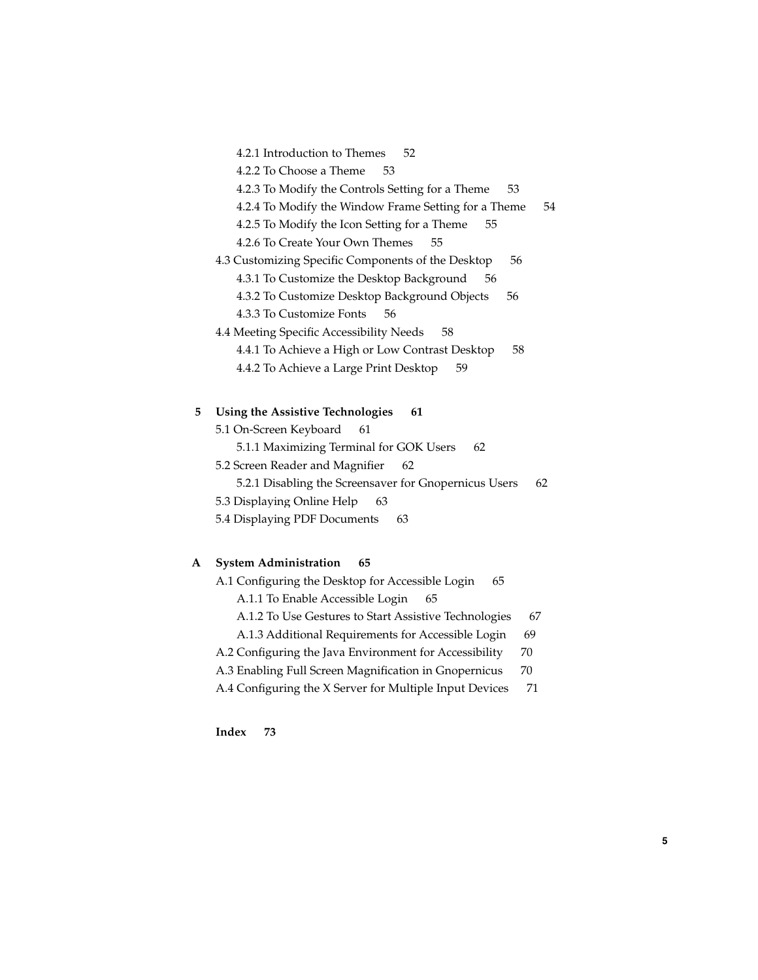[4.2.1 Introduction to Themes 52](#page-51-0) [4.2.2 To Choose a Theme 53](#page-52-0) [4.2.3 To Modify the Controls Setting for a Theme 53](#page-52-0) [4.2.4 To Modify the Window Frame Setting for a Theme 54](#page-53-0) [4.2.5 To Modify the Icon Setting for a Theme 55](#page-54-0) [4.2.6 To Create Your Own Themes 55](#page-54-0) [4.3 Customizing Specific Components of the Desktop 56](#page-55-0) [4.3.1 To Customize the Desktop Background 56](#page-55-0) [4.3.2 To Customize Desktop Background Objects 56](#page-55-0) [4.3.3 To Customize Fonts 56](#page-55-0) [4.4 Meeting Specific Accessibility Needs 58](#page-57-0) [4.4.1 To Achieve a High or Low Contrast Desktop 58](#page-57-0) [4.4.2 To Achieve a Large Print Desktop 59](#page-58-0)

#### **[5 Using the Assistive Technologies 61](#page-60-0)**

[5.1 On-Screen Keyboard 61](#page-60-0)

[5.1.1 Maximizing Terminal for GOK Users 62](#page-61-0)

[5.2 Screen Reader and Magnifier 62](#page-61-0)

[5.2.1 Disabling the Screensaver for Gnopernicus Users 62](#page-61-0)

- [5.3 Displaying Online Help 63](#page-62-0)
- [5.4 Displaying PDF Documents 63](#page-62-0)

#### **[A System Administration 65](#page-64-0)**

[A.1 Configuring the Desktop for Accessible Login 65](#page-64-0) [A.1.1 To Enable Accessible Login 65](#page-64-0) [A.1.2 To Use Gestures to Start Assistive Technologies 67](#page-66-0) [A.1.3 Additional Requirements for Accessible Login 69](#page-68-0) [A.2 Configuring the Java Environment for Accessibility 70](#page-69-0) [A.3 Enabling Full Screen Magnification in Gnopernicus 70](#page-69-0)

[A.4 Configuring the X Server for Multiple Input Devices 71](#page-70-0)

**[Index 73](#page-72-0)**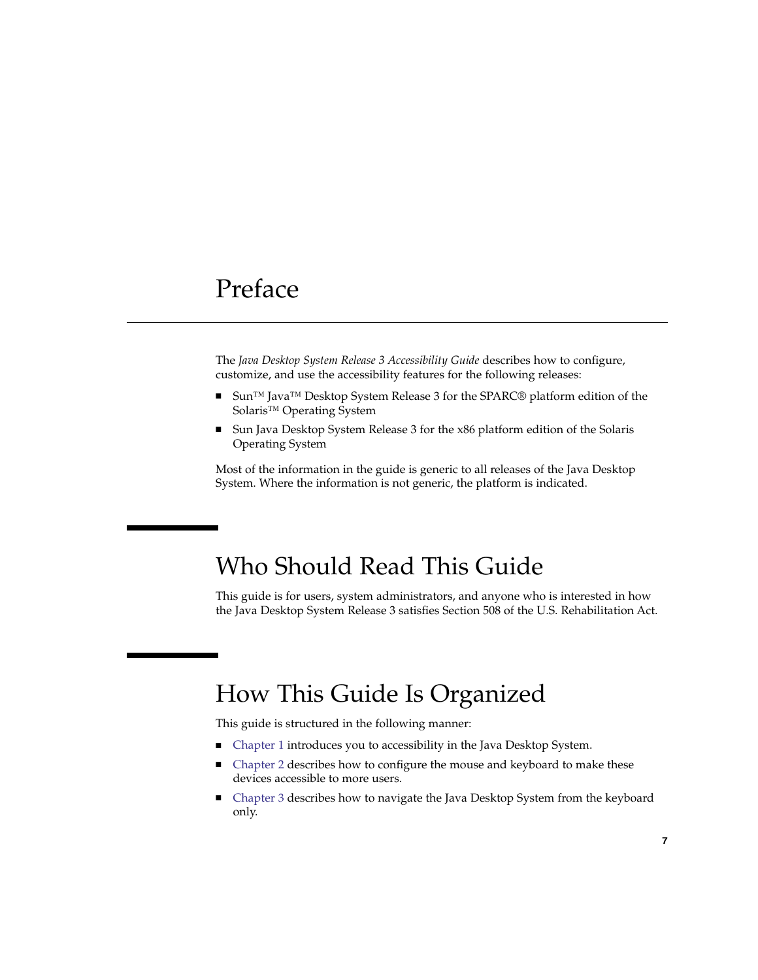## <span id="page-6-0"></span>Preface

The *Java Desktop System Release 3 Accessibility Guide* describes how to configure, customize, and use the accessibility features for the following releases:

- Sun™ Java™ Desktop System Release 3 for the SPARC® platform edition of the Solaris™ Operating System
- Sun Java Desktop System Release 3 for the x86 platform edition of the Solaris Operating System

Most of the information in the guide is generic to all releases of the Java Desktop System. Where the information is not generic, the platform is indicated.

## Who Should Read This Guide

This guide is for users, system administrators, and anyone who is interested in how the Java Desktop System Release 3 satisfies Section 508 of the U.S. Rehabilitation Act.

### How This Guide Is Organized

This guide is structured in the following manner:

- [Chapter 1](#page-12-0) introduces you to accessibility in the Java Desktop System.
- [Chapter 2](#page-14-0) describes how to configure the mouse and keyboard to make these devices accessible to more users.
- [Chapter 3](#page-24-0) describes how to navigate the Java Desktop System from the keyboard only.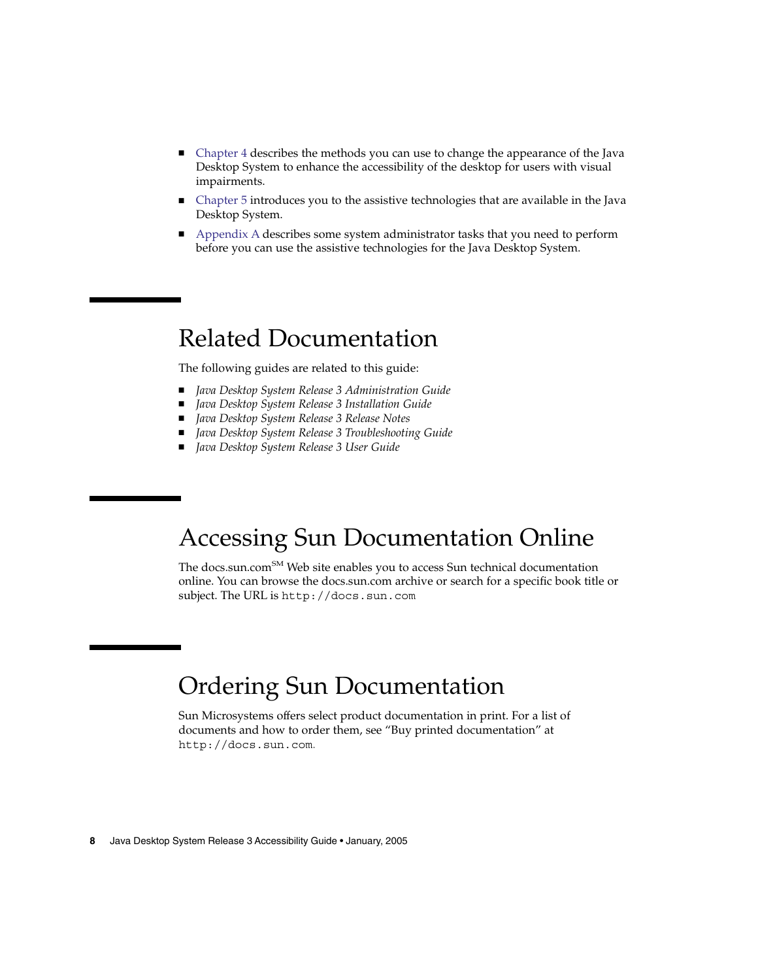- [Chapter 4](#page-50-0) describes the methods you can use to change the appearance of the Java Desktop System to enhance the accessibility of the desktop for users with visual impairments.
- [Chapter 5](#page-60-0) introduces you to the assistive technologies that are available in the Java Desktop System.
- [Appendix A](#page-64-0) describes some system administrator tasks that you need to perform before you can use the assistive technologies for the Java Desktop System.

### Related Documentation

The following guides are related to this guide:

- *Java Desktop System Release 3 Administration Guide*
- *Java Desktop System Release 3 Installation Guide*
- *Java Desktop System Release 3 Release Notes*
- *Java Desktop System Release 3 Troubleshooting Guide*
- *Java Desktop System Release 3 User Guide*

## Accessing Sun Documentation Online

The docs.sun.com<sup>SM</sup> Web site enables you to access Sun technical documentation online. You can browse the docs.sun.com archive or search for a specific book title or subject. The URL is <http://docs.sun.com>.

## Ordering Sun Documentation

Sun Microsystems offers select product documentation in print. For a list of documents and how to order them, see "Buy printed documentation" at <http://docs.sun.com>.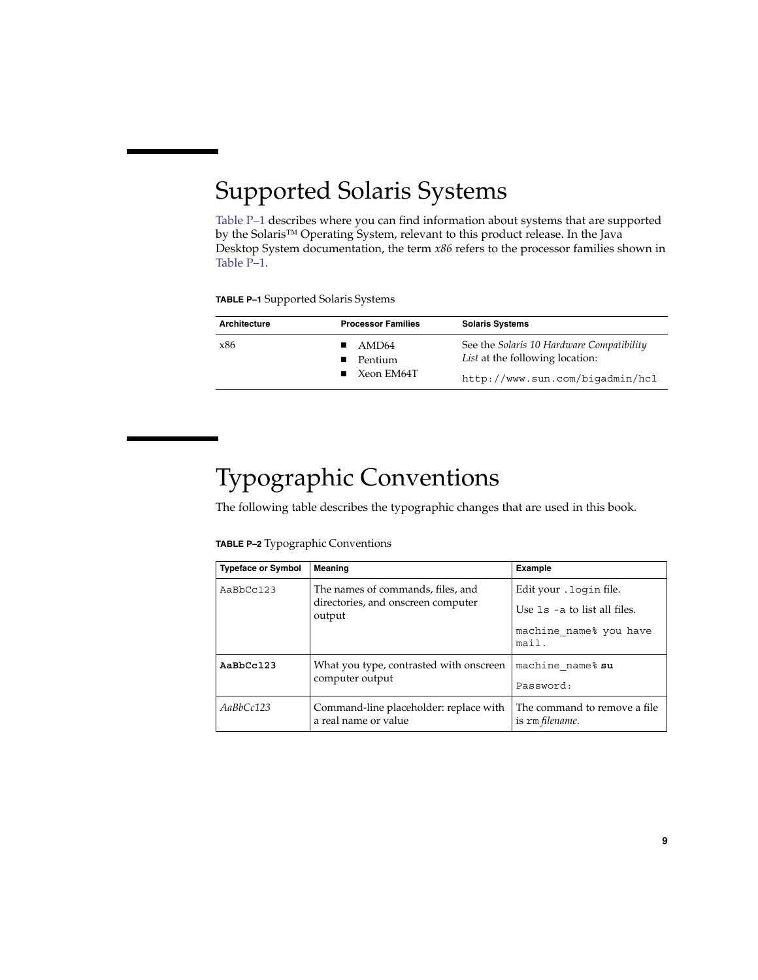## Supported Solaris Systems

Table P–1 describes where you can find information about systems that are supported by the Solaris™ Operating System, relevant to this product release. In the Java Desktop System documentation, the term *x86* refers to the processor families shown in Table P–1.

**TABLE P–1** Supported Solaris Systems

| <b>Architecture</b> | <b>Processor Families</b>                                                   | <b>Solaris Systems</b>                                                                                          |
|---------------------|-----------------------------------------------------------------------------|-----------------------------------------------------------------------------------------------------------------|
| x86                 | $\blacksquare$ AMD64<br>$\blacksquare$ Pentium<br>$\blacksquare$ Xeon EM64T | See the Solaris 10 Hardware Compatibility<br>List at the following location:<br>http://www.sun.com/bigadmin/hcl |

## Typographic Conventions

The following table describes the typographic changes that are used in this book.

| TABLE P-2 Typographic Conventions |  |
|-----------------------------------|--|
|-----------------------------------|--|

| <b>Typeface or Symbol</b> | Meaning                                                        | Example                                         |
|---------------------------|----------------------------------------------------------------|-------------------------------------------------|
| AaBbCc123                 | The names of commands, files, and                              | Edit your . login file.                         |
|                           | directories, and onscreen computer<br>output                   | Use $1s$ -a to list all files.                  |
|                           |                                                                | machine_name% you have<br>mail.                 |
| AaBbCc123                 | What you type, contrasted with onscreen                        | machine name% su                                |
|                           | computer output                                                | Password:                                       |
| AaBbCc123                 | Command-line placeholder: replace with<br>a real name or value | The command to remove a file<br>is rm filename. |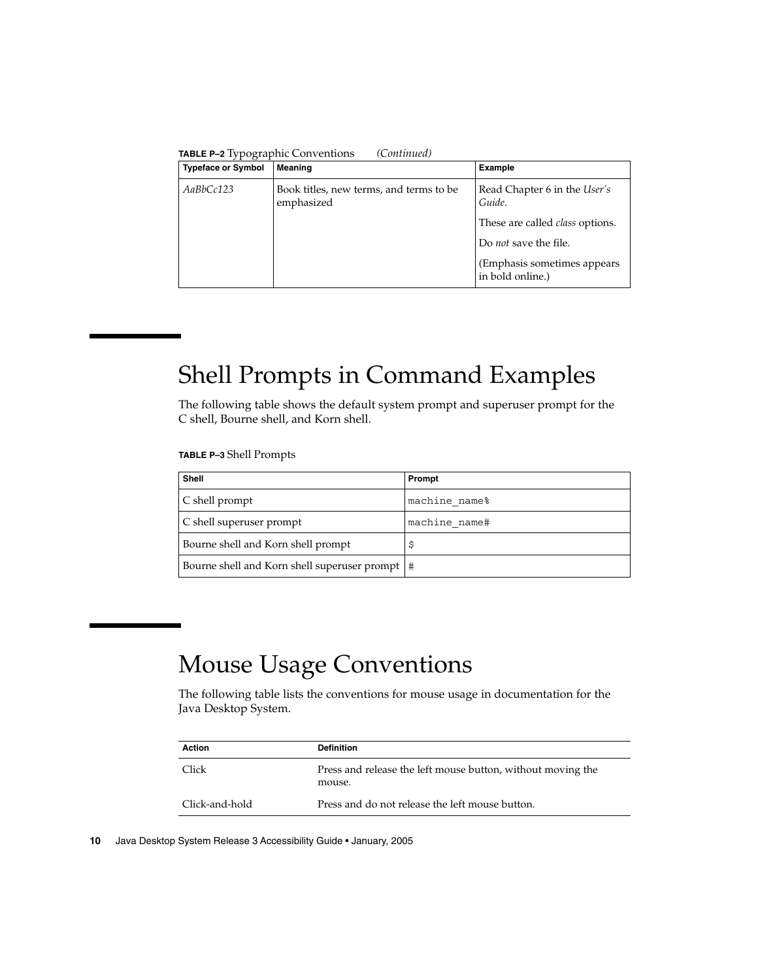| <b>Typeface or Symbol</b> | Meaning                                               | <b>Example</b>                                   |
|---------------------------|-------------------------------------------------------|--------------------------------------------------|
| AaBbCc123                 | Book titles, new terms, and terms to be<br>emphasized | Read Chapter 6 in the <i>User's</i><br>Guide.    |
|                           |                                                       | These are called <i>class</i> options.           |
|                           |                                                       | Do <i>not</i> save the file.                     |
|                           |                                                       | (Emphasis sometimes appears)<br>in bold online.) |

#### **TABLE P–2** Typographic Conventions *(Continued)*

## Shell Prompts in Command Examples

The following table shows the default system prompt and superuser prompt for the C shell, Bourne shell, and Korn shell.

#### **TABLE P–3** Shell Prompts

| Shell                                            | Prompt        |
|--------------------------------------------------|---------------|
| $\mid$ C shell prompt                            | machine name% |
| C shell superuser prompt                         | machine name# |
| Bourne shell and Korn shell prompt               | \$            |
| Bourne shell and Korn shell superuser prompt   # |               |

## Mouse Usage Conventions

The following table lists the conventions for mouse usage in documentation for the Java Desktop System.

| <b>Action</b>  | <b>Definition</b>                                                     |
|----------------|-----------------------------------------------------------------------|
| Click          | Press and release the left mouse button, without moving the<br>mouse. |
| Click-and-hold | Press and do not release the left mouse button.                       |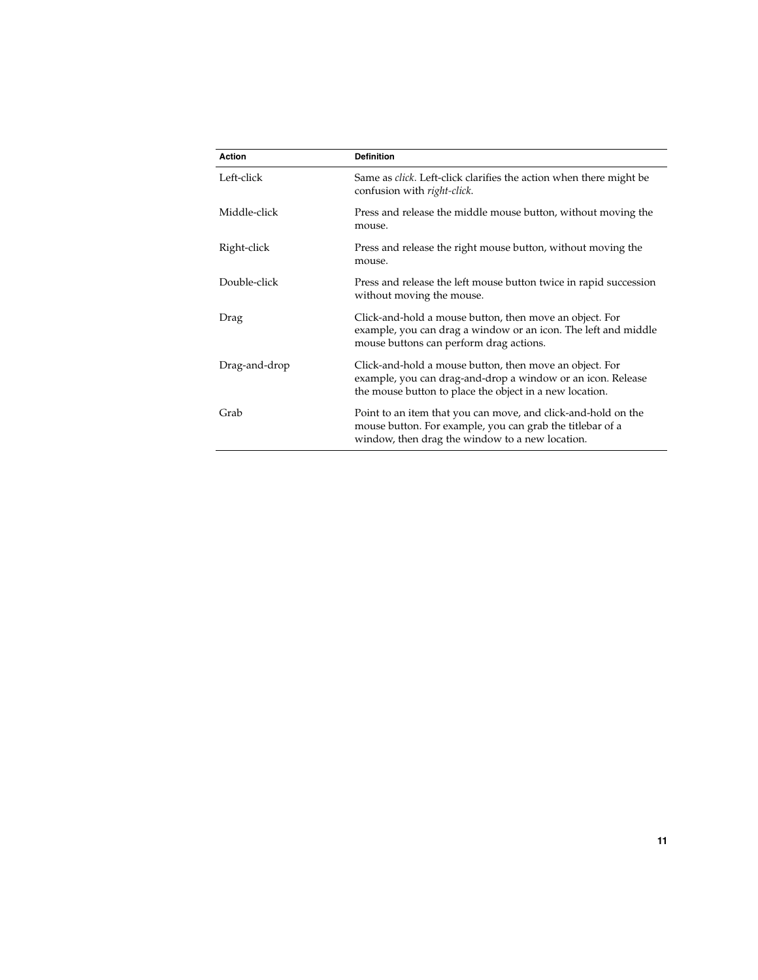| <b>Action</b> | <b>Definition</b>                                                                                                                                                                 |
|---------------|-----------------------------------------------------------------------------------------------------------------------------------------------------------------------------------|
| Left-click    | Same as <i>click</i> . Left-click clarifies the action when there might be<br>confusion with right-click.                                                                         |
| Middle-click  | Press and release the middle mouse button, without moving the<br>mouse.                                                                                                           |
| Right-click   | Press and release the right mouse button, without moving the<br>mouse.                                                                                                            |
| Double-click  | Press and release the left mouse button twice in rapid succession<br>without moving the mouse.                                                                                    |
| Drag          | Click-and-hold a mouse button, then move an object. For<br>example, you can drag a window or an icon. The left and middle<br>mouse buttons can perform drag actions.              |
| Drag-and-drop | Click-and-hold a mouse button, then move an object. For<br>example, you can drag-and-drop a window or an icon. Release<br>the mouse button to place the object in a new location. |
| Grab          | Point to an item that you can move, and click-and-hold on the<br>mouse button. For example, you can grab the titlebar of a<br>window, then drag the window to a new location.     |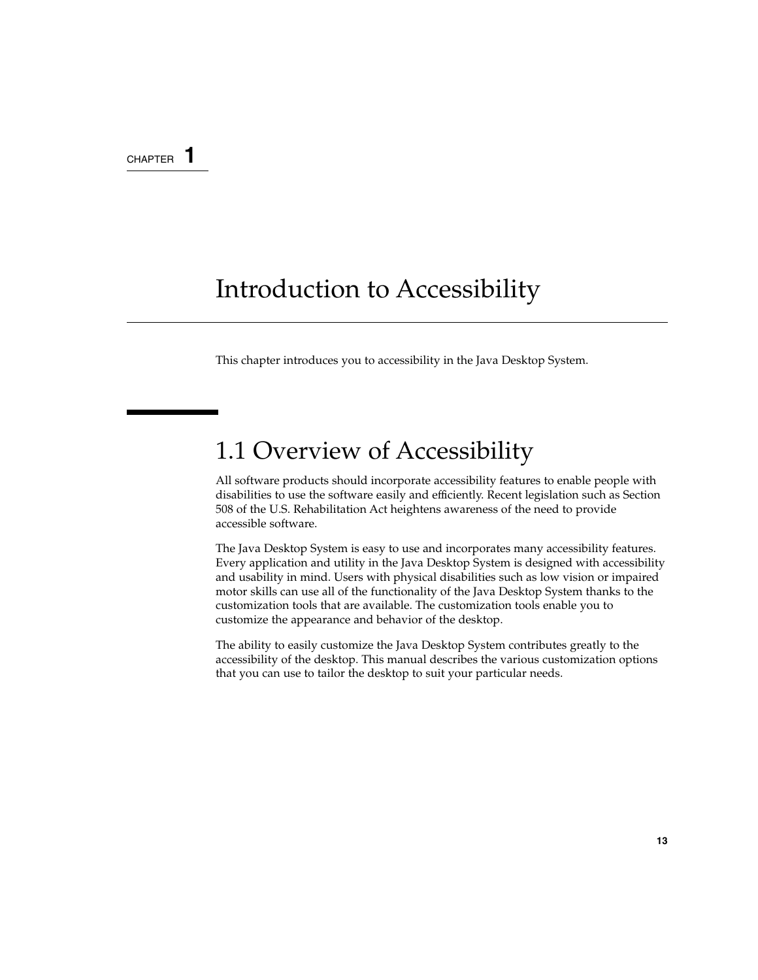#### <span id="page-12-0"></span>CHAPTER **1**

## Introduction to Accessibility

This chapter introduces you to accessibility in the Java Desktop System.

## 1.1 Overview of Accessibility

All software products should incorporate accessibility features to enable people with disabilities to use the software easily and efficiently. Recent legislation such as Section 508 of the U.S. Rehabilitation Act heightens awareness of the need to provide accessible software.

The Java Desktop System is easy to use and incorporates many accessibility features. Every application and utility in the Java Desktop System is designed with accessibility and usability in mind. Users with physical disabilities such as low vision or impaired motor skills can use all of the functionality of the Java Desktop System thanks to the customization tools that are available. The customization tools enable you to customize the appearance and behavior of the desktop.

The ability to easily customize the Java Desktop System contributes greatly to the accessibility of the desktop. This manual describes the various customization options that you can use to tailor the desktop to suit your particular needs.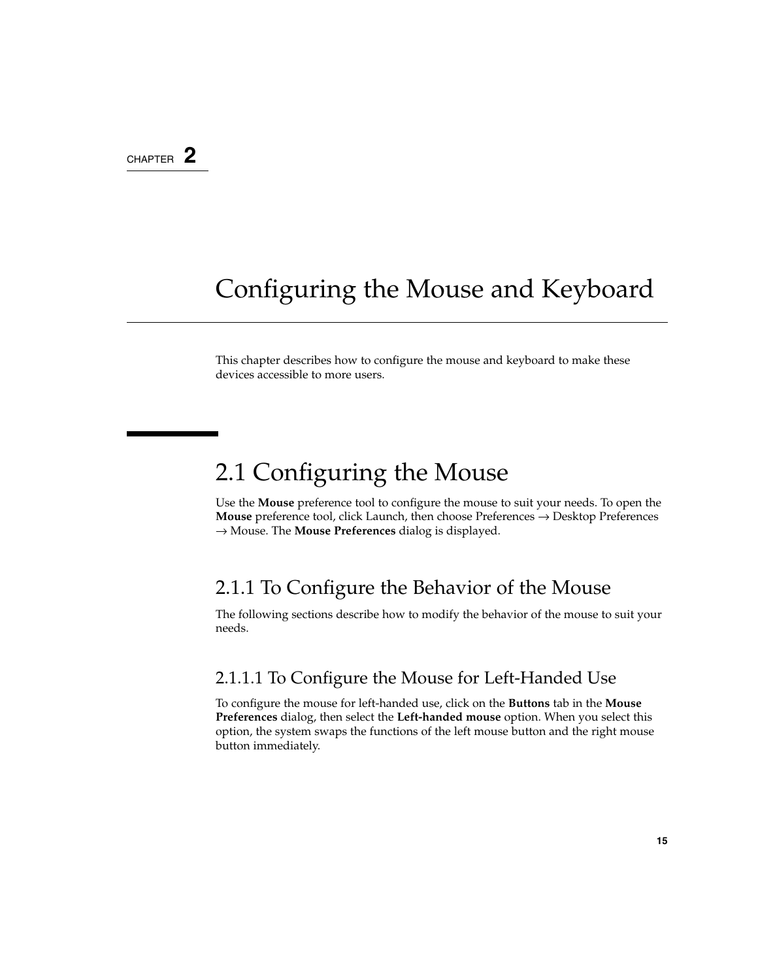### <span id="page-14-0"></span>CHAPTER **2**

## Configuring the Mouse and Keyboard

This chapter describes how to configure the mouse and keyboard to make these devices accessible to more users.

## 2.1 Configuring the Mouse

Use the **Mouse** preference tool to configure the mouse to suit your needs. To open the **Mouse** preference tool, click Launch, then choose Preferences → Desktop Preferences → Mouse. The **Mouse Preferences** dialog is displayed.

### 2.1.1 To Configure the Behavior of the Mouse

The following sections describe how to modify the behavior of the mouse to suit your needs.

### 2.1.1.1 To Configure the Mouse for Left-Handed Use

To configure the mouse for left-handed use, click on the **Buttons** tab in the **Mouse Preferences** dialog, then select the **Left-handed mouse** option. When you select this option, the system swaps the functions of the left mouse button and the right mouse button immediately.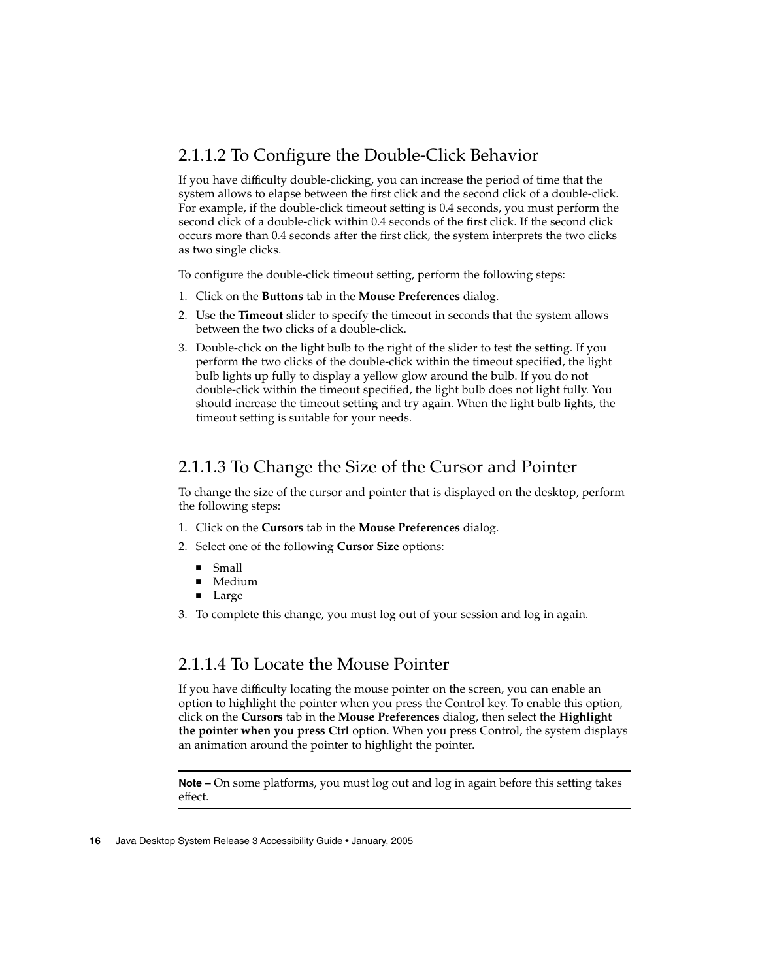### 2.1.1.2 To Configure the Double-Click Behavior

If you have difficulty double-clicking, you can increase the period of time that the system allows to elapse between the first click and the second click of a double-click. For example, if the double-click timeout setting is 0.4 seconds, you must perform the second click of a double-click within 0.4 seconds of the first click. If the second click occurs more than 0.4 seconds after the first click, the system interprets the two clicks as two single clicks.

To configure the double-click timeout setting, perform the following steps:

- 1. Click on the **Buttons** tab in the **Mouse Preferences** dialog.
- 2. Use the **Timeout** slider to specify the timeout in seconds that the system allows between the two clicks of a double-click.
- 3. Double-click on the light bulb to the right of the slider to test the setting. If you perform the two clicks of the double-click within the timeout specified, the light bulb lights up fully to display a yellow glow around the bulb. If you do not double-click within the timeout specified, the light bulb does not light fully. You should increase the timeout setting and try again. When the light bulb lights, the timeout setting is suitable for your needs.

#### 2.1.1.3 To Change the Size of the Cursor and Pointer

To change the size of the cursor and pointer that is displayed on the desktop, perform the following steps:

- 1. Click on the **Cursors** tab in the **Mouse Preferences** dialog.
- 2. Select one of the following **Cursor Size** options:
	- Small
	- Medium
	- Large
- 3. To complete this change, you must log out of your session and log in again.

#### 2.1.1.4 To Locate the Mouse Pointer

If you have difficulty locating the mouse pointer on the screen, you can enable an option to highlight the pointer when you press the Control key. To enable this option, click on the **Cursors** tab in the **Mouse Preferences** dialog, then select the **Highlight the pointer when you press Ctrl** option. When you press Control, the system displays an animation around the pointer to highlight the pointer.

**Note –** On some platforms, you must log out and log in again before this setting takes effect.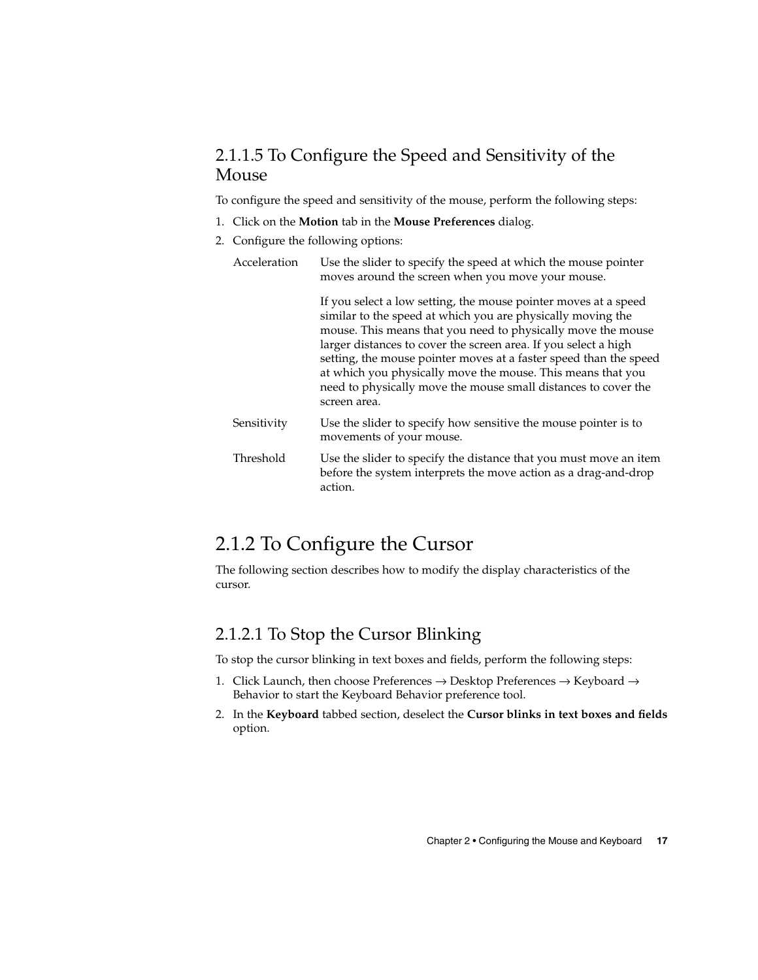### <span id="page-16-0"></span>2.1.1.5 To Configure the Speed and Sensitivity of the Mouse

To configure the speed and sensitivity of the mouse, perform the following steps:

- 1. Click on the **Motion** tab in the **Mouse Preferences** dialog.
- 2. Configure the following options:

| Acceleration | Use the slider to specify the speed at which the mouse pointer<br>moves around the screen when you move your mouse.                                                                                                                                                                                                                                                                                                                                                                     |
|--------------|-----------------------------------------------------------------------------------------------------------------------------------------------------------------------------------------------------------------------------------------------------------------------------------------------------------------------------------------------------------------------------------------------------------------------------------------------------------------------------------------|
|              | If you select a low setting, the mouse pointer moves at a speed<br>similar to the speed at which you are physically moving the<br>mouse. This means that you need to physically move the mouse<br>larger distances to cover the screen area. If you select a high<br>setting, the mouse pointer moves at a faster speed than the speed<br>at which you physically move the mouse. This means that you<br>need to physically move the mouse small distances to cover the<br>screen area. |
| Sensitivity  | Use the slider to specify how sensitive the mouse pointer is to<br>movements of your mouse.                                                                                                                                                                                                                                                                                                                                                                                             |
| Threshold    | Use the slider to specify the distance that you must move an item<br>before the system interprets the move action as a drag-and-drop<br>action.                                                                                                                                                                                                                                                                                                                                         |

### 2.1.2 To Configure the Cursor

The following section describes how to modify the display characteristics of the cursor.

### 2.1.2.1 To Stop the Cursor Blinking

To stop the cursor blinking in text boxes and fields, perform the following steps:

- 1. Click Launch, then choose Preferences  $\rightarrow$  Desktop Preferences  $\rightarrow$  Keyboard  $\rightarrow$ Behavior to start the Keyboard Behavior preference tool.
- 2. In the **Keyboard** tabbed section, deselect the **Cursor blinks in text boxes and fields** option.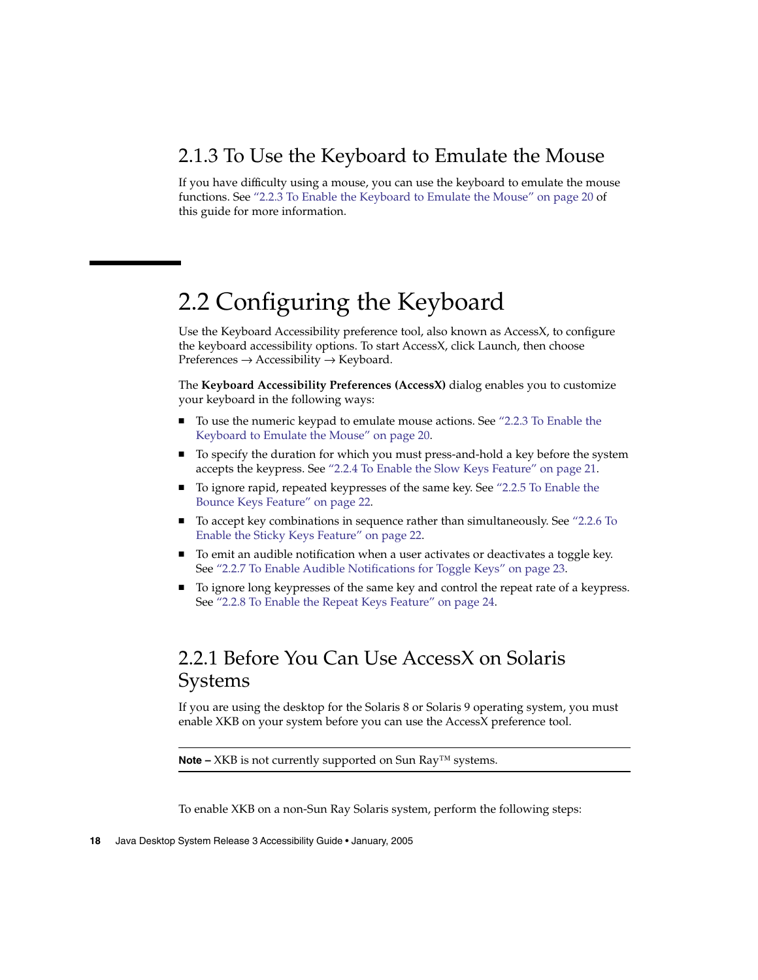### <span id="page-17-0"></span>2.1.3 To Use the Keyboard to Emulate the Mouse

If you have difficulty using a mouse, you can use the keyboard to emulate the mouse functions. See ["2.2.3 To Enable the Keyboard to Emulate the Mouse"](#page-19-0) on page 20 of this guide for more information.

## 2.2 Configuring the Keyboard

Use the Keyboard Accessibility preference tool, also known as AccessX, to configure the keyboard accessibility options. To start AccessX, click Launch, then choose Preferences  $\rightarrow$  Accessibility  $\rightarrow$  Keyboard.

The **Keyboard Accessibility Preferences (AccessX)** dialog enables you to customize your keyboard in the following ways:

- To use the numeric keypad to emulate mouse actions. See ["2.2.3 To Enable the](#page-19-0) [Keyboard to Emulate the Mouse"](#page-19-0) on page 20.
- To specify the duration for which you must press-and-hold a key before the system accepts the keypress. See ["2.2.4 To Enable the Slow Keys Feature"](#page-20-0) on page 21.
- To ignore rapid, repeated keypresses of the same key. See ["2.2.5 To Enable the](#page-21-0) [Bounce Keys Feature"](#page-21-0) on page 22.
- To accept key combinations in sequence rather than simultaneously. See ["2.2.6 To](#page-21-0) [Enable the Sticky Keys Feature"](#page-21-0) on page 22.
- To emit an audible notification when a user activates or deactivates a toggle key. See ["2.2.7 To Enable Audible Notifications for Toggle Keys"](#page-22-0) on page 23.
- To ignore long keypresses of the same key and control the repeat rate of a keypress. See ["2.2.8 To Enable the Repeat Keys Feature"](#page-23-0) on page 24.

### 2.2.1 Before You Can Use AccessX on Solaris Systems

If you are using the desktop for the Solaris 8 or Solaris 9 operating system, you must enable XKB on your system before you can use the AccessX preference tool.

**Note –** XKB is not currently supported on Sun Ray™ systems.

To enable XKB on a non-Sun Ray Solaris system, perform the following steps: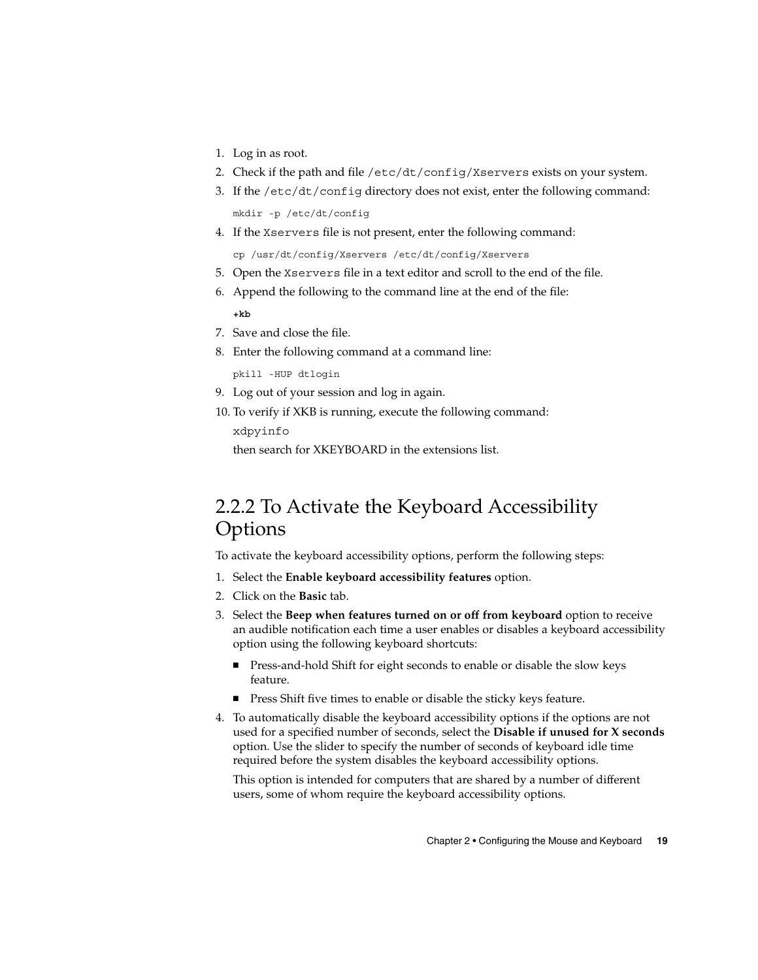- <span id="page-18-0"></span>1. Log in as root.
- 2. Check if the path and file /etc/dt/config/Xservers exists on your system.
- 3. If the  $/$ etc $/dt$  / config directory does not exist, enter the following command: mkdir -p /etc/dt/config
- 4. If the Xservers file is not present, enter the following command:

cp /usr/dt/config/Xservers /etc/dt/config/Xservers

- 5. Open the Xservers file in a text editor and scroll to the end of the file.
- 6. Append the following to the command line at the end of the file: **+kb**
- 7. Save and close the file.
- 8. Enter the following command at a command line:

pkill -HUP dtlogin

- 9. Log out of your session and log in again.
- 10. To verify if XKB is running, execute the following command:

xdpyinfo

then search for XKEYBOARD in the extensions list.

### 2.2.2 To Activate the Keyboard Accessibility **Options**

To activate the keyboard accessibility options, perform the following steps:

- 1. Select the **Enable keyboard accessibility features** option.
- 2. Click on the **Basic** tab.
- 3. Select the **Beep when features turned on or off from keyboard** option to receive an audible notification each time a user enables or disables a keyboard accessibility option using the following keyboard shortcuts:
	- Press-and-hold Shift for eight seconds to enable or disable the slow keys feature.
	- Press Shift five times to enable or disable the sticky keys feature.
- 4. To automatically disable the keyboard accessibility options if the options are not used for a specified number of seconds, select the **Disable if unused for X seconds** option. Use the slider to specify the number of seconds of keyboard idle time required before the system disables the keyboard accessibility options.

This option is intended for computers that are shared by a number of different users, some of whom require the keyboard accessibility options.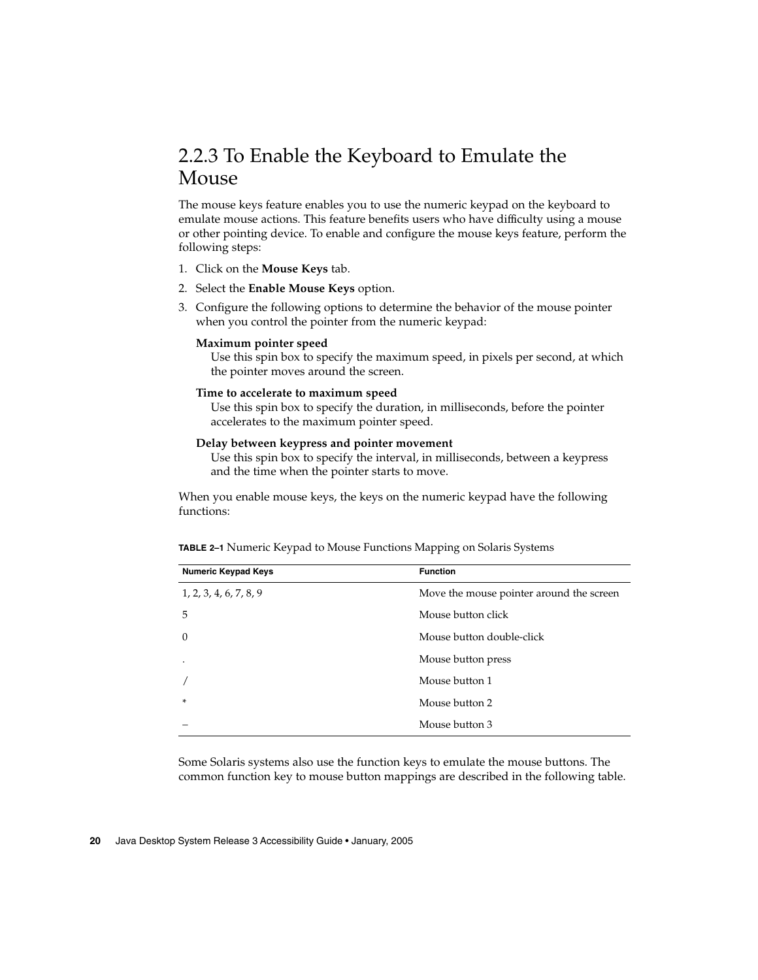### <span id="page-19-0"></span>2.2.3 To Enable the Keyboard to Emulate the Mouse

The mouse keys feature enables you to use the numeric keypad on the keyboard to emulate mouse actions. This feature benefits users who have difficulty using a mouse or other pointing device. To enable and configure the mouse keys feature, perform the following steps:

- 1. Click on the **Mouse Keys** tab.
- 2. Select the **Enable Mouse Keys** option.
- 3. Configure the following options to determine the behavior of the mouse pointer when you control the pointer from the numeric keypad:

#### **Maximum pointer speed**

Use this spin box to specify the maximum speed, in pixels per second, at which the pointer moves around the screen.

#### **Time to accelerate to maximum speed**

Use this spin box to specify the duration, in milliseconds, before the pointer accelerates to the maximum pointer speed.

#### **Delay between keypress and pointer movement**

Use this spin box to specify the interval, in milliseconds, between a keypress and the time when the pointer starts to move.

When you enable mouse keys, the keys on the numeric keypad have the following functions:

**TABLE 2–1** Numeric Keypad to Mouse Functions Mapping on Solaris Systems

| <b>Numeric Keypad Keys</b> | <b>Function</b>                          |
|----------------------------|------------------------------------------|
| 1, 2, 3, 4, 6, 7, 8, 9     | Move the mouse pointer around the screen |
| 5                          | Mouse button click                       |
| $\Omega$                   | Mouse button double-click                |
| $\bullet$                  | Mouse button press                       |
|                            | Mouse button 1                           |
| $\ast$                     | Mouse button 2                           |
|                            | Mouse button 3                           |

Some Solaris systems also use the function keys to emulate the mouse buttons. The common function key to mouse button mappings are described in the following table.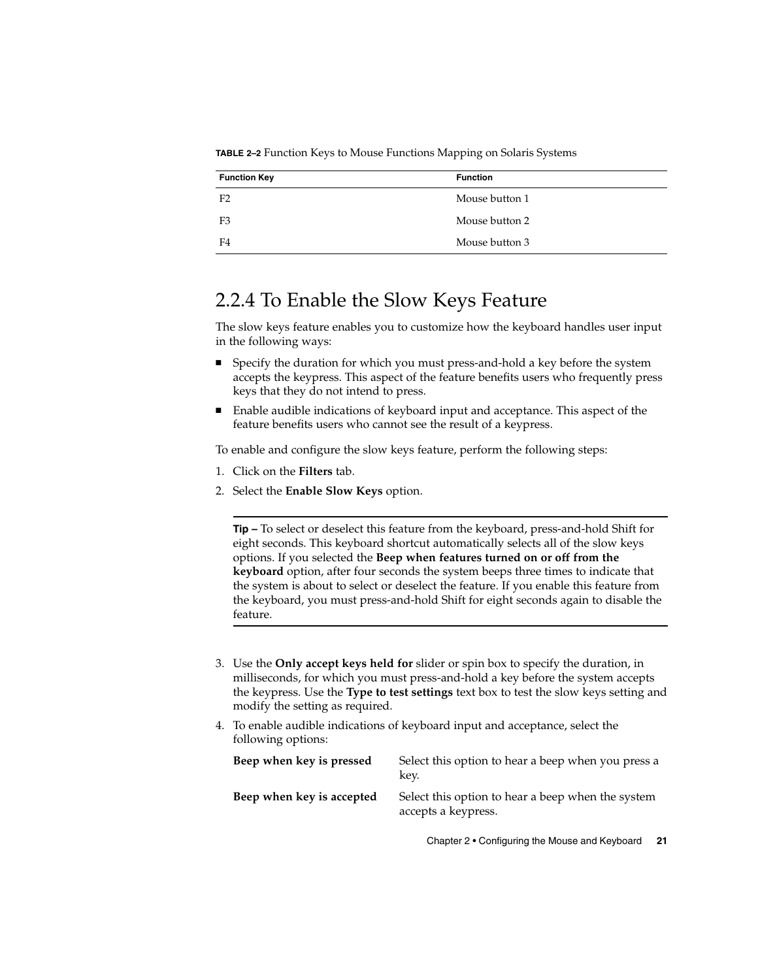<span id="page-20-0"></span>**TABLE 2–2** Function Keys to Mouse Functions Mapping on Solaris Systems

| <b>Function Key</b> | <b>Function</b> |
|---------------------|-----------------|
| F <sub>2</sub>      | Mouse button 1  |
| F <sub>3</sub>      | Mouse button 2  |
| F4                  | Mouse button 3  |

### 2.2.4 To Enable the Slow Keys Feature

The slow keys feature enables you to customize how the keyboard handles user input in the following ways:

- Specify the duration for which you must press-and-hold a key before the system accepts the keypress. This aspect of the feature benefits users who frequently press keys that they do not intend to press.
- Enable audible indications of keyboard input and acceptance. This aspect of the feature benefits users who cannot see the result of a keypress.

To enable and configure the slow keys feature, perform the following steps:

- 1. Click on the **Filters** tab.
- 2. Select the **Enable Slow Keys** option.

**Tip –** To select or deselect this feature from the keyboard, press-and-hold Shift for eight seconds. This keyboard shortcut automatically selects all of the slow keys options. If you selected the **Beep when features turned on or off from the keyboard** option, after four seconds the system beeps three times to indicate that the system is about to select or deselect the feature. If you enable this feature from the keyboard, you must press-and-hold Shift for eight seconds again to disable the feature.

- 3. Use the **Only accept keys held for** slider or spin box to specify the duration, in milliseconds, for which you must press-and-hold a key before the system accepts the keypress. Use the **Type to test settings** text box to test the slow keys setting and modify the setting as required.
- 4. To enable audible indications of keyboard input and acceptance, select the following options:

| Beep when key is pressed  | Select this option to hear a beep when you press a<br>kev.               |
|---------------------------|--------------------------------------------------------------------------|
| Beep when key is accepted | Select this option to hear a beep when the system<br>accepts a keypress. |

Chapter 2 • Configuring the Mouse and Keyboard **21**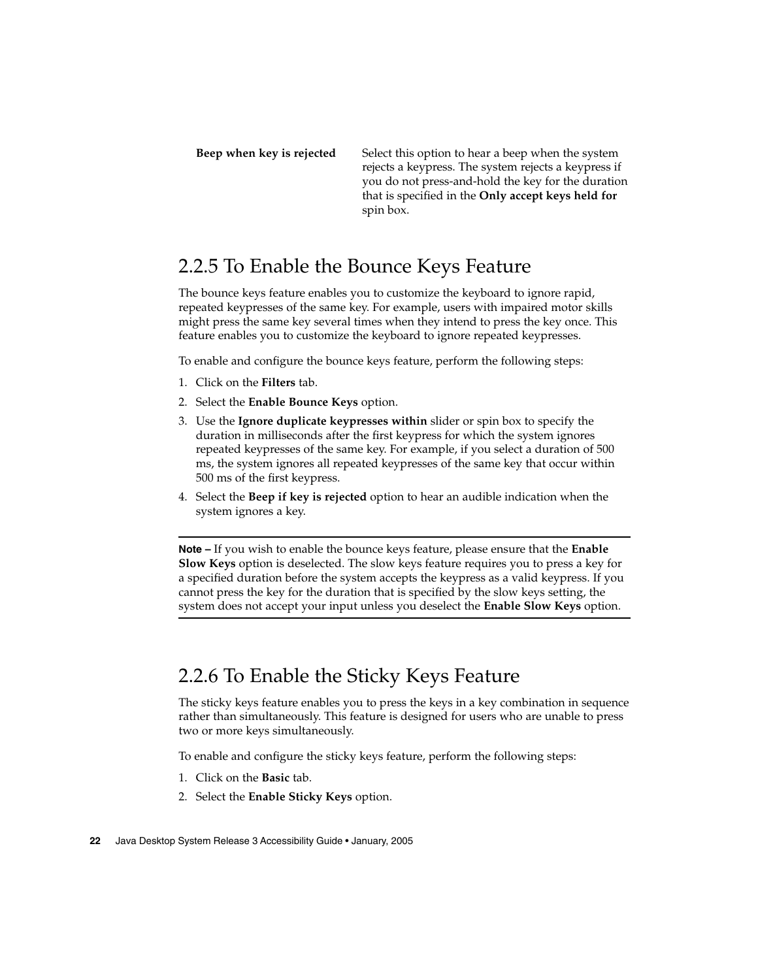<span id="page-21-0"></span>**Beep when key is rejected** Select this option to hear a beep when the system rejects a keypress. The system rejects a keypress if you do not press-and-hold the key for the duration that is specified in the **Only accept keys held for** spin box.

### 2.2.5 To Enable the Bounce Keys Feature

The bounce keys feature enables you to customize the keyboard to ignore rapid, repeated keypresses of the same key. For example, users with impaired motor skills might press the same key several times when they intend to press the key once. This feature enables you to customize the keyboard to ignore repeated keypresses.

To enable and configure the bounce keys feature, perform the following steps:

- 1. Click on the **Filters** tab.
- 2. Select the **Enable Bounce Keys** option.
- 3. Use the **Ignore duplicate keypresses within** slider or spin box to specify the duration in milliseconds after the first keypress for which the system ignores repeated keypresses of the same key. For example, if you select a duration of 500 ms, the system ignores all repeated keypresses of the same key that occur within 500 ms of the first keypress.
- 4. Select the **Beep if key is rejected** option to hear an audible indication when the system ignores a key.

**Note –** If you wish to enable the bounce keys feature, please ensure that the **Enable Slow Keys** option is deselected. The slow keys feature requires you to press a key for a specified duration before the system accepts the keypress as a valid keypress. If you cannot press the key for the duration that is specified by the slow keys setting, the system does not accept your input unless you deselect the **Enable Slow Keys** option.

### 2.2.6 To Enable the Sticky Keys Feature

The sticky keys feature enables you to press the keys in a key combination in sequence rather than simultaneously. This feature is designed for users who are unable to press two or more keys simultaneously.

To enable and configure the sticky keys feature, perform the following steps:

- 1. Click on the **Basic** tab.
- 2. Select the **Enable Sticky Keys** option.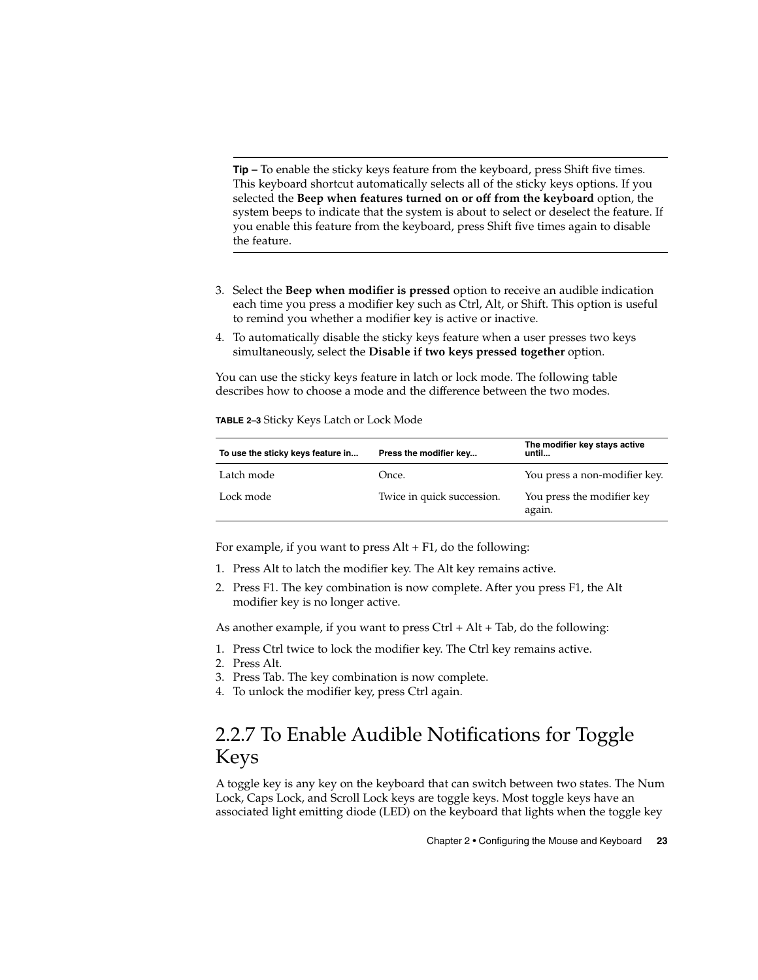<span id="page-22-0"></span>**Tip –** To enable the sticky keys feature from the keyboard, press Shift five times. This keyboard shortcut automatically selects all of the sticky keys options. If you selected the **Beep when features turned on or off from the keyboard** option, the system beeps to indicate that the system is about to select or deselect the feature. If you enable this feature from the keyboard, press Shift five times again to disable the feature.

- 3. Select the **Beep when modifier is pressed** option to receive an audible indication each time you press a modifier key such as Ctrl, Alt, or Shift. This option is useful to remind you whether a modifier key is active or inactive.
- 4. To automatically disable the sticky keys feature when a user presses two keys simultaneously, select the **Disable if two keys pressed together** option.

You can use the sticky keys feature in latch or lock mode. The following table describes how to choose a mode and the difference between the two modes.

**TABLE 2–3** Sticky Keys Latch or Lock Mode

| To use the sticky keys feature in | Press the modifier key     | The modifier key stays active<br>until |
|-----------------------------------|----------------------------|----------------------------------------|
| Latch mode                        | Once.                      | You press a non-modifier key.          |
| Lock mode                         | Twice in quick succession. | You press the modifier key<br>again.   |

For example, if you want to press  $Alt + F1$ , do the following:

- 1. Press Alt to latch the modifier key. The Alt key remains active.
- 2. Press F1. The key combination is now complete. After you press F1, the Alt modifier key is no longer active.

As another example, if you want to press Ctrl + Alt + Tab, do the following:

- 1. Press Ctrl twice to lock the modifier key. The Ctrl key remains active.
- 2. Press Alt.
- 3. Press Tab. The key combination is now complete.
- 4. To unlock the modifier key, press Ctrl again.

### 2.2.7 To Enable Audible Notifications for Toggle Keys

A toggle key is any key on the keyboard that can switch between two states. The Num Lock, Caps Lock, and Scroll Lock keys are toggle keys. Most toggle keys have an associated light emitting diode (LED) on the keyboard that lights when the toggle key

Chapter 2 • Configuring the Mouse and Keyboard **23**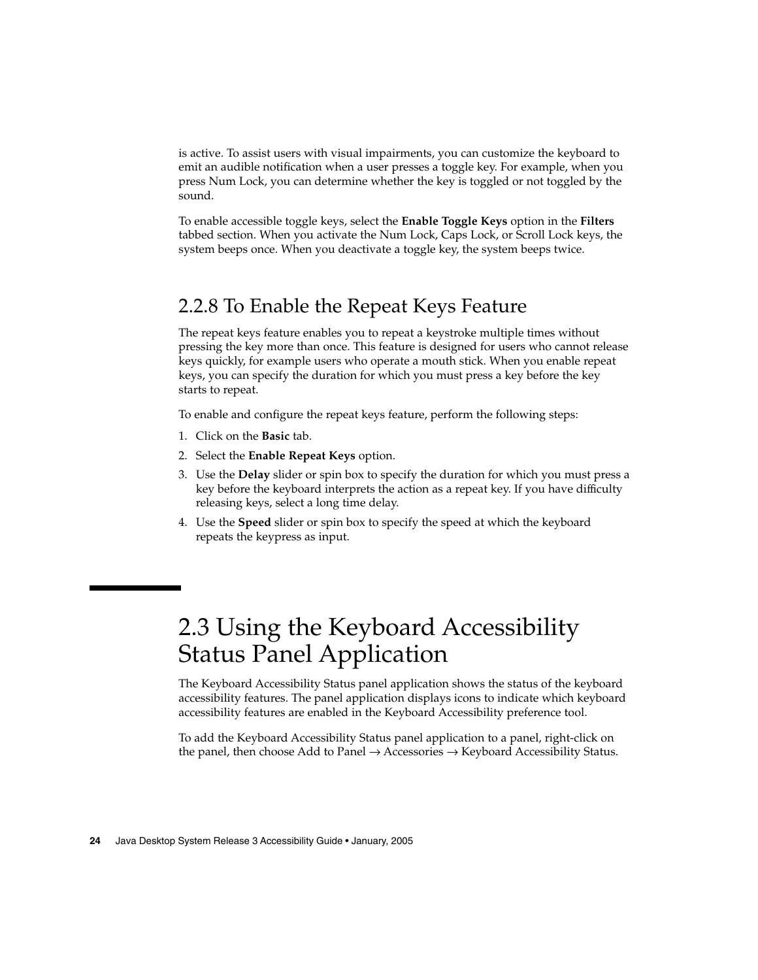<span id="page-23-0"></span>is active. To assist users with visual impairments, you can customize the keyboard to emit an audible notification when a user presses a toggle key. For example, when you press Num Lock, you can determine whether the key is toggled or not toggled by the sound.

To enable accessible toggle keys, select the **Enable Toggle Keys** option in the **Filters** tabbed section. When you activate the Num Lock, Caps Lock, or Scroll Lock keys, the system beeps once. When you deactivate a toggle key, the system beeps twice.

### 2.2.8 To Enable the Repeat Keys Feature

The repeat keys feature enables you to repeat a keystroke multiple times without pressing the key more than once. This feature is designed for users who cannot release keys quickly, for example users who operate a mouth stick. When you enable repeat keys, you can specify the duration for which you must press a key before the key starts to repeat.

To enable and configure the repeat keys feature, perform the following steps:

- 1. Click on the **Basic** tab.
- 2. Select the **Enable Repeat Keys** option.
- 3. Use the **Delay** slider or spin box to specify the duration for which you must press a key before the keyboard interprets the action as a repeat key. If you have difficulty releasing keys, select a long time delay.
- 4. Use the **Speed** slider or spin box to specify the speed at which the keyboard repeats the keypress as input.

## 2.3 Using the Keyboard Accessibility Status Panel Application

The Keyboard Accessibility Status panel application shows the status of the keyboard accessibility features. The panel application displays icons to indicate which keyboard accessibility features are enabled in the Keyboard Accessibility preference tool.

To add the Keyboard Accessibility Status panel application to a panel, right-click on the panel, then choose Add to Panel  $\rightarrow$  Accessories  $\rightarrow$  Keyboard Accessibility Status.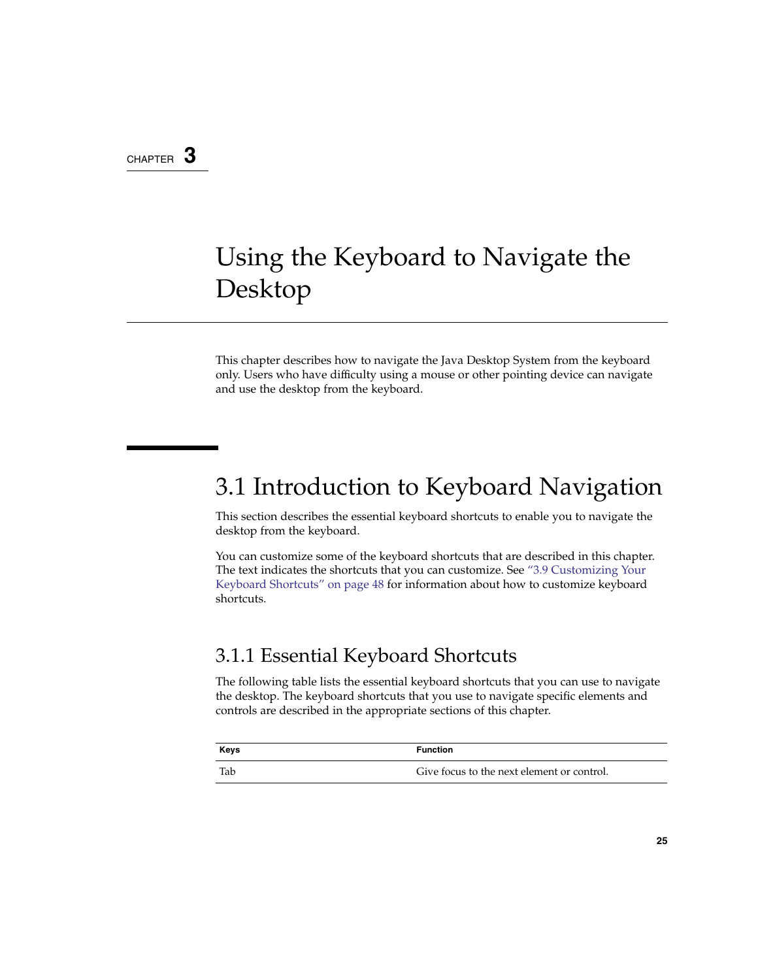### <span id="page-24-0"></span>CHAPTER **3**

## Using the Keyboard to Navigate the Desktop

This chapter describes how to navigate the Java Desktop System from the keyboard only. Users who have difficulty using a mouse or other pointing device can navigate and use the desktop from the keyboard.

## 3.1 Introduction to Keyboard Navigation

This section describes the essential keyboard shortcuts to enable you to navigate the desktop from the keyboard.

You can customize some of the keyboard shortcuts that are described in this chapter. The text indicates the shortcuts that you can customize. See ["3.9 Customizing Your](#page-47-0) [Keyboard Shortcuts"](#page-47-0) on page 48 for information about how to customize keyboard shortcuts.

### 3.1.1 Essential Keyboard Shortcuts

The following table lists the essential keyboard shortcuts that you can use to navigate the desktop. The keyboard shortcuts that you use to navigate specific elements and controls are described in the appropriate sections of this chapter.

| Keys | <b>Function</b>                            |
|------|--------------------------------------------|
| Tab  | Give focus to the next element or control. |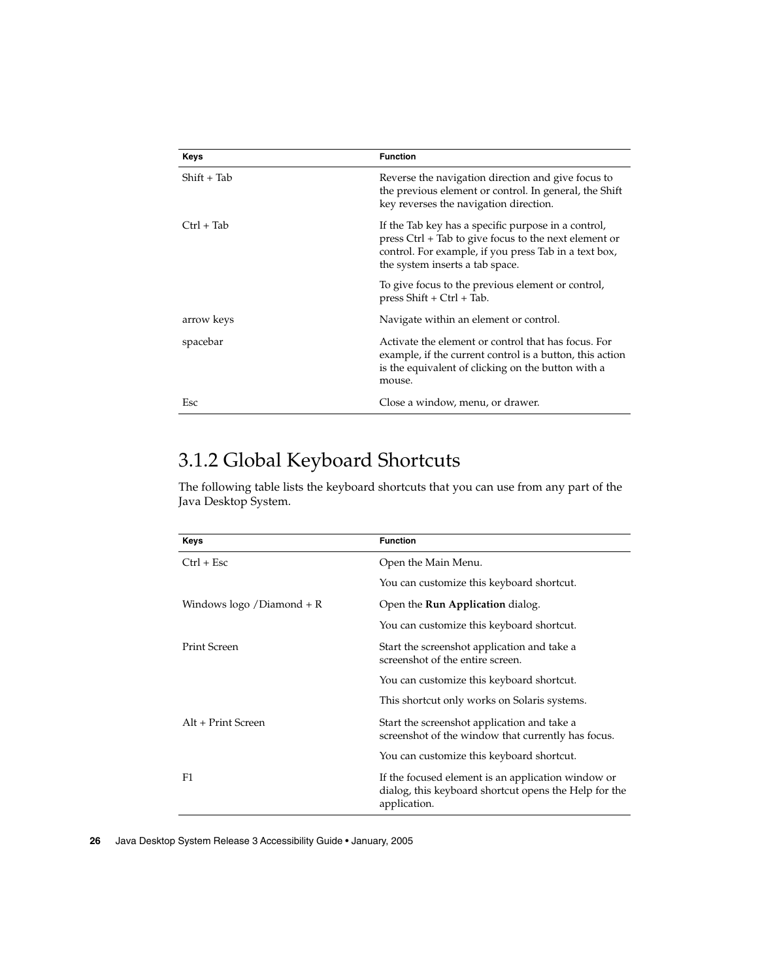<span id="page-25-0"></span>

| Keys          | <b>Function</b>                                                                                                                                                                                          |
|---------------|----------------------------------------------------------------------------------------------------------------------------------------------------------------------------------------------------------|
| $Shift + Tab$ | Reverse the navigation direction and give focus to<br>the previous element or control. In general, the Shift<br>key reverses the navigation direction.                                                   |
| $Ctrl + Tab$  | If the Tab key has a specific purpose in a control,<br>press Ctrl + Tab to give focus to the next element or<br>control. For example, if you press Tab in a text box,<br>the system inserts a tab space. |
|               | To give focus to the previous element or control,<br>press $Shift + Crit + Tab$ .                                                                                                                        |
| arrow keys    | Navigate within an element or control.                                                                                                                                                                   |
| spacebar      | Activate the element or control that has focus. For<br>example, if the current control is a button, this action<br>is the equivalent of clicking on the button with a<br>mouse.                          |
| Esc           | Close a window, menu, or drawer.                                                                                                                                                                         |

## 3.1.2 Global Keyboard Shortcuts

The following table lists the keyboard shortcuts that you can use from any part of the Java Desktop System.

| Keys                        | <b>Function</b>                                                                                                             |
|-----------------------------|-----------------------------------------------------------------------------------------------------------------------------|
| $Ctrl + Esc$                | Open the Main Menu.                                                                                                         |
|                             | You can customize this keyboard shortcut.                                                                                   |
| Windows $logo/Di$ amond + R | Open the <b>Run Application</b> dialog.                                                                                     |
|                             | You can customize this keyboard shortcut.                                                                                   |
| Print Screen                | Start the screenshot application and take a<br>screenshot of the entire screen.                                             |
|                             | You can customize this keyboard shortcut.                                                                                   |
|                             | This shortcut only works on Solaris systems.                                                                                |
| Alt + Print Screen          | Start the screenshot application and take a<br>screenshot of the window that currently has focus.                           |
|                             | You can customize this keyboard shortcut.                                                                                   |
| F1                          | If the focused element is an application window or<br>dialog, this keyboard shortcut opens the Help for the<br>application. |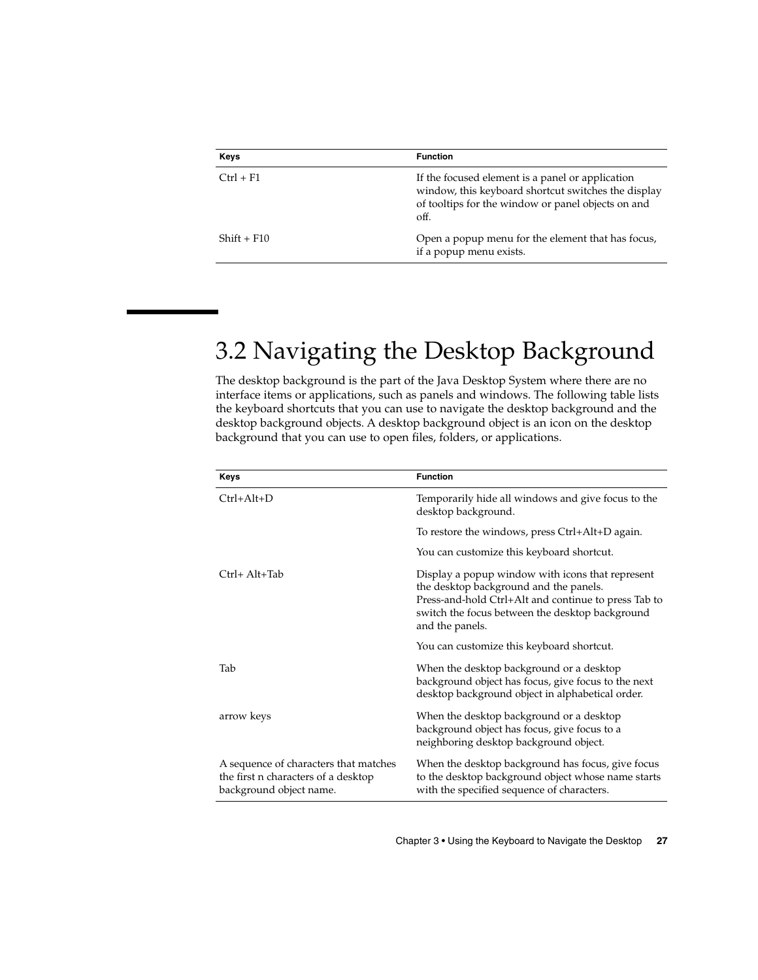<span id="page-26-0"></span>

| Keys          | <b>Function</b>                                                                                                                                                       |
|---------------|-----------------------------------------------------------------------------------------------------------------------------------------------------------------------|
| $Ctrl + F1$   | If the focused element is a panel or application<br>window, this keyboard shortcut switches the display<br>of tooltips for the window or panel objects on and<br>off. |
| $Shift + F10$ | Open a popup menu for the element that has focus,<br>if a popup menu exists.                                                                                          |

## 3.2 Navigating the Desktop Background

The desktop background is the part of the Java Desktop System where there are no interface items or applications, such as panels and windows. The following table lists the keyboard shortcuts that you can use to navigate the desktop background and the desktop background objects. A desktop background object is an icon on the desktop background that you can use to open files, folders, or applications.

| Keys                                                                                                    | <b>Function</b>                                                                                                                                                                                                          |
|---------------------------------------------------------------------------------------------------------|--------------------------------------------------------------------------------------------------------------------------------------------------------------------------------------------------------------------------|
| $Ctrl + Alt + D$                                                                                        | Temporarily hide all windows and give focus to the<br>desktop background.                                                                                                                                                |
|                                                                                                         | To restore the windows, press Ctrl+Alt+D again.                                                                                                                                                                          |
|                                                                                                         | You can customize this keyboard shortcut.                                                                                                                                                                                |
| $Ctrl+ Alt+Tab$                                                                                         | Display a popup window with icons that represent<br>the desktop background and the panels.<br>Press-and-hold Ctrl+Alt and continue to press Tab to<br>switch the focus between the desktop background<br>and the panels. |
|                                                                                                         | You can customize this keyboard shortcut.                                                                                                                                                                                |
| Tab                                                                                                     | When the desktop background or a desktop<br>background object has focus, give focus to the next<br>desktop background object in alphabetical order.                                                                      |
| arrow keys                                                                                              | When the desktop background or a desktop<br>background object has focus, give focus to a<br>neighboring desktop background object.                                                                                       |
| A sequence of characters that matches<br>the first n characters of a desktop<br>background object name. | When the desktop background has focus, give focus<br>to the desktop background object whose name starts<br>with the specified sequence of characters.                                                                    |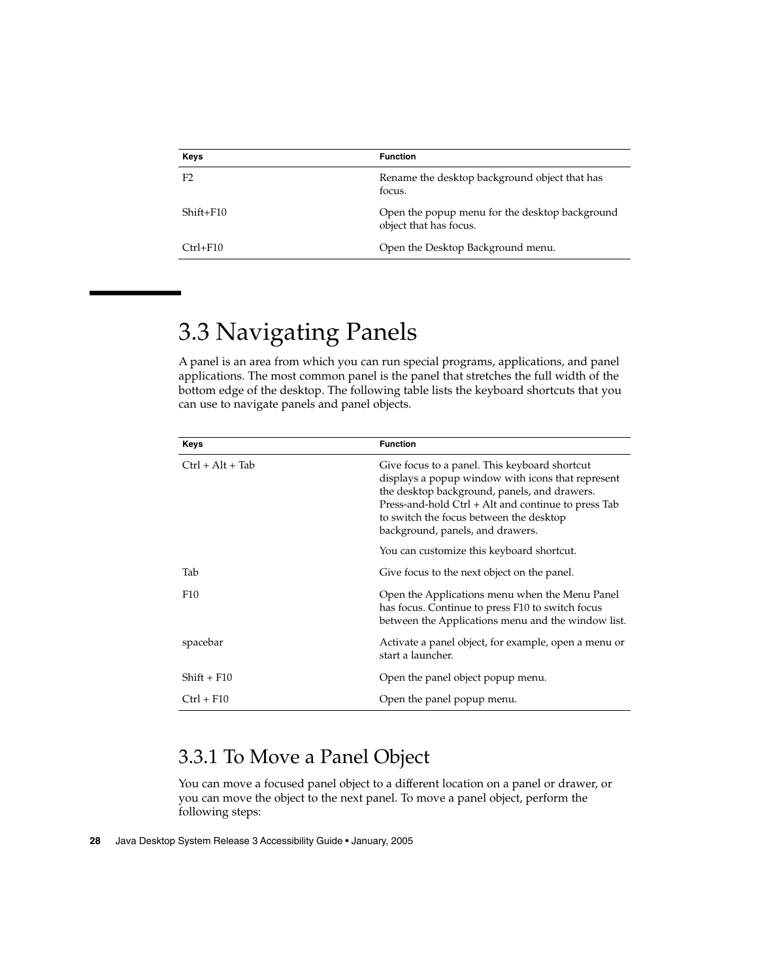<span id="page-27-0"></span>

| Keys         | <b>Function</b>                                                          |
|--------------|--------------------------------------------------------------------------|
| F2           | Rename the desktop background object that has<br>focus.                  |
| $Shift+F10$  | Open the popup menu for the desktop background<br>object that has focus. |
| $Ctrl + F10$ | Open the Desktop Background menu.                                        |

## 3.3 Navigating Panels

A panel is an area from which you can run special programs, applications, and panel applications. The most common panel is the panel that stretches the full width of the bottom edge of the desktop. The following table lists the keyboard shortcuts that you can use to navigate panels and panel objects.

| <b>Keys</b>        | <b>Function</b>                                                                                                                                                                                                                                                                          |
|--------------------|------------------------------------------------------------------------------------------------------------------------------------------------------------------------------------------------------------------------------------------------------------------------------------------|
| $Ctrl + Alt + Tab$ | Give focus to a panel. This keyboard shortcut<br>displays a popup window with icons that represent<br>the desktop background, panels, and drawers.<br>Press-and-hold Ctrl + Alt and continue to press Tab<br>to switch the focus between the desktop<br>background, panels, and drawers. |
|                    | You can customize this keyboard shortcut.                                                                                                                                                                                                                                                |
| Tab                | Give focus to the next object on the panel.                                                                                                                                                                                                                                              |
| F <sub>10</sub>    | Open the Applications menu when the Menu Panel<br>has focus. Continue to press F10 to switch focus<br>between the Applications menu and the window list.                                                                                                                                 |
| spacebar           | Activate a panel object, for example, open a menu or<br>start a launcher.                                                                                                                                                                                                                |
| $Shift + F10$      | Open the panel object popup menu.                                                                                                                                                                                                                                                        |
| $Ctrl + F10$       | Open the panel popup menu.                                                                                                                                                                                                                                                               |

### 3.3.1 To Move a Panel Object

You can move a focused panel object to a different location on a panel or drawer, or you can move the object to the next panel. To move a panel object, perform the following steps: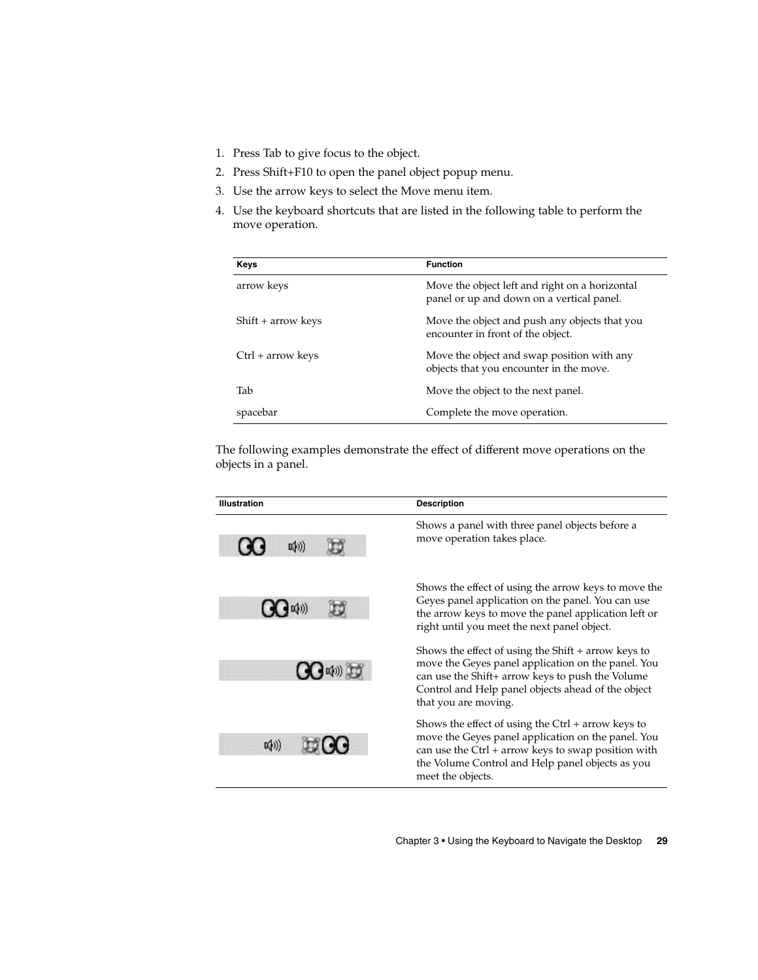- 1. Press Tab to give focus to the object.
- 2. Press Shift+F10 to open the panel object popup menu.
- 3. Use the arrow keys to select the Move menu item.
- 4. Use the keyboard shortcuts that are listed in the following table to perform the move operation.

| Keys                | <b>Function</b>                                                                             |
|---------------------|---------------------------------------------------------------------------------------------|
| arrow keys          | Move the object left and right on a horizontal<br>panel or up and down on a vertical panel. |
| Shift + arrow keys  | Move the object and push any objects that you<br>encounter in front of the object.          |
| $Ctrl + arrow$ keys | Move the object and swap position with any<br>objects that you encounter in the move.       |
| Tab                 | Move the object to the next panel.                                                          |
| spacebar            | Complete the move operation.                                                                |

The following examples demonstrate the effect of different move operations on the objects in a panel.

| <b>Illustration</b> | <b>Description</b>                                                                                                                                                                                                                           |
|---------------------|----------------------------------------------------------------------------------------------------------------------------------------------------------------------------------------------------------------------------------------------|
|                     | Shows a panel with three panel objects before a<br>move operation takes place.                                                                                                                                                               |
|                     | Shows the effect of using the arrow keys to move the<br>Geyes panel application on the panel. You can use<br>the arrow keys to move the panel application left or<br>right until you meet the next panel object.                             |
|                     | Shows the effect of using the Shift + arrow keys to<br>move the Geyes panel application on the panel. You<br>can use the Shift+ arrow keys to push the Volume<br>Control and Help panel objects ahead of the object<br>that you are moving.  |
| QD)                 | Shows the effect of using the $Ctrl + arrow$ keys to<br>move the Geyes panel application on the panel. You<br>can use the $Ctrl + arrow$ keys to swap position with<br>the Volume Control and Help panel objects as you<br>meet the objects. |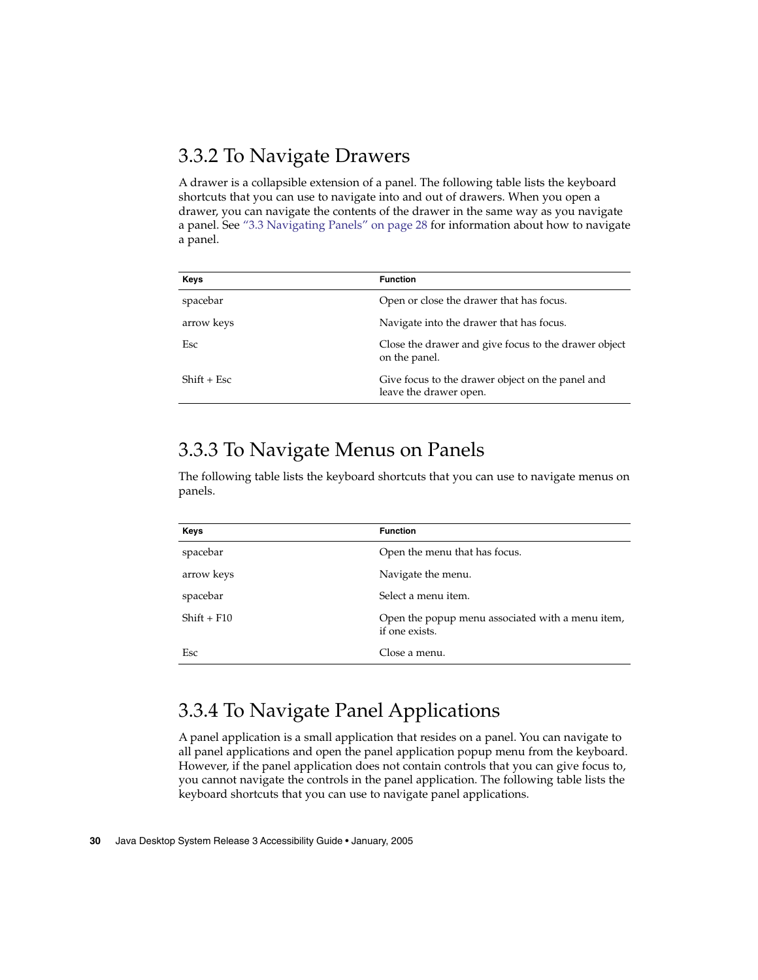### <span id="page-29-0"></span>3.3.2 To Navigate Drawers

A drawer is a collapsible extension of a panel. The following table lists the keyboard shortcuts that you can use to navigate into and out of drawers. When you open a drawer, you can navigate the contents of the drawer in the same way as you navigate a panel. See ["3.3 Navigating Panels"](#page-27-0) on page 28 for information about how to navigate a panel.

| Keys          | <b>Function</b>                                                            |
|---------------|----------------------------------------------------------------------------|
| spacebar      | Open or close the drawer that has focus.                                   |
| arrow keys    | Navigate into the drawer that has focus.                                   |
| Esc           | Close the drawer and give focus to the drawer object<br>on the panel.      |
| $Shift + Esc$ | Give focus to the drawer object on the panel and<br>leave the drawer open. |

### 3.3.3 To Navigate Menus on Panels

The following table lists the keyboard shortcuts that you can use to navigate menus on panels.

| <b>Keys</b>   | <b>Function</b>                                                    |
|---------------|--------------------------------------------------------------------|
| spacebar      | Open the menu that has focus.                                      |
| arrow keys    | Navigate the menu.                                                 |
| spacebar      | Select a menu item.                                                |
| $Shift + F10$ | Open the popup menu associated with a menu item,<br>if one exists. |
| Esc           | Close a menu.                                                      |

## 3.3.4 To Navigate Panel Applications

A panel application is a small application that resides on a panel. You can navigate to all panel applications and open the panel application popup menu from the keyboard. However, if the panel application does not contain controls that you can give focus to, you cannot navigate the controls in the panel application. The following table lists the keyboard shortcuts that you can use to navigate panel applications.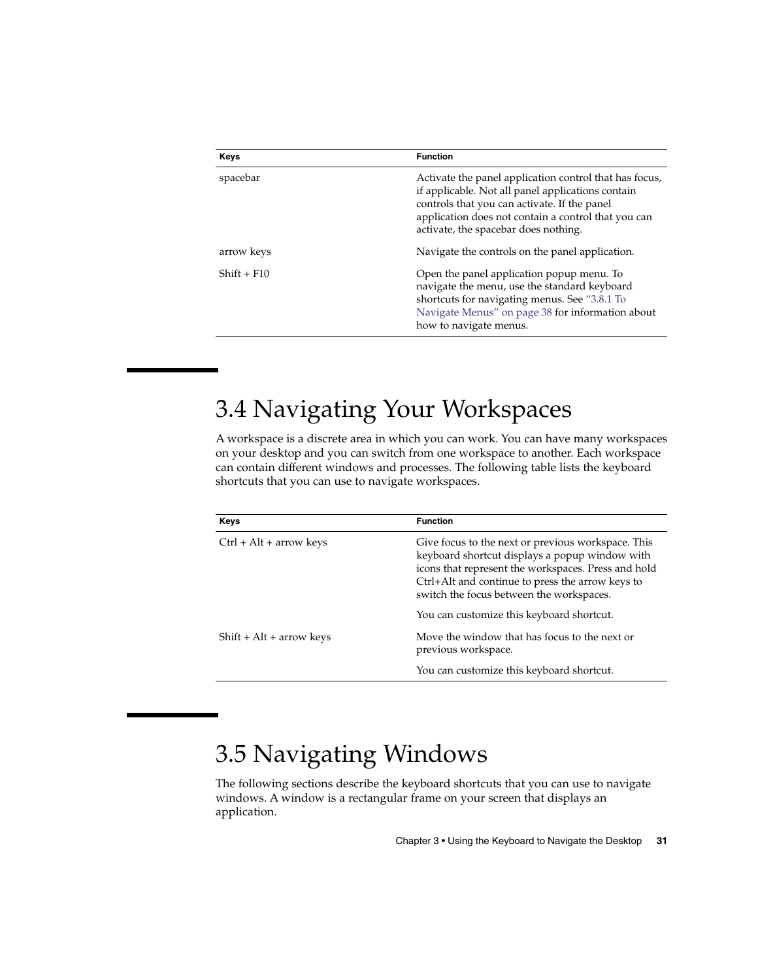<span id="page-30-0"></span>

| Keys          | <b>Function</b>                                                                                                                                                                                                                                            |
|---------------|------------------------------------------------------------------------------------------------------------------------------------------------------------------------------------------------------------------------------------------------------------|
| spacebar      | Activate the panel application control that has focus,<br>if applicable. Not all panel applications contain<br>controls that you can activate. If the panel<br>application does not contain a control that you can<br>activate, the spacebar does nothing. |
| arrow keys    | Navigate the controls on the panel application.                                                                                                                                                                                                            |
| $Shift + F10$ | Open the panel application popup menu. To<br>navigate the menu, use the standard keyboard<br>shortcuts for navigating menus. See "3.8.1 To<br>Navigate Menus" on page 38 for information about<br>how to navigate menus.                                   |

## 3.4 Navigating Your Workspaces

A workspace is a discrete area in which you can work. You can have many workspaces on your desktop and you can switch from one workspace to another. Each workspace can contain different windows and processes. The following table lists the keyboard shortcuts that you can use to navigate workspaces.

| <b>Keys</b>                | <b>Function</b>                                                                                                                                                                                                                                             |
|----------------------------|-------------------------------------------------------------------------------------------------------------------------------------------------------------------------------------------------------------------------------------------------------------|
| $Ctrl + Alt + arrow$ keys  | Give focus to the next or previous workspace. This<br>keyboard shortcut displays a popup window with<br>icons that represent the workspaces. Press and hold<br>Ctrl+Alt and continue to press the arrow keys to<br>switch the focus between the workspaces. |
|                            | You can customize this keyboard shortcut.                                                                                                                                                                                                                   |
| $Shift + Alt + arrow$ keys | Move the window that has focus to the next or<br>previous workspace.                                                                                                                                                                                        |
|                            | You can customize this keyboard shortcut.                                                                                                                                                                                                                   |

## 3.5 Navigating Windows

The following sections describe the keyboard shortcuts that you can use to navigate windows. A window is a rectangular frame on your screen that displays an application.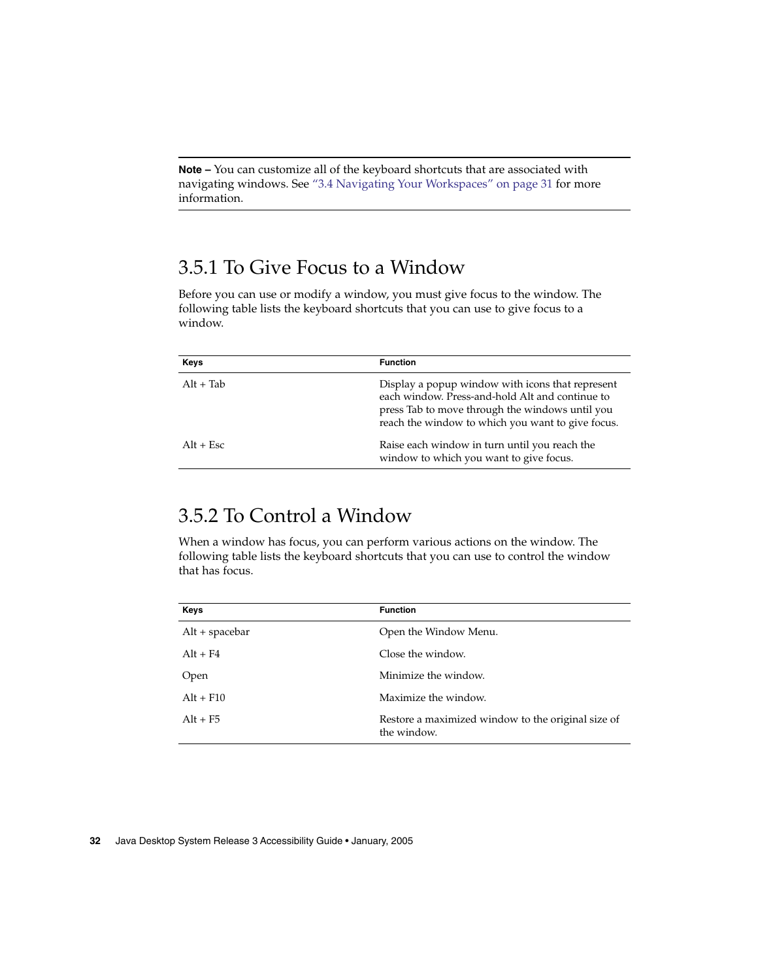<span id="page-31-0"></span>**Note –** You can customize all of the keyboard shortcuts that are associated with navigating windows. See ["3.4 Navigating Your Workspaces"](#page-30-0) on page 31 for more information.

### 3.5.1 To Give Focus to a Window

Before you can use or modify a window, you must give focus to the window. The following table lists the keyboard shortcuts that you can use to give focus to a window.

| <b>Keys</b> | <b>Function</b>                                                                                                                                                                                             |
|-------------|-------------------------------------------------------------------------------------------------------------------------------------------------------------------------------------------------------------|
| $Alt + Tab$ | Display a popup window with icons that represent<br>each window. Press-and-hold Alt and continue to<br>press Tab to move through the windows until you<br>reach the window to which you want to give focus. |
| $Alt + Esc$ | Raise each window in turn until you reach the<br>window to which you want to give focus.                                                                                                                    |

### 3.5.2 To Control a Window

When a window has focus, you can perform various actions on the window. The following table lists the keyboard shortcuts that you can use to control the window that has focus.

| Keys             | <b>Function</b>                                                   |
|------------------|-------------------------------------------------------------------|
| $Alt + spacebar$ | Open the Window Menu.                                             |
| $Alt + F4$       | Close the window.                                                 |
| Open             | Minimize the window.                                              |
| $Alt + F10$      | Maximize the window.                                              |
| $Alt + F5$       | Restore a maximized window to the original size of<br>the window. |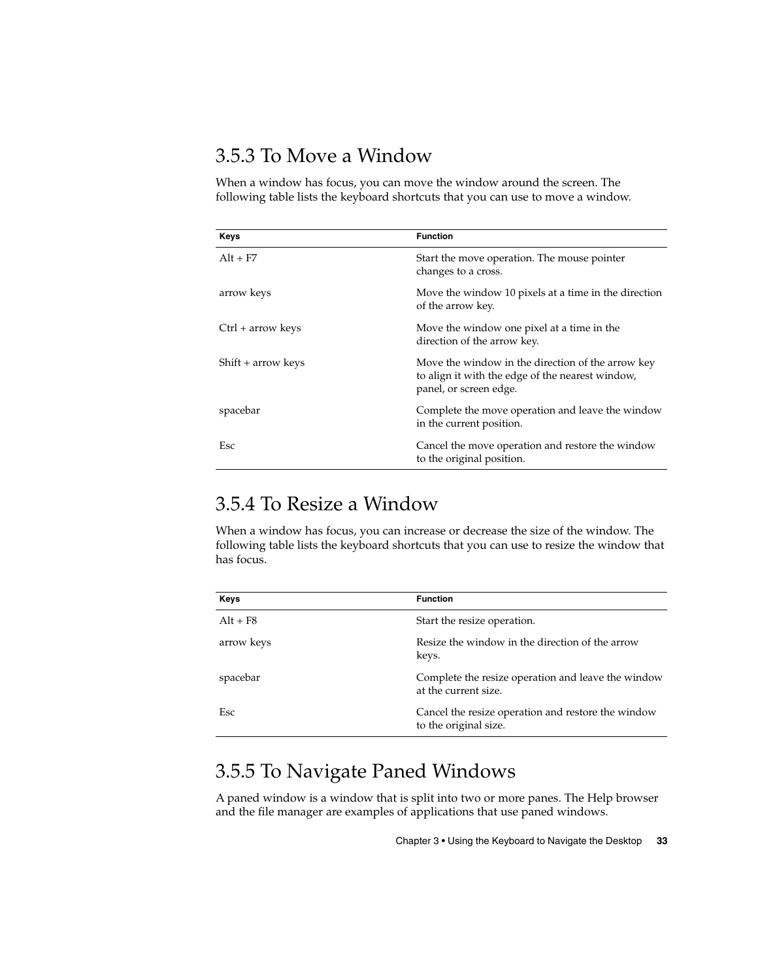### <span id="page-32-0"></span>3.5.3 To Move a Window

When a window has focus, you can move the window around the screen. The following table lists the keyboard shortcuts that you can use to move a window.

| Keys                | <b>Function</b>                                                                                                                 |
|---------------------|---------------------------------------------------------------------------------------------------------------------------------|
| $Alt + F7$          | Start the move operation. The mouse pointer<br>changes to a cross.                                                              |
| arrow keys          | Move the window 10 pixels at a time in the direction<br>of the arrow key.                                                       |
| $Ctrl + arrow$ keys | Move the window one pixel at a time in the<br>direction of the arrow key.                                                       |
| Shift + arrow keys  | Move the window in the direction of the arrow key<br>to align it with the edge of the nearest window,<br>panel, or screen edge. |
| spacebar            | Complete the move operation and leave the window<br>in the current position.                                                    |
| Esc                 | Cancel the move operation and restore the window<br>to the original position.                                                   |

### 3.5.4 To Resize a Window

When a window has focus, you can increase or decrease the size of the window. The following table lists the keyboard shortcuts that you can use to resize the window that has focus.

| Keys       | <b>Function</b>                                                             |
|------------|-----------------------------------------------------------------------------|
| $Alt + F8$ | Start the resize operation.                                                 |
| arrow keys | Resize the window in the direction of the arrow<br>keys.                    |
| spacebar   | Complete the resize operation and leave the window<br>at the current size.  |
| Esc        | Cancel the resize operation and restore the window<br>to the original size. |

### 3.5.5 To Navigate Paned Windows

A paned window is a window that is split into two or more panes. The Help browser and the file manager are examples of applications that use paned windows.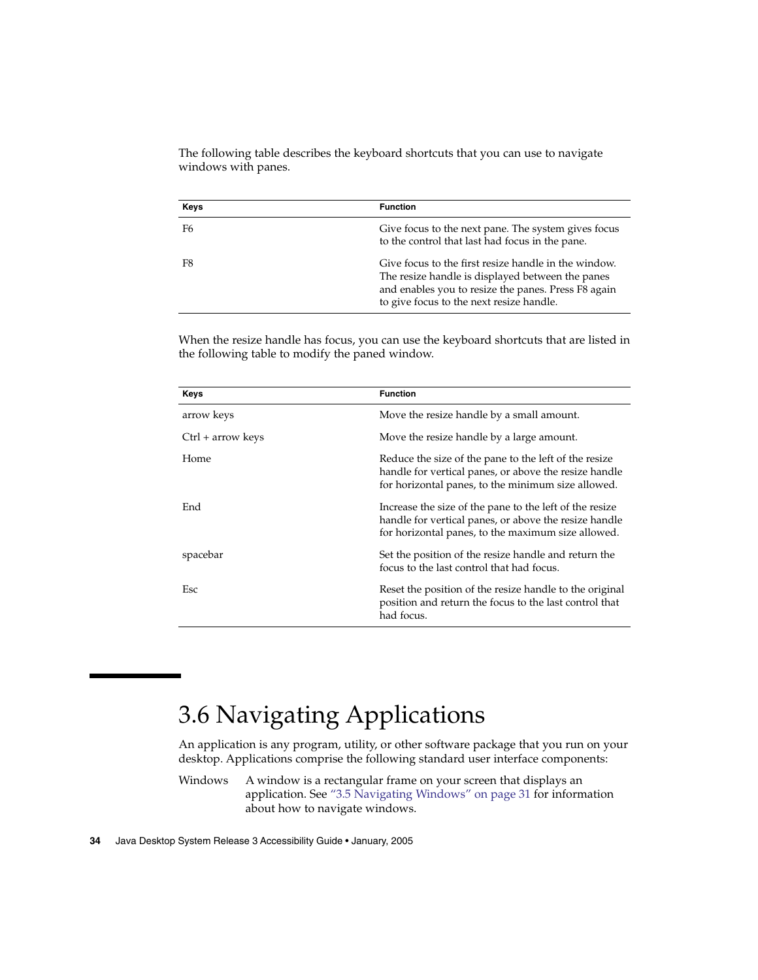<span id="page-33-0"></span>The following table describes the keyboard shortcuts that you can use to navigate windows with panes.

| Keys | <b>Function</b>                                                                                                                                                                                             |
|------|-------------------------------------------------------------------------------------------------------------------------------------------------------------------------------------------------------------|
| F6   | Give focus to the next pane. The system gives focus<br>to the control that last had focus in the pane.                                                                                                      |
| F8   | Give focus to the first resize handle in the window.<br>The resize handle is displayed between the panes<br>and enables you to resize the panes. Press F8 again<br>to give focus to the next resize handle. |

When the resize handle has focus, you can use the keyboard shortcuts that are listed in the following table to modify the paned window.

| Keys                | <b>Function</b>                                                                                                                                                        |
|---------------------|------------------------------------------------------------------------------------------------------------------------------------------------------------------------|
| arrow keys          | Move the resize handle by a small amount.                                                                                                                              |
| $Ctrl + arrow$ keys | Move the resize handle by a large amount.                                                                                                                              |
| Home                | Reduce the size of the pane to the left of the resize<br>handle for vertical panes, or above the resize handle<br>for horizontal panes, to the minimum size allowed.   |
| End                 | Increase the size of the pane to the left of the resize<br>handle for vertical panes, or above the resize handle<br>for horizontal panes, to the maximum size allowed. |
| spacebar            | Set the position of the resize handle and return the<br>focus to the last control that had focus.                                                                      |
| Esc                 | Reset the position of the resize handle to the original<br>position and return the focus to the last control that<br>had focus.                                        |

## 3.6 Navigating Applications

An application is any program, utility, or other software package that you run on your desktop. Applications comprise the following standard user interface components:

Windows A window is a rectangular frame on your screen that displays an application. See ["3.5 Navigating Windows"](#page-30-0) on page 31 for information about how to navigate windows.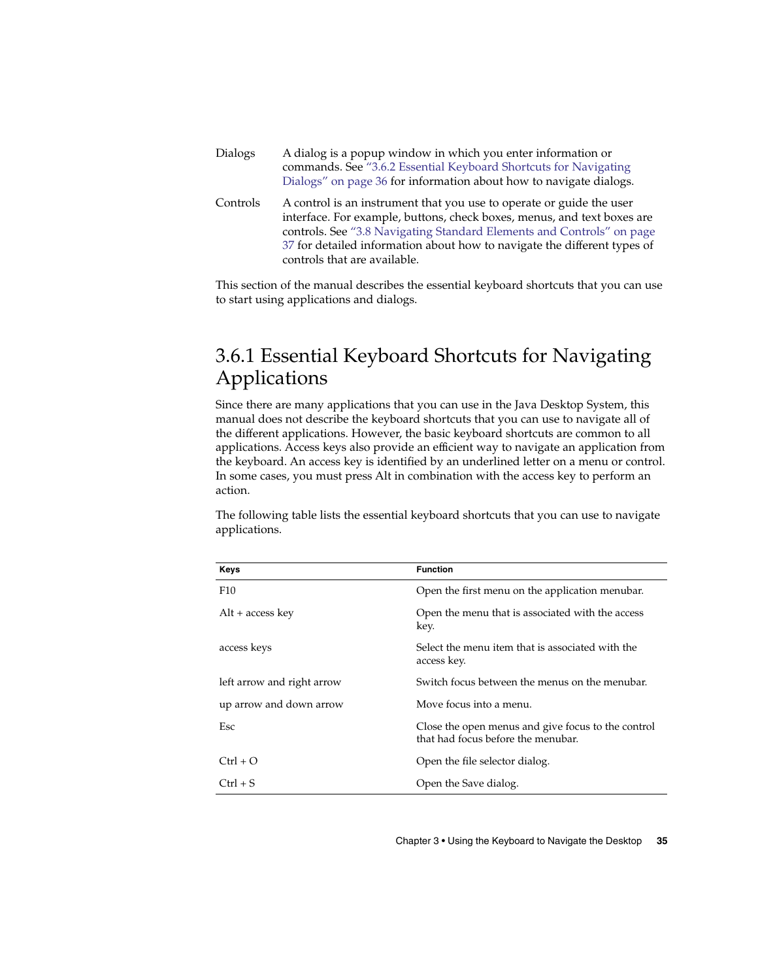<span id="page-34-0"></span>

| <b>Dialogs</b> | A dialog is a popup window in which you enter information or             |
|----------------|--------------------------------------------------------------------------|
|                | commands. See "3.6.2 Essential Keyboard Shortcuts for Navigating         |
|                | Dialogs" on page 36 for information about how to navigate dialogs.       |
| Controls       | A control is an instrument that you use to operate or guide the user     |
|                | interface. For example, buttons, check boxes, menus, and text boxes are  |
|                | controls. See "3.8 Navigating Standard Elements and Controls" on page    |
|                | 37 for detailed information about how to navigate the different types of |

This section of the manual describes the essential keyboard shortcuts that you can use to start using applications and dialogs.

controls that are available.

### 3.6.1 Essential Keyboard Shortcuts for Navigating Applications

Since there are many applications that you can use in the Java Desktop System, this manual does not describe the keyboard shortcuts that you can use to navigate all of the different applications. However, the basic keyboard shortcuts are common to all applications. Access keys also provide an efficient way to navigate an application from the keyboard. An access key is identified by an underlined letter on a menu or control. In some cases, you must press Alt in combination with the access key to perform an action.

The following table lists the essential keyboard shortcuts that you can use to navigate applications.

| Keys                       | <b>Function</b>                                                                          |
|----------------------------|------------------------------------------------------------------------------------------|
| F <sub>10</sub>            | Open the first menu on the application menubar.                                          |
| $Alt + access key$         | Open the menu that is associated with the access<br>key.                                 |
| access keys                | Select the menu item that is associated with the<br>access key.                          |
| left arrow and right arrow | Switch focus between the menus on the menubar.                                           |
| up arrow and down arrow    | Move focus into a menu.                                                                  |
| Esc                        | Close the open menus and give focus to the control<br>that had focus before the menubar. |
| $Ctrl + O$                 | Open the file selector dialog.                                                           |
| $Ctrl + S$                 | Open the Save dialog.                                                                    |

Chapter 3 • Using the Keyboard to Navigate the Desktop **35**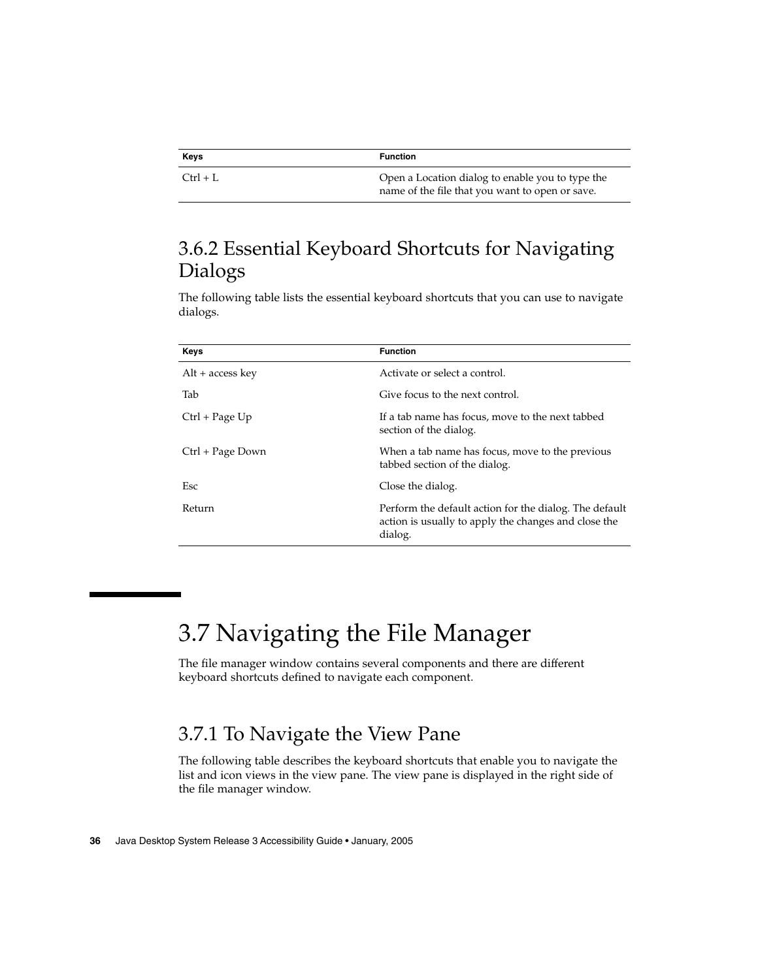<span id="page-35-0"></span>

| Keys       | <b>Function</b>                                  |
|------------|--------------------------------------------------|
| $Ctrl + L$ | Open a Location dialog to enable you to type the |
|            | name of the file that you want to open or save.  |

### 3.6.2 Essential Keyboard Shortcuts for Navigating Dialogs

The following table lists the essential keyboard shortcuts that you can use to navigate dialogs.

| Keys               | <b>Function</b>                                                                                                           |
|--------------------|---------------------------------------------------------------------------------------------------------------------------|
| $Alt + access key$ | Activate or select a control.                                                                                             |
| Tab                | Give focus to the next control.                                                                                           |
| Ctrl + Page Up     | If a tab name has focus, move to the next tabbed<br>section of the dialog.                                                |
| Ctrl + Page Down   | When a tab name has focus, move to the previous<br>tabbed section of the dialog.                                          |
| Esc                | Close the dialog.                                                                                                         |
| Return             | Perform the default action for the dialog. The default<br>action is usually to apply the changes and close the<br>dialog. |

## 3.7 Navigating the File Manager

The file manager window contains several components and there are different keyboard shortcuts defined to navigate each component.

### 3.7.1 To Navigate the View Pane

The following table describes the keyboard shortcuts that enable you to navigate the list and icon views in the view pane. The view pane is displayed in the right side of the file manager window.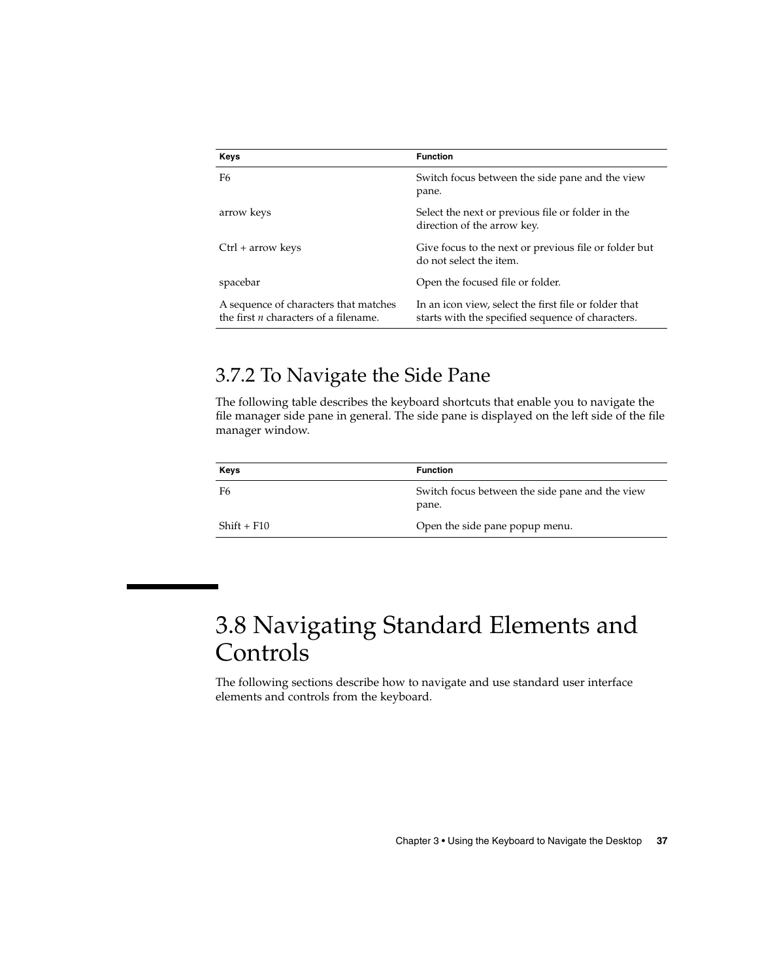| Keys                                                                             | <b>Function</b>                                                                                            |
|----------------------------------------------------------------------------------|------------------------------------------------------------------------------------------------------------|
| F6                                                                               | Switch focus between the side pane and the view<br>pane.                                                   |
| arrow keys                                                                       | Select the next or previous file or folder in the<br>direction of the arrow key.                           |
| $Ctrl + arrow$ keys                                                              | Give focus to the next or previous file or folder but<br>do not select the item.                           |
| spacebar                                                                         | Open the focused file or folder.                                                                           |
| A sequence of characters that matches<br>the first $n$ characters of a filename. | In an icon view, select the first file or folder that<br>starts with the specified sequence of characters. |

### 3.7.2 To Navigate the Side Pane

The following table describes the keyboard shortcuts that enable you to navigate the file manager side pane in general. The side pane is displayed on the left side of the file manager window.

| F6<br>Switch focus between the side pane and the view<br>pane. | Keys | <b>Function</b> |
|----------------------------------------------------------------|------|-----------------|
|                                                                |      |                 |
| $Shift + F10$<br>Open the side pane popup menu.                |      |                 |

# 3.8 Navigating Standard Elements and Controls

The following sections describe how to navigate and use standard user interface elements and controls from the keyboard.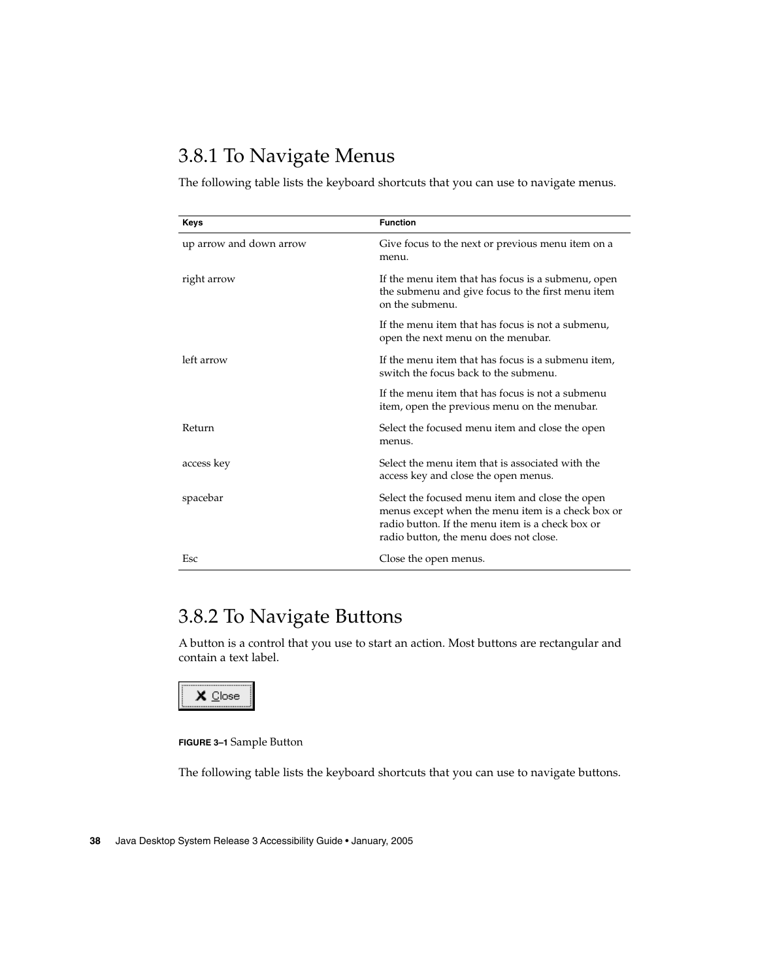### 3.8.1 To Navigate Menus

The following table lists the keyboard shortcuts that you can use to navigate menus.

| Keys                    | <b>Function</b>                                                                                                                                                                                    |
|-------------------------|----------------------------------------------------------------------------------------------------------------------------------------------------------------------------------------------------|
| up arrow and down arrow | Give focus to the next or previous menu item on a<br>menu.                                                                                                                                         |
| right arrow             | If the menu item that has focus is a submenu, open<br>the submenu and give focus to the first menu item<br>on the submenu.                                                                         |
|                         | If the menu item that has focus is not a submenu,<br>open the next menu on the menubar.                                                                                                            |
| left arrow              | If the menu item that has focus is a submenu item,<br>switch the focus back to the submenu.                                                                                                        |
|                         | If the menu item that has focus is not a submenu<br>item, open the previous menu on the menubar.                                                                                                   |
| Return                  | Select the focused menu item and close the open<br>menus.                                                                                                                                          |
| access key              | Select the menu item that is associated with the<br>access key and close the open menus.                                                                                                           |
| spacebar                | Select the focused menu item and close the open<br>menus except when the menu item is a check box or<br>radio button. If the menu item is a check box or<br>radio button, the menu does not close. |
| Esc                     | Close the open menus.                                                                                                                                                                              |

### 3.8.2 To Navigate Buttons

A button is a control that you use to start an action. Most buttons are rectangular and contain a text label.



**FIGURE 3–1** Sample Button

The following table lists the keyboard shortcuts that you can use to navigate buttons.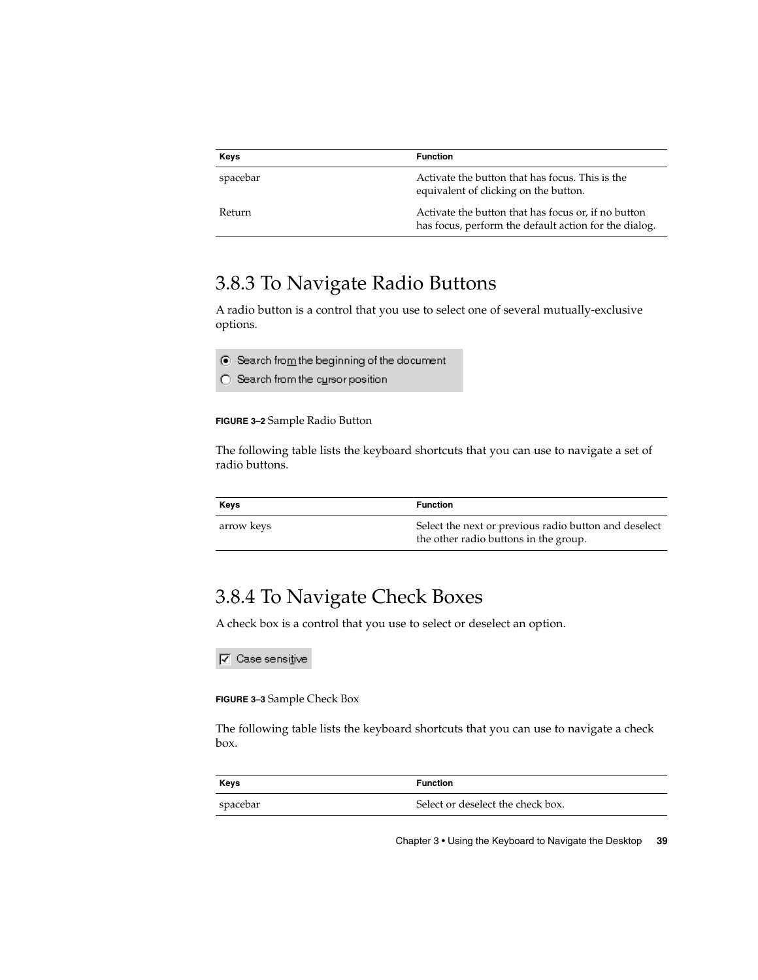| Keys     | <b>Function</b>                                                                                              |
|----------|--------------------------------------------------------------------------------------------------------------|
| spacebar | Activate the button that has focus. This is the<br>equivalent of clicking on the button.                     |
| Return   | Activate the button that has focus or, if no button<br>has focus, perform the default action for the dialog. |

### 3.8.3 To Navigate Radio Buttons

A radio button is a control that you use to select one of several mutually-exclusive options.

- Search from the beginning of the document
- Search from the cursor position

**FIGURE 3–2** Sample Radio Button

The following table lists the keyboard shortcuts that you can use to navigate a set of radio buttons.

| Select the next or previous radio button and deselect<br>the other radio buttons in the group. |
|------------------------------------------------------------------------------------------------|
|                                                                                                |

### 3.8.4 To Navigate Check Boxes

A check box is a control that you use to select or deselect an option.

 $\nabla$  Case sensitive

#### **FIGURE 3–3** Sample Check Box

The following table lists the keyboard shortcuts that you can use to navigate a check box.

| Keys     | <b>Function</b>                   |
|----------|-----------------------------------|
| spacebar | Select or deselect the check box. |

Chapter 3 • Using the Keyboard to Navigate the Desktop **39**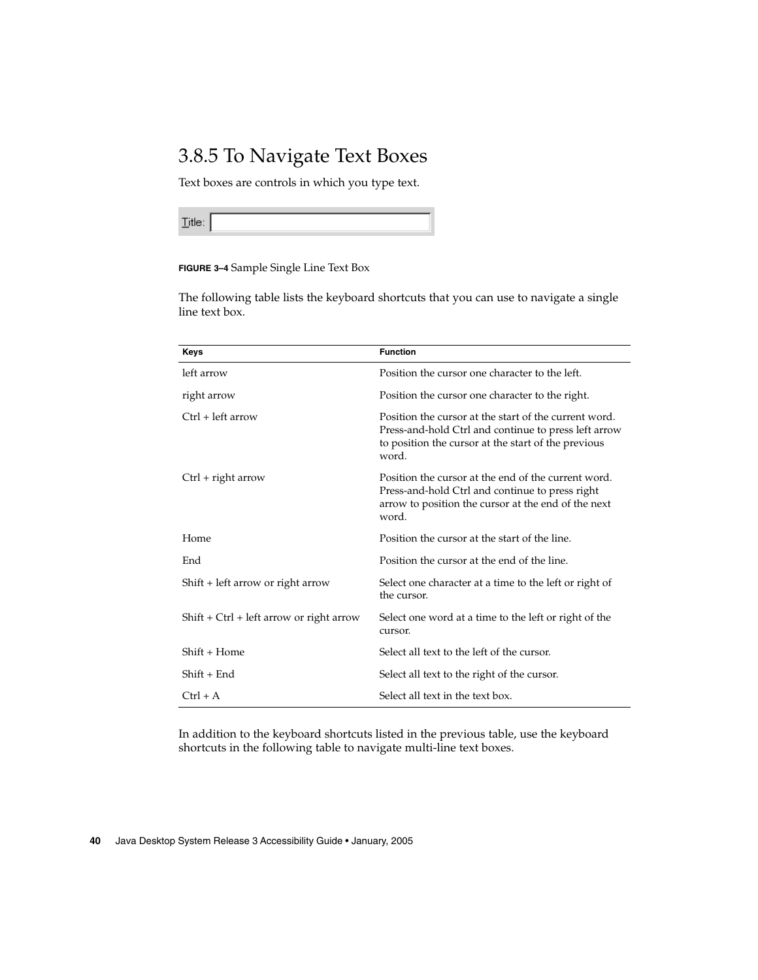### <span id="page-39-0"></span>3.8.5 To Navigate Text Boxes

Text boxes are controls in which you type text.

| <u>.</u> |  |
|----------|--|
|          |  |

**FIGURE 3–4** Sample Single Line Text Box

The following table lists the keyboard shortcuts that you can use to navigate a single line text box.

| Keys                                       | <b>Function</b>                                                                                                                                                               |
|--------------------------------------------|-------------------------------------------------------------------------------------------------------------------------------------------------------------------------------|
| left arrow                                 | Position the cursor one character to the left.                                                                                                                                |
| right arrow                                | Position the cursor one character to the right.                                                                                                                               |
| $Ctrl + left arrow$                        | Position the cursor at the start of the current word.<br>Press-and-hold Ctrl and continue to press left arrow<br>to position the cursor at the start of the previous<br>word. |
| $Ctrl + right arrow$                       | Position the cursor at the end of the current word.<br>Press-and-hold Ctrl and continue to press right<br>arrow to position the cursor at the end of the next<br>word.        |
| Home                                       | Position the cursor at the start of the line.                                                                                                                                 |
| End                                        | Position the cursor at the end of the line.                                                                                                                                   |
| Shift $+$ left arrow or right arrow        | Select one character at a time to the left or right of<br>the cursor.                                                                                                         |
| Shift + $Ctrl$ + left arrow or right arrow | Select one word at a time to the left or right of the<br>cursor.                                                                                                              |
| Shift + Home                               | Select all text to the left of the cursor.                                                                                                                                    |
| $Shift + End$                              | Select all text to the right of the cursor.                                                                                                                                   |
| $Ctrl + A$                                 | Select all text in the text box.                                                                                                                                              |

In addition to the keyboard shortcuts listed in the previous table, use the keyboard shortcuts in the following table to navigate multi-line text boxes.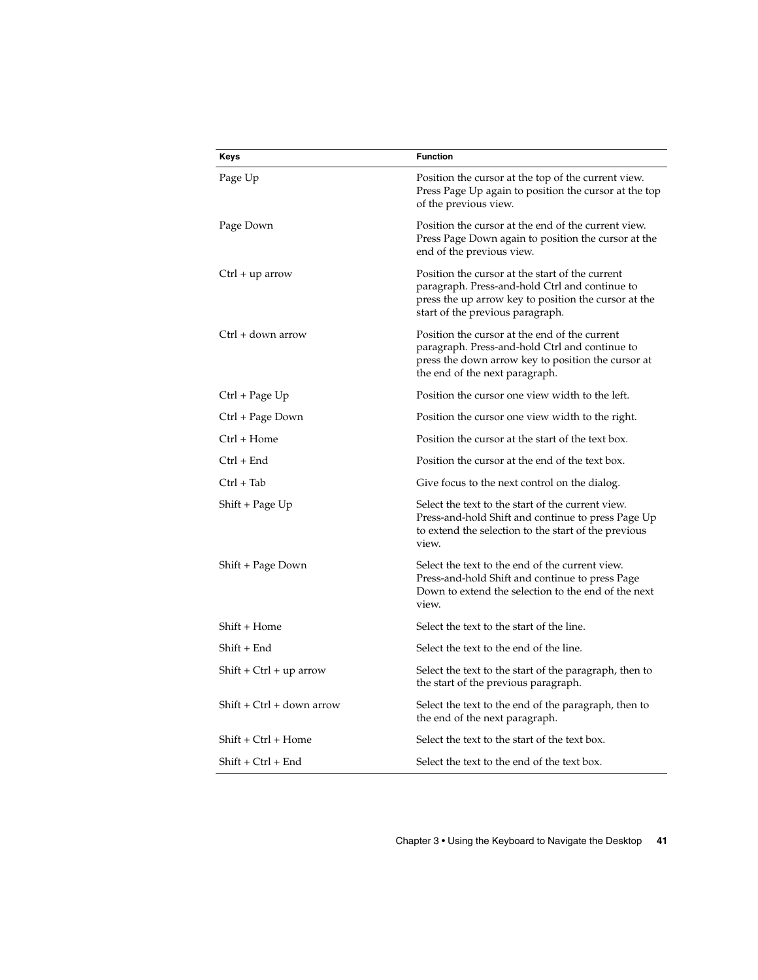| Keys                      | <b>Function</b>                                                                                                                                                                               |  |
|---------------------------|-----------------------------------------------------------------------------------------------------------------------------------------------------------------------------------------------|--|
| Page Up                   | Position the cursor at the top of the current view.<br>Press Page Up again to position the cursor at the top<br>of the previous view.                                                         |  |
| Page Down                 | Position the cursor at the end of the current view.<br>Press Page Down again to position the cursor at the<br>end of the previous view.                                                       |  |
| $Ctrl + up arrow$         | Position the cursor at the start of the current<br>paragraph. Press-and-hold Ctrl and continue to<br>press the up arrow key to position the cursor at the<br>start of the previous paragraph. |  |
| Ctrl + down arrow         | Position the cursor at the end of the current<br>paragraph. Press-and-hold Ctrl and continue to<br>press the down arrow key to position the cursor at<br>the end of the next paragraph.       |  |
| Ctrl + Page Up            | Position the cursor one view width to the left.                                                                                                                                               |  |
| Ctrl + Page Down          | Position the cursor one view width to the right.                                                                                                                                              |  |
| Ctrl + Home               | Position the cursor at the start of the text box.                                                                                                                                             |  |
| Ctrl + End                | Position the cursor at the end of the text box.                                                                                                                                               |  |
| Ctrl + Tab                | Give focus to the next control on the dialog.                                                                                                                                                 |  |
| Shift + Page Up           | Select the text to the start of the current view.<br>Press-and-hold Shift and continue to press Page Up<br>to extend the selection to the start of the previous<br>view.                      |  |
| Shift + Page Down         | Select the text to the end of the current view.<br>Press-and-hold Shift and continue to press Page<br>Down to extend the selection to the end of the next<br>view.                            |  |
| Shift + Home              | Select the text to the start of the line.                                                                                                                                                     |  |
| Shift + End               | Select the text to the end of the line.                                                                                                                                                       |  |
| $Shift + Crit + up arrow$ | Select the text to the start of the paragraph, then to<br>the start of the previous paragraph.                                                                                                |  |
| Shift + Ctrl + down arrow | Select the text to the end of the paragraph, then to<br>the end of the next paragraph.                                                                                                        |  |
| Shift + Ctrl + Home       | Select the text to the start of the text box.                                                                                                                                                 |  |
| Shift + Ctrl + End        | Select the text to the end of the text box.                                                                                                                                                   |  |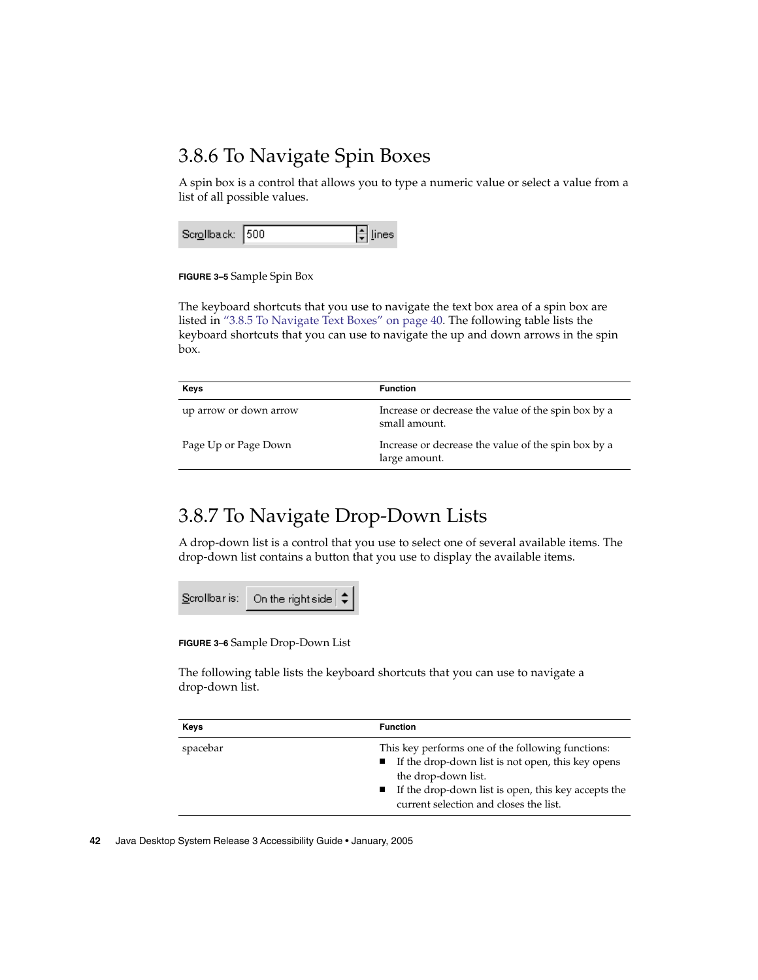### 3.8.6 To Navigate Spin Boxes

A spin box is a control that allows you to type a numeric value or select a value from a list of all possible values.

| Scrollback: 500 |  | ≑ <u>l</u> ines |
|-----------------|--|-----------------|
|                 |  |                 |

**FIGURE 3–5** Sample Spin Box

The keyboard shortcuts that you use to navigate the text box area of a spin box are listed in ["3.8.5 To Navigate Text Boxes"](#page-39-0) on page 40. The following table lists the keyboard shortcuts that you can use to navigate the up and down arrows in the spin box.

| Keys                   | <b>Function</b>                                                      |
|------------------------|----------------------------------------------------------------------|
| up arrow or down arrow | Increase or decrease the value of the spin box by a<br>small amount. |
| Page Up or Page Down   | Increase or decrease the value of the spin box by a<br>large amount. |

### 3.8.7 To Navigate Drop-Down Lists

A drop-down list is a control that you use to select one of several available items. The drop-down list contains a button that you use to display the available items.

| Scrollbar is: | On the right side $\left\vert \div\right\vert$ |  |
|---------------|------------------------------------------------|--|
|               |                                                |  |

**FIGURE 3–6** Sample Drop-Down List

The following table lists the keyboard shortcuts that you can use to navigate a drop-down list.

| <b>Keys</b> | <b>Function</b>                                                                                                                                                                                                                                              |
|-------------|--------------------------------------------------------------------------------------------------------------------------------------------------------------------------------------------------------------------------------------------------------------|
| spacebar    | This key performs one of the following functions:<br>$\blacksquare$ If the drop-down list is not open, this key opens<br>the drop-down list.<br>$\blacksquare$ If the drop-down list is open, this key accepts the<br>current selection and closes the list. |

**42** Java Desktop System Release 3 Accessibility Guide • January, 2005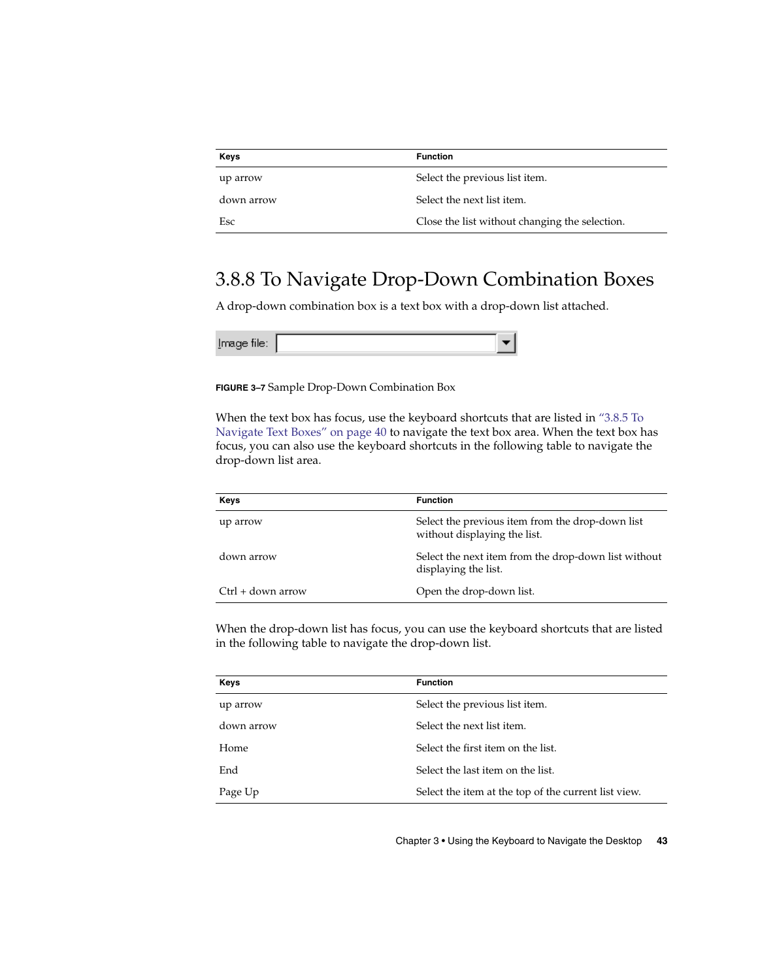| Keys       | <b>Function</b>                                |
|------------|------------------------------------------------|
| up arrow   | Select the previous list item.                 |
| down arrow | Select the next list item.                     |
| Esc        | Close the list without changing the selection. |

### 3.8.8 To Navigate Drop-Down Combination Boxes

A drop-down combination box is a text box with a drop-down list attached.

| of the control<br>$\overline{\phantom{a}}$ |  |  |
|--------------------------------------------|--|--|
|                                            |  |  |

**FIGURE 3–7** Sample Drop-Down Combination Box

When the text box has focus, use the keyboard shortcuts that are listed in ["3.8.5 To](#page-39-0) [Navigate Text Boxes"](#page-39-0) on page 40 to navigate the text box area. When the text box has focus, you can also use the keyboard shortcuts in the following table to navigate the drop-down list area.

| Keys                | <b>Function</b>                                                                  |
|---------------------|----------------------------------------------------------------------------------|
| up arrow            | Select the previous item from the drop-down list<br>without displaying the list. |
| down arrow          | Select the next item from the drop-down list without<br>displaying the list.     |
| $Ctrl + down arrow$ | Open the drop-down list.                                                         |

When the drop-down list has focus, you can use the keyboard shortcuts that are listed in the following table to navigate the drop-down list.

| Keys       | <b>Function</b>                                      |
|------------|------------------------------------------------------|
| up arrow   | Select the previous list item.                       |
| down arrow | Select the next list item.                           |
| Home       | Select the first item on the list.                   |
| End        | Select the last item on the list.                    |
| Page Up    | Select the item at the top of the current list view. |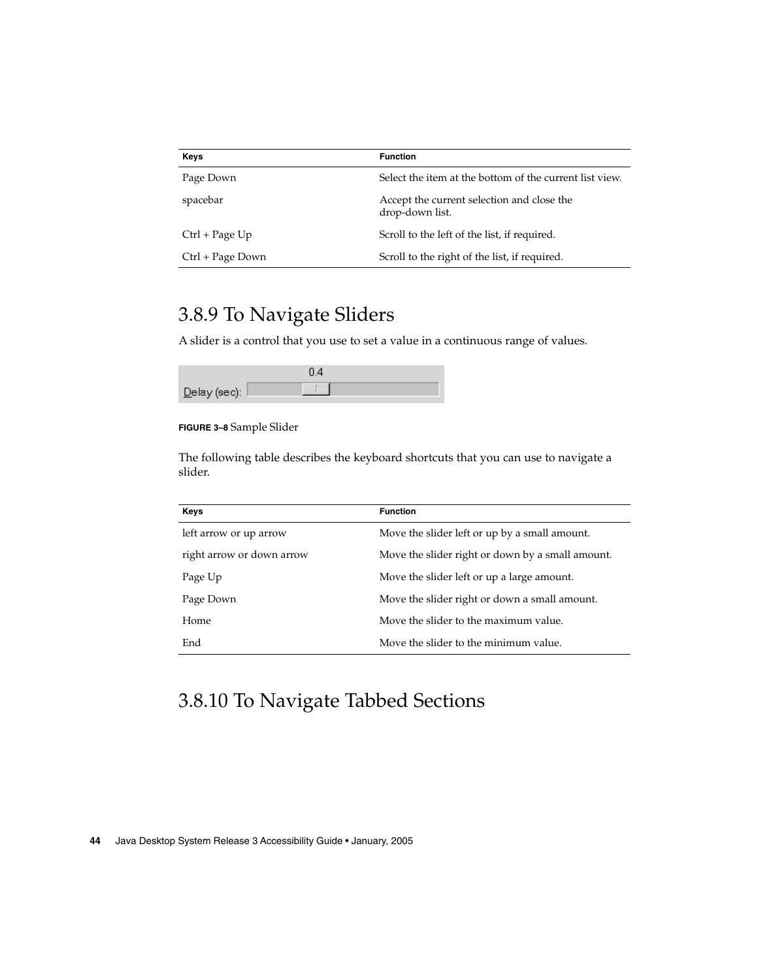| Keys             | <b>Function</b>                                               |
|------------------|---------------------------------------------------------------|
| Page Down        | Select the item at the bottom of the current list view.       |
| spacebar         | Accept the current selection and close the<br>drop-down list. |
| $Ctrl + Page Up$ | Scroll to the left of the list, if required.                  |
| Ctrl + Page Down | Scroll to the right of the list, if required.                 |

### 3.8.9 To Navigate Sliders

A slider is a control that you use to set a value in a continuous range of values.

| Delay (sec): |  |
|--------------|--|

#### **FIGURE 3–8** Sample Slider

The following table describes the keyboard shortcuts that you can use to navigate a slider.

| <b>Keys</b>               | <b>Function</b>                                  |
|---------------------------|--------------------------------------------------|
| left arrow or up arrow    | Move the slider left or up by a small amount.    |
| right arrow or down arrow | Move the slider right or down by a small amount. |
| Page Up                   | Move the slider left or up a large amount.       |
| Page Down                 | Move the slider right or down a small amount.    |
| Home                      | Move the slider to the maximum value.            |
| End                       | Move the slider to the minimum value.            |

### 3.8.10 To Navigate Tabbed Sections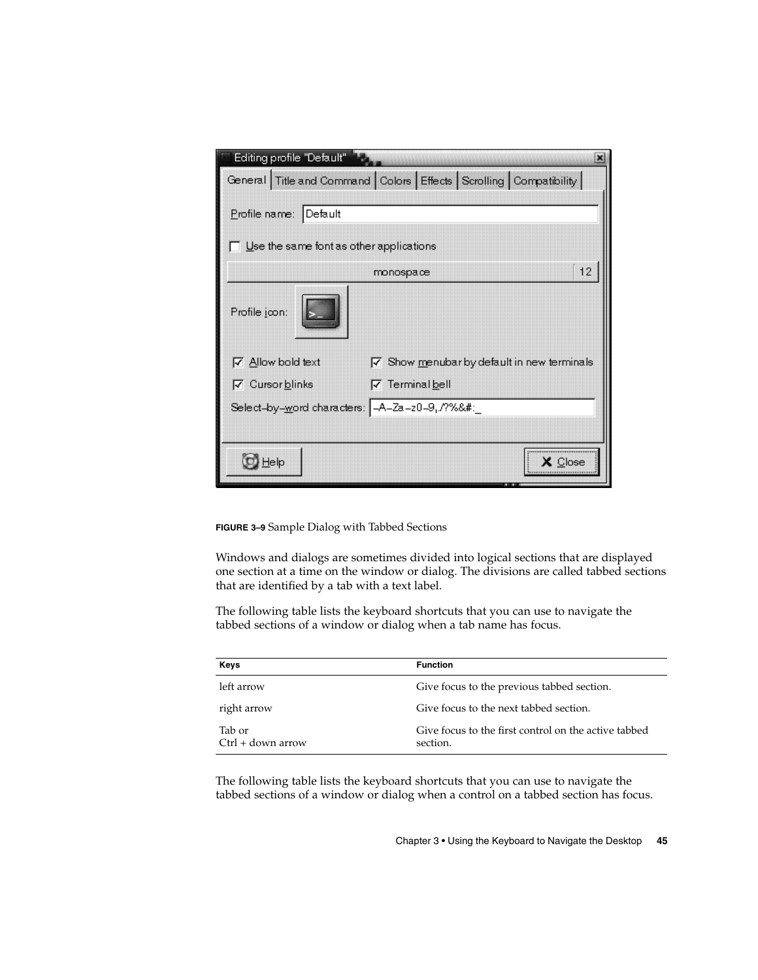| Editing profile "Default"                                                                                                                             |                                                                            |
|-------------------------------------------------------------------------------------------------------------------------------------------------------|----------------------------------------------------------------------------|
|                                                                                                                                                       | General   Title and Command   Colors   Effects   Scrolling   Compatibility |
| Profile name: Default                                                                                                                                 |                                                                            |
| $\overline{\phantom{a}}$ Use the same font as other applications                                                                                      |                                                                            |
|                                                                                                                                                       | monospace                                                                  |
| Profile joon:                                                                                                                                         |                                                                            |
| $\nabla$ Allow bold text                                                                                                                              | $\nabla$ Show menubar by default in new terminals                          |
| <b>▽</b> Cursor blinks                                                                                                                                | $\nabla$ Terminal bell                                                     |
| Select-by-word characters:  -A-Za-z0-9,./?%&#:_</td><td></td></tr><tr><td></td><td></td></tr><tr><td>Help</td><td><br>Close</td></tr></tbody></table> |                                                                            |

**FIGURE 3–9** Sample Dialog with Tabbed Sections

Windows and dialogs are sometimes divided into logical sections that are displayed one section at a time on the window or dialog. The divisions are called tabbed sections that are identified by a tab with a text label.

The following table lists the keyboard shortcuts that you can use to navigate the tabbed sections of a window or dialog when a tab name has focus.

| <b>Keys</b>                   | <b>Function</b>                                                  |
|-------------------------------|------------------------------------------------------------------|
| left arrow                    | Give focus to the previous tabbed section.                       |
| right arrow                   | Give focus to the next tabbed section.                           |
| Tab or<br>$Ctrl + down arrow$ | Give focus to the first control on the active tabbed<br>section. |

The following table lists the keyboard shortcuts that you can use to navigate the tabbed sections of a window or dialog when a control on a tabbed section has focus.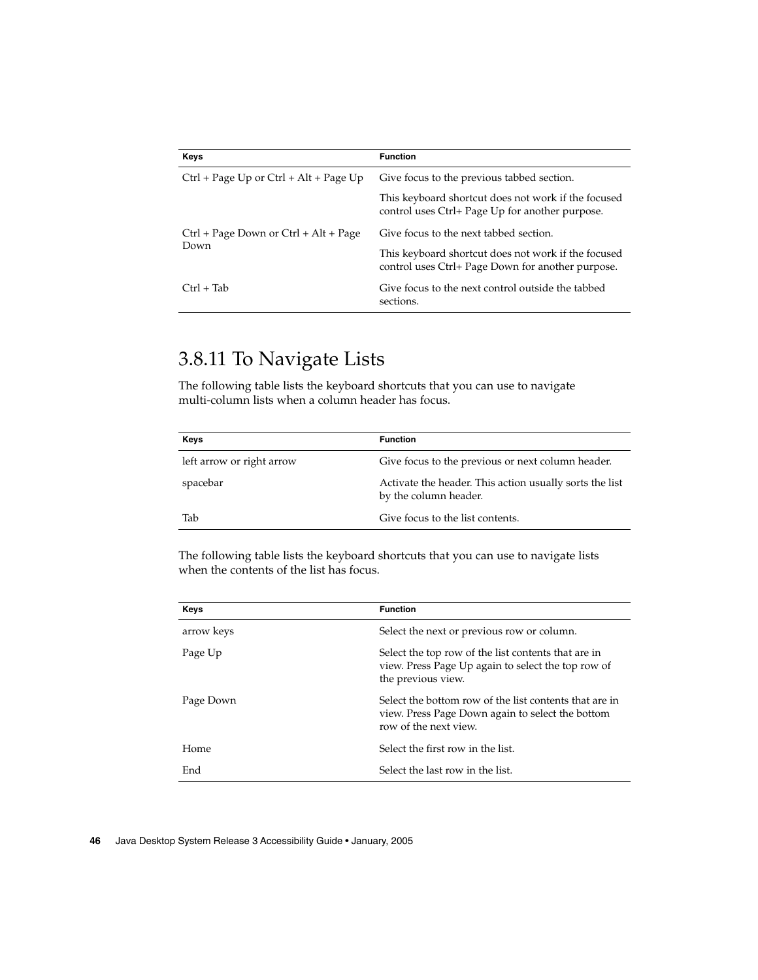<span id="page-45-0"></span>

| <b>Keys</b>                                     | <b>Function</b>                                                                                          |
|-------------------------------------------------|----------------------------------------------------------------------------------------------------------|
| $Ctrl + Page Up or Ctrl + Alt + Page Up$        | Give focus to the previous tabbed section.                                                               |
|                                                 | This keyboard shortcut does not work if the focused<br>control uses Ctrl+ Page Up for another purpose.   |
| $Ctrl + Page Down or Ctrl + Alt + Page$<br>Down | Give focus to the next tabbed section.                                                                   |
|                                                 | This keyboard shortcut does not work if the focused<br>control uses Ctrl+ Page Down for another purpose. |
| $Ctrl + Tab$                                    | Give focus to the next control outside the tabbed<br>sections.                                           |

### 3.8.11 To Navigate Lists

The following table lists the keyboard shortcuts that you can use to navigate multi-column lists when a column header has focus.

| <b>Keys</b>               | <b>Function</b>                                                                  |
|---------------------------|----------------------------------------------------------------------------------|
| left arrow or right arrow | Give focus to the previous or next column header.                                |
| spacebar                  | Activate the header. This action usually sorts the list<br>by the column header. |
| Tab                       | Give focus to the list contents.                                                 |

The following table lists the keyboard shortcuts that you can use to navigate lists when the contents of the list has focus.

| Keys       | <b>Function</b>                                                                                                                     |
|------------|-------------------------------------------------------------------------------------------------------------------------------------|
| arrow keys | Select the next or previous row or column.                                                                                          |
| Page Up    | Select the top row of the list contents that are in<br>view. Press Page Up again to select the top row of<br>the previous view.     |
| Page Down  | Select the bottom row of the list contents that are in<br>view. Press Page Down again to select the bottom<br>row of the next view. |
| Home       | Select the first row in the list.                                                                                                   |
| End        | Select the last row in the list.                                                                                                    |

**46** Java Desktop System Release 3 Accessibility Guide • January, 2005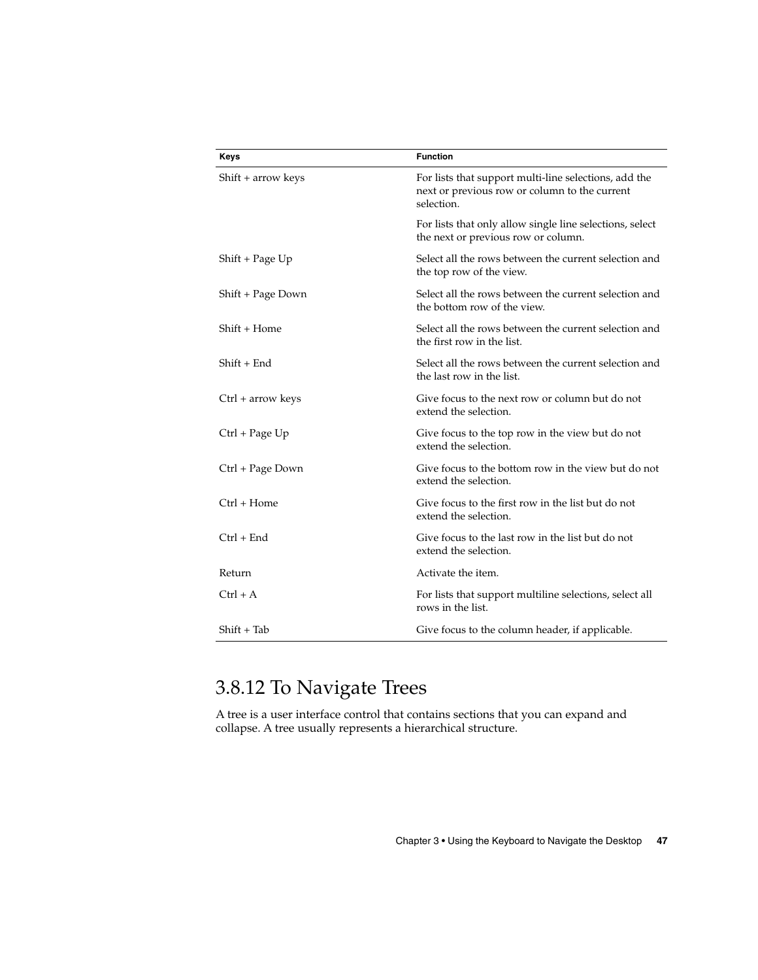| Keys               | <b>Function</b>                                                                                                      |
|--------------------|----------------------------------------------------------------------------------------------------------------------|
| Shift + arrow keys | For lists that support multi-line selections, add the<br>next or previous row or column to the current<br>selection. |
|                    | For lists that only allow single line selections, select<br>the next or previous row or column.                      |
| Shift + Page Up    | Select all the rows between the current selection and<br>the top row of the view.                                    |
| Shift + Page Down  | Select all the rows between the current selection and<br>the bottom row of the view.                                 |
| Shift + Home       | Select all the rows between the current selection and<br>the first row in the list.                                  |
| $Shift + End$      | Select all the rows between the current selection and<br>the last row in the list.                                   |
| Ctrl + arrow keys  | Give focus to the next row or column but do not<br>extend the selection.                                             |
| Ctrl + Page Up     | Give focus to the top row in the view but do not<br>extend the selection.                                            |
| Ctrl + Page Down   | Give focus to the bottom row in the view but do not<br>extend the selection.                                         |
| Ctrl + Home        | Give focus to the first row in the list but do not<br>extend the selection.                                          |
| $Ctrl + End$       | Give focus to the last row in the list but do not<br>extend the selection.                                           |
| Return             | Activate the item.                                                                                                   |
| $Ctrl + A$         | For lists that support multiline selections, select all<br>rows in the list.                                         |
| $Shift + Tab$      | Give focus to the column header, if applicable.                                                                      |

### 3.8.12 To Navigate Trees

A tree is a user interface control that contains sections that you can expand and collapse. A tree usually represents a hierarchical structure.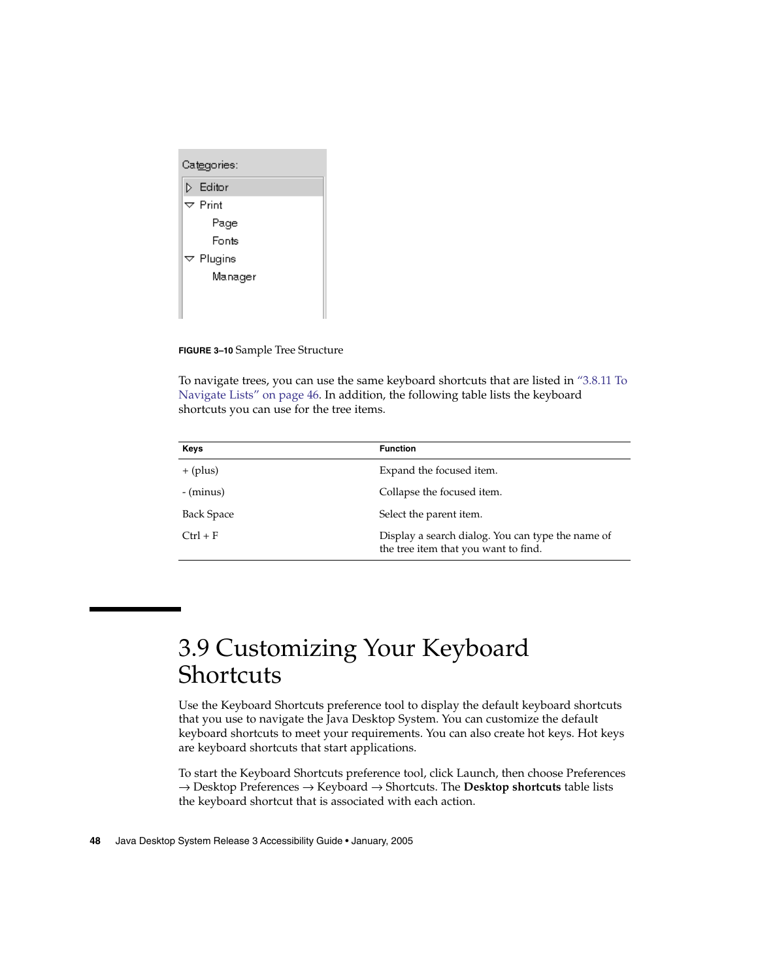| Cat <u>e</u> gories: |                         |  |
|----------------------|-------------------------|--|
|                      | D Editor                |  |
|                      | $\triangledown$ Print   |  |
|                      | Page                    |  |
|                      | Fonts                   |  |
|                      | $\triangledown$ Plugins |  |
|                      | Manager                 |  |
|                      |                         |  |
|                      |                         |  |

**FIGURE 3–10** Sample Tree Structure

To navigate trees, you can use the same keyboard shortcuts that are listed in ["3.8.11 To](#page-45-0) [Navigate Lists"](#page-45-0) on page 46. In addition, the following table lists the keyboard shortcuts you can use for the tree items.

| Keys              | <b>Function</b>                                                                           |
|-------------------|-------------------------------------------------------------------------------------------|
| $+$ (plus)        | Expand the focused item.                                                                  |
| - (minus)         | Collapse the focused item.                                                                |
| <b>Back Space</b> | Select the parent item.                                                                   |
| $Ctrl + F$        | Display a search dialog. You can type the name of<br>the tree item that you want to find. |

# 3.9 Customizing Your Keyboard **Shortcuts**

Use the Keyboard Shortcuts preference tool to display the default keyboard shortcuts that you use to navigate the Java Desktop System. You can customize the default keyboard shortcuts to meet your requirements. You can also create hot keys. Hot keys are keyboard shortcuts that start applications.

To start the Keyboard Shortcuts preference tool, click Launch, then choose Preferences → Desktop Preferences → Keyboard → Shortcuts. The **Desktop shortcuts** table lists the keyboard shortcut that is associated with each action.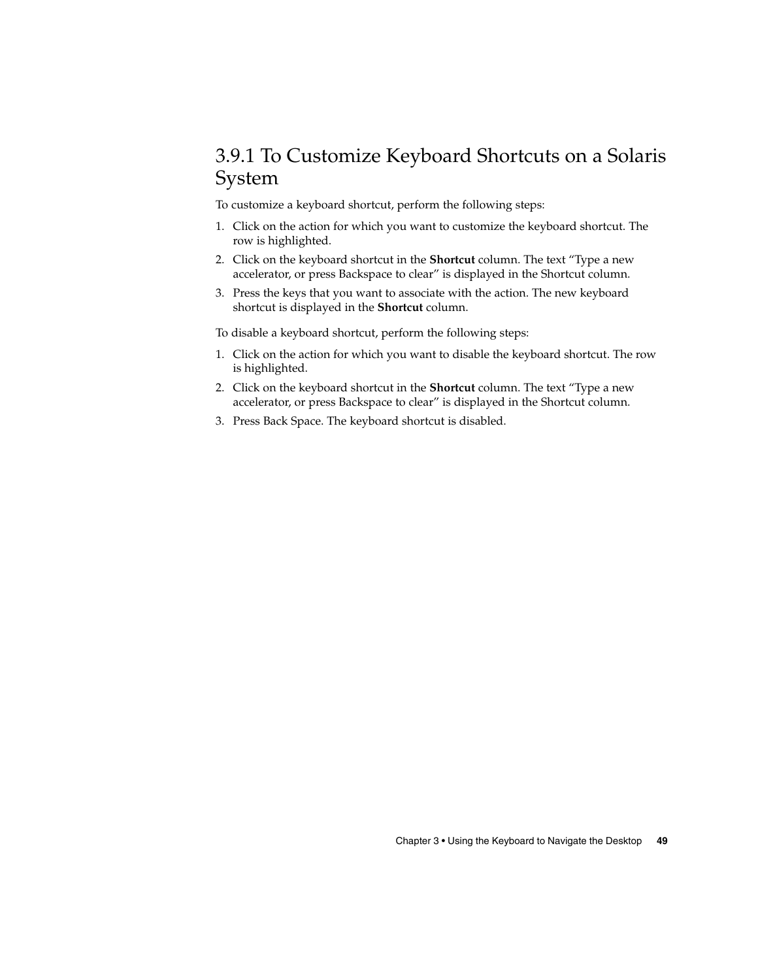### 3.9.1 To Customize Keyboard Shortcuts on a Solaris System

To customize a keyboard shortcut, perform the following steps:

- 1. Click on the action for which you want to customize the keyboard shortcut. The row is highlighted.
- 2. Click on the keyboard shortcut in the **Shortcut** column. The text "Type a new accelerator, or press Backspace to clear" is displayed in the Shortcut column.
- 3. Press the keys that you want to associate with the action. The new keyboard shortcut is displayed in the **Shortcut** column.

To disable a keyboard shortcut, perform the following steps:

- 1. Click on the action for which you want to disable the keyboard shortcut. The row is highlighted.
- 2. Click on the keyboard shortcut in the **Shortcut** column. The text "Type a new accelerator, or press Backspace to clear" is displayed in the Shortcut column.
- 3. Press Back Space. The keyboard shortcut is disabled.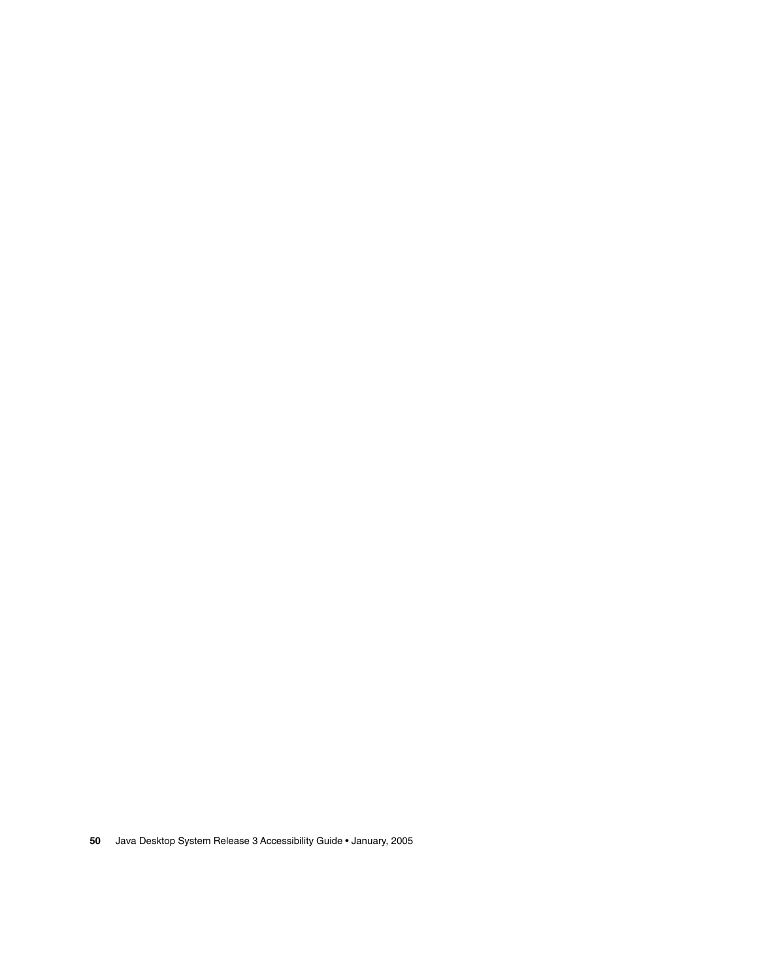Java Desktop System Release 3 Accessibility Guide • January, 2005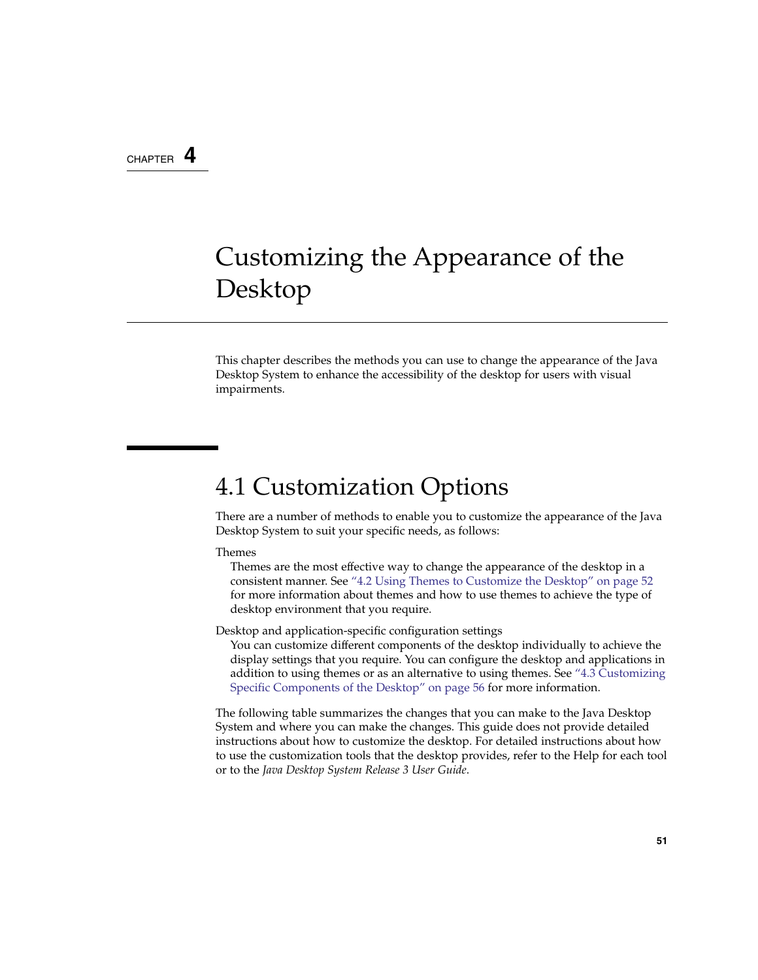#### CHAPTER **4**

# Customizing the Appearance of the Desktop

This chapter describes the methods you can use to change the appearance of the Java Desktop System to enhance the accessibility of the desktop for users with visual impairments.

### 4.1 Customization Options

There are a number of methods to enable you to customize the appearance of the Java Desktop System to suit your specific needs, as follows:

#### Themes

Themes are the most effective way to change the appearance of the desktop in a consistent manner. See ["4.2 Using Themes to Customize the Desktop"](#page-51-0) on page 52 for more information about themes and how to use themes to achieve the type of desktop environment that you require.

Desktop and application-specific configuration settings

You can customize different components of the desktop individually to achieve the display settings that you require. You can configure the desktop and applications in addition to using themes or as an alternative to using themes. See ["4.3 Customizing](#page-55-0) [Specific Components of the Desktop"](#page-55-0) on page 56 for more information.

The following table summarizes the changes that you can make to the Java Desktop System and where you can make the changes. This guide does not provide detailed instructions about how to customize the desktop. For detailed instructions about how to use the customization tools that the desktop provides, refer to the Help for each tool or to the *Java Desktop System Release 3 User Guide*.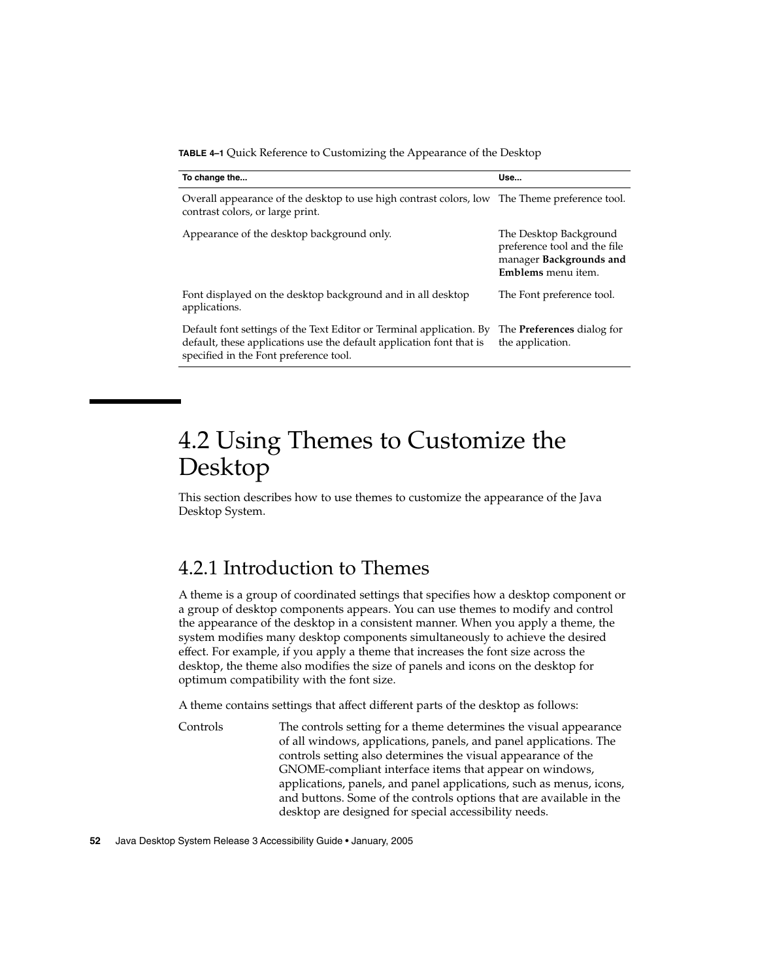<span id="page-51-0"></span>

| To change the                                                                                                                                                                          | Use                                                                                                     |
|----------------------------------------------------------------------------------------------------------------------------------------------------------------------------------------|---------------------------------------------------------------------------------------------------------|
| Overall appearance of the desktop to use high contrast colors, low The Theme preference tool.<br>contrast colors, or large print.                                                      |                                                                                                         |
| Appearance of the desktop background only.                                                                                                                                             | The Desktop Background<br>preference tool and the file<br>manager Backgrounds and<br>Emblems menu item. |
| Font displayed on the desktop background and in all desktop<br>applications.                                                                                                           | The Font preference tool.                                                                               |
| Default font settings of the Text Editor or Terminal application. By<br>default, these applications use the default application font that is<br>specified in the Font preference tool. | The <b>Preferences</b> dialog for<br>the application.                                                   |

## 4.2 Using Themes to Customize the Desktop

This section describes how to use themes to customize the appearance of the Java Desktop System.

#### 4.2.1 Introduction to Themes

A theme is a group of coordinated settings that specifies how a desktop component or a group of desktop components appears. You can use themes to modify and control the appearance of the desktop in a consistent manner. When you apply a theme, the system modifies many desktop components simultaneously to achieve the desired effect. For example, if you apply a theme that increases the font size across the desktop, the theme also modifies the size of panels and icons on the desktop for optimum compatibility with the font size.

A theme contains settings that affect different parts of the desktop as follows:

Controls The controls setting for a theme determines the visual appearance of all windows, applications, panels, and panel applications. The controls setting also determines the visual appearance of the GNOME-compliant interface items that appear on windows, applications, panels, and panel applications, such as menus, icons, and buttons. Some of the controls options that are available in the desktop are designed for special accessibility needs.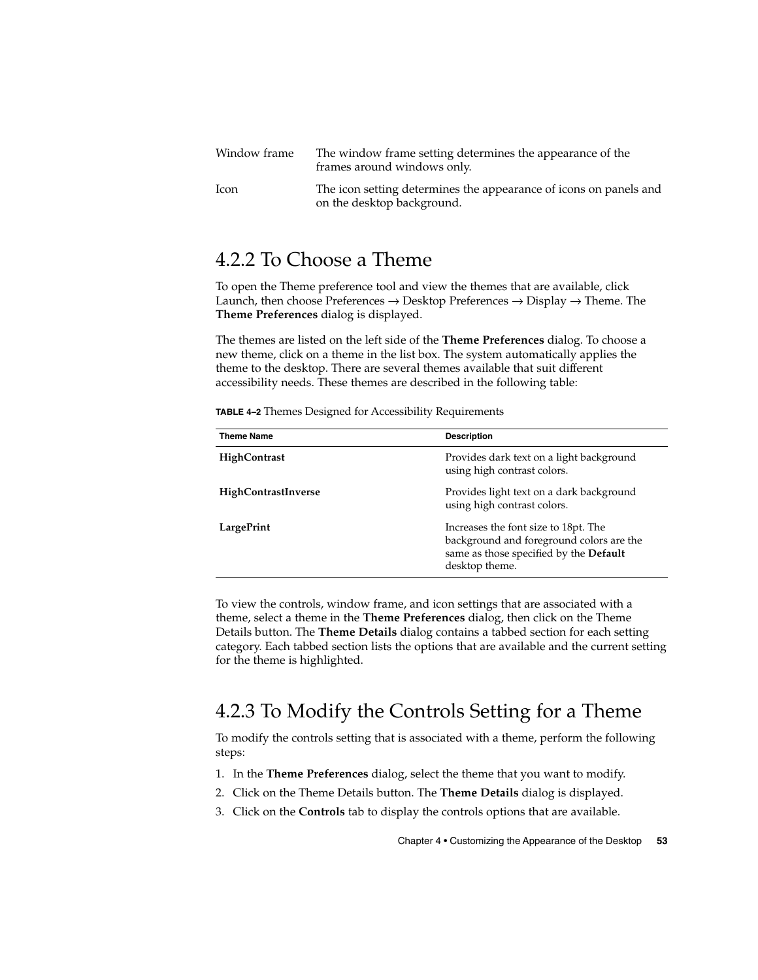| Window frame | The window frame setting determines the appearance of the<br>frames around windows only.        |
|--------------|-------------------------------------------------------------------------------------------------|
| Icon         | The icon setting determines the appearance of icons on panels and<br>on the desktop background. |

#### 4.2.2 To Choose a Theme

To open the Theme preference tool and view the themes that are available, click Launch, then choose Preferences  $\rightarrow$  Desktop Preferences  $\rightarrow$  Display  $\rightarrow$  Theme. The **Theme Preferences** dialog is displayed.

The themes are listed on the left side of the **Theme Preferences** dialog. To choose a new theme, click on a theme in the list box. The system automatically applies the theme to the desktop. There are several themes available that suit different accessibility needs. These themes are described in the following table:

| TABLE 4-2 Themes Designed for Accessibility Requirements |  |  |  |  |
|----------------------------------------------------------|--|--|--|--|
|----------------------------------------------------------|--|--|--|--|

| <b>Theme Name</b>   | <b>Description</b>                                                                                                                           |
|---------------------|----------------------------------------------------------------------------------------------------------------------------------------------|
| <b>HighContrast</b> | Provides dark text on a light background<br>using high contrast colors.                                                                      |
| HighContrastInverse | Provides light text on a dark background<br>using high contrast colors.                                                                      |
| <b>LargePrint</b>   | Increases the font size to 18pt. The<br>background and foreground colors are the<br>same as those specified by the Default<br>desktop theme. |

To view the controls, window frame, and icon settings that are associated with a theme, select a theme in the **Theme Preferences** dialog, then click on the Theme Details button. The **Theme Details** dialog contains a tabbed section for each setting category. Each tabbed section lists the options that are available and the current setting for the theme is highlighted.

### 4.2.3 To Modify the Controls Setting for a Theme

To modify the controls setting that is associated with a theme, perform the following steps:

- 1. In the **Theme Preferences** dialog, select the theme that you want to modify.
- 2. Click on the Theme Details button. The **Theme Details** dialog is displayed.
- 3. Click on the **Controls** tab to display the controls options that are available.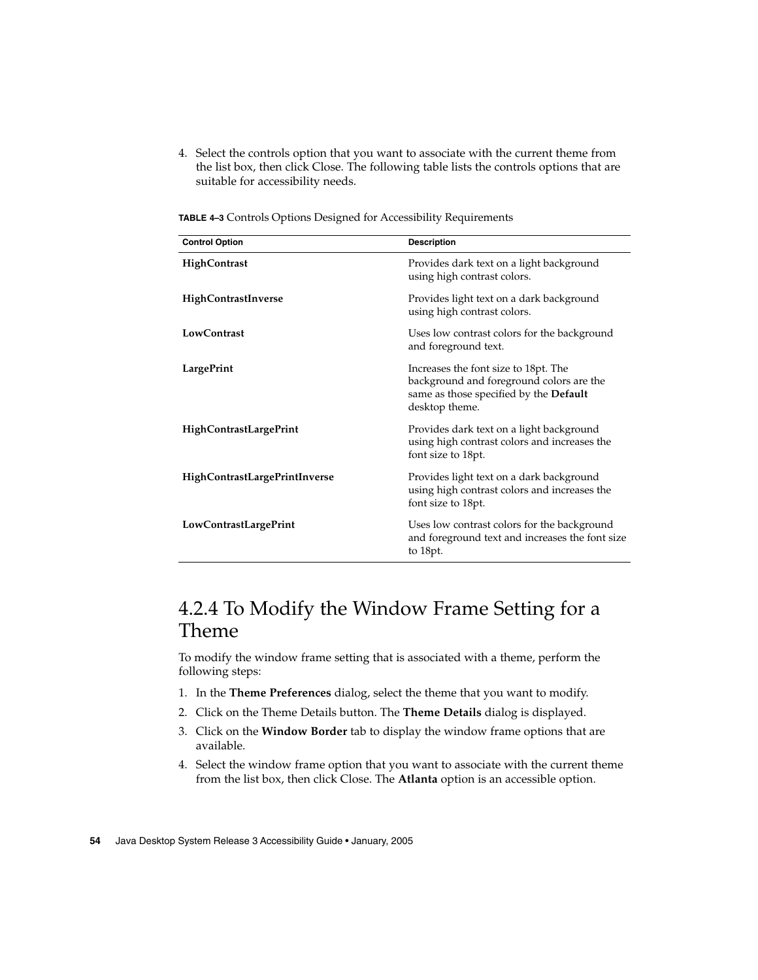4. Select the controls option that you want to associate with the current theme from the list box, then click Close. The following table lists the controls options that are suitable for accessibility needs.

**TABLE 4–3** Controls Options Designed for Accessibility Requirements

| <b>Control Option</b>         | <b>Description</b>                                                                                                                                  |
|-------------------------------|-----------------------------------------------------------------------------------------------------------------------------------------------------|
| <b>HighContrast</b>           | Provides dark text on a light background<br>using high contrast colors.                                                                             |
| HighContrastInverse           | Provides light text on a dark background<br>using high contrast colors.                                                                             |
| <b>LowContrast</b>            | Uses low contrast colors for the background<br>and foreground text.                                                                                 |
| <b>LargePrint</b>             | Increases the font size to 18pt. The<br>background and foreground colors are the<br>same as those specified by the <b>Default</b><br>desktop theme. |
| HighContrastLargePrint        | Provides dark text on a light background<br>using high contrast colors and increases the<br>font size to 18pt.                                      |
| HighContrastLargePrintInverse | Provides light text on a dark background<br>using high contrast colors and increases the<br>font size to 18pt.                                      |
| LowContrastLargePrint         | Uses low contrast colors for the background<br>and foreground text and increases the font size<br>to 18pt.                                          |

#### 4.2.4 To Modify the Window Frame Setting for a Theme

To modify the window frame setting that is associated with a theme, perform the following steps:

- 1. In the **Theme Preferences** dialog, select the theme that you want to modify.
- 2. Click on the Theme Details button. The **Theme Details** dialog is displayed.
- 3. Click on the **Window Border** tab to display the window frame options that are available.
- 4. Select the window frame option that you want to associate with the current theme from the list box, then click Close. The **Atlanta** option is an accessible option.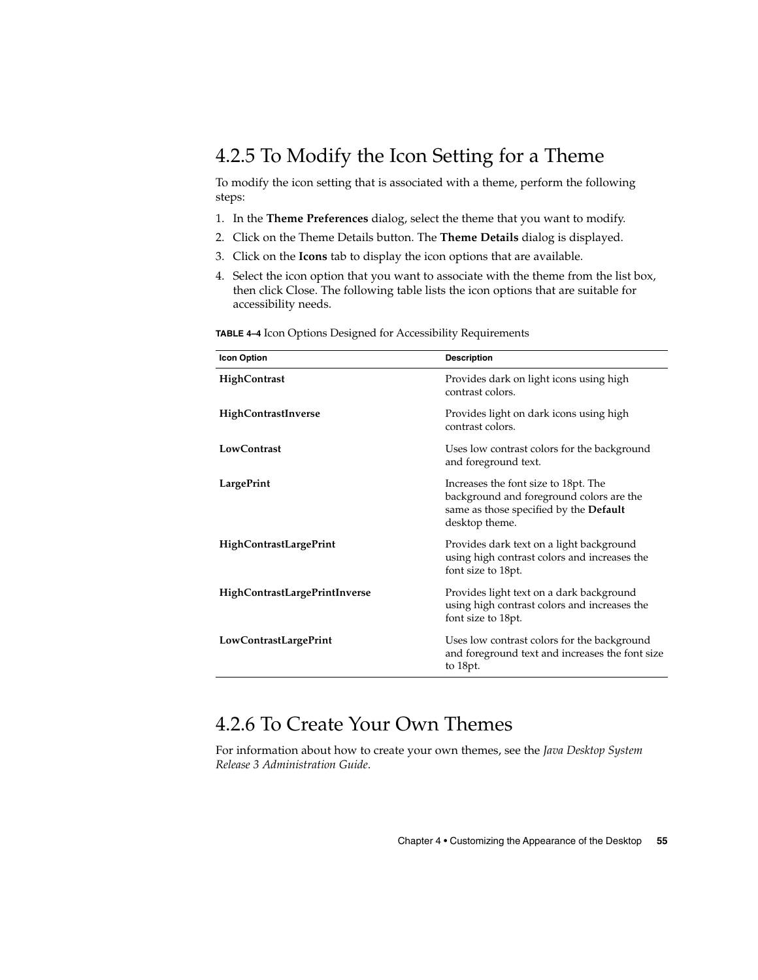#### 4.2.5 To Modify the Icon Setting for a Theme

To modify the icon setting that is associated with a theme, perform the following steps:

- 1. In the **Theme Preferences** dialog, select the theme that you want to modify.
- 2. Click on the Theme Details button. The **Theme Details** dialog is displayed.
- 3. Click on the **Icons** tab to display the icon options that are available.
- 4. Select the icon option that you want to associate with the theme from the list box, then click Close. The following table lists the icon options that are suitable for accessibility needs.

**TABLE 4–4** Icon Options Designed for Accessibility Requirements

| <b>Icon Option</b>            | <b>Description</b>                                                                                                                           |
|-------------------------------|----------------------------------------------------------------------------------------------------------------------------------------------|
| <b>HighContrast</b>           | Provides dark on light icons using high<br>contrast colors.                                                                                  |
| <b>HighContrastInverse</b>    | Provides light on dark icons using high<br>contrast colors.                                                                                  |
| <b>LowContrast</b>            | Uses low contrast colors for the background<br>and foreground text.                                                                          |
| <b>LargePrint</b>             | Increases the font size to 18pt. The<br>background and foreground colors are the<br>same as those specified by the Default<br>desktop theme. |
| <b>HighContrastLargePrint</b> | Provides dark text on a light background<br>using high contrast colors and increases the<br>font size to 18pt.                               |
| HighContrastLargePrintInverse | Provides light text on a dark background<br>using high contrast colors and increases the<br>font size to 18pt.                               |
| LowContrastLargePrint         | Uses low contrast colors for the background<br>and foreground text and increases the font size<br>to 18pt.                                   |

#### 4.2.6 To Create Your Own Themes

For information about how to create your own themes, see the *Java Desktop System Release 3 Administration Guide*.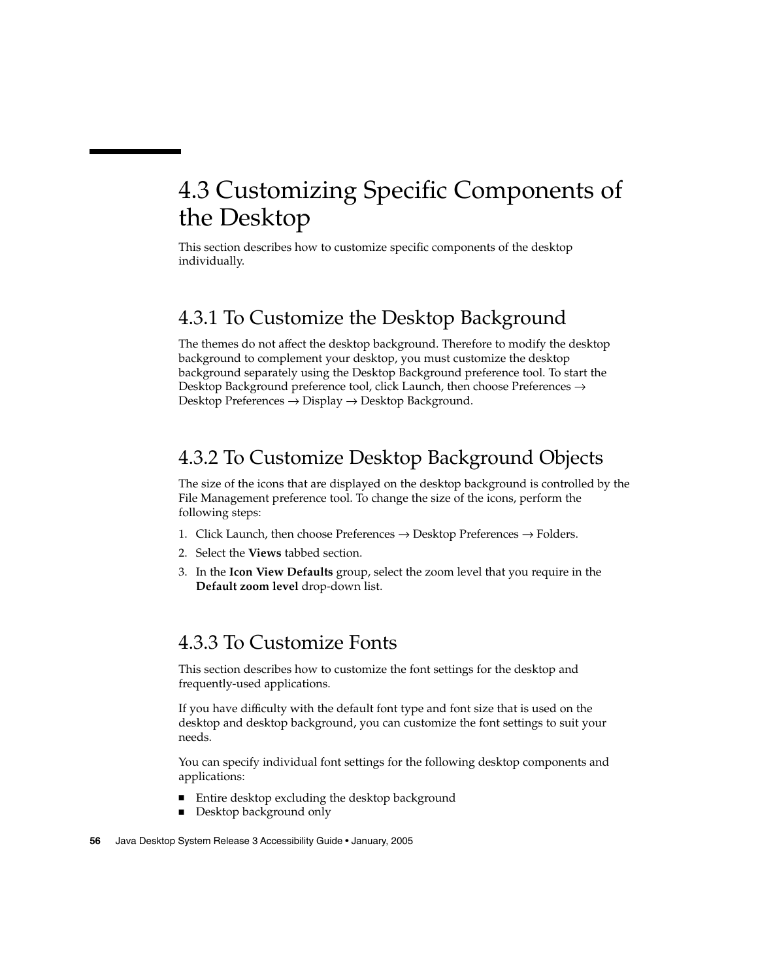# <span id="page-55-0"></span>4.3 Customizing Specific Components of the Desktop

This section describes how to customize specific components of the desktop individually.

#### 4.3.1 To Customize the Desktop Background

The themes do not affect the desktop background. Therefore to modify the desktop background to complement your desktop, you must customize the desktop background separately using the Desktop Background preference tool. To start the Desktop Background preference tool, click Launch, then choose Preferences → Desktop Preferences → Display → Desktop Background.

### 4.3.2 To Customize Desktop Background Objects

The size of the icons that are displayed on the desktop background is controlled by the File Management preference tool. To change the size of the icons, perform the following steps:

- 1. Click Launch, then choose Preferences  $\rightarrow$  Desktop Preferences  $\rightarrow$  Folders.
- 2. Select the **Views** tabbed section.
- 3. In the **Icon View Defaults** group, select the zoom level that you require in the **Default zoom level** drop-down list.

#### 4.3.3 To Customize Fonts

This section describes how to customize the font settings for the desktop and frequently-used applications.

If you have difficulty with the default font type and font size that is used on the desktop and desktop background, you can customize the font settings to suit your needs.

You can specify individual font settings for the following desktop components and applications:

- Entire desktop excluding the desktop background
- Desktop background only
- **56** Java Desktop System Release 3 Accessibility Guide January, 2005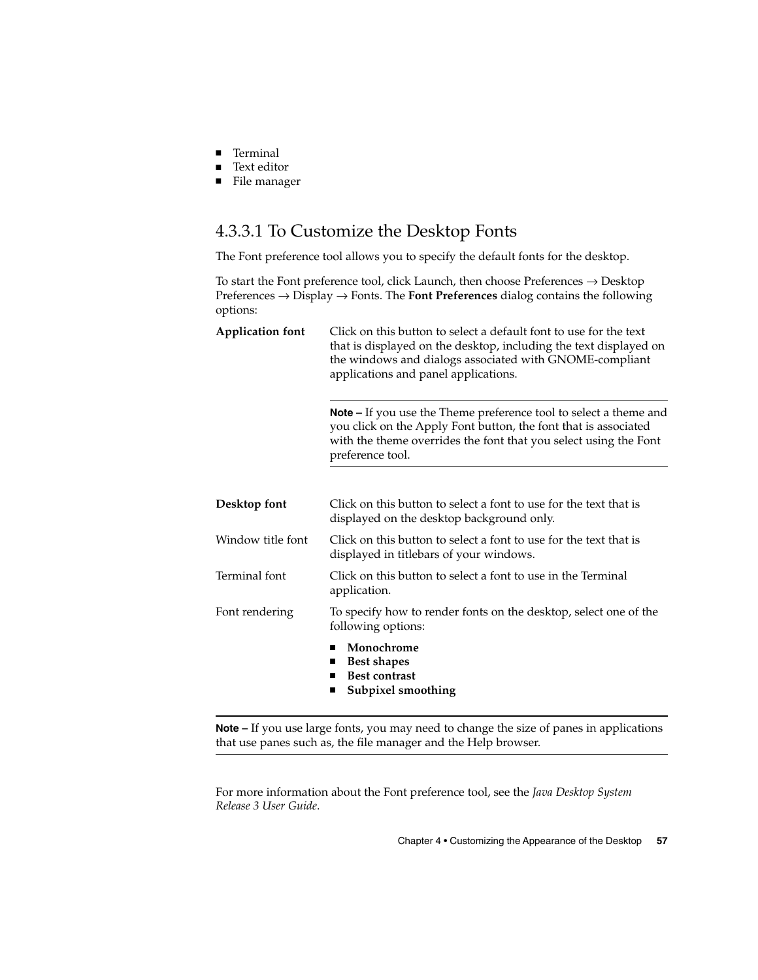- Terminal
- Text editor
- File manager

#### 4.3.3.1 To Customize the Desktop Fonts

The Font preference tool allows you to specify the default fonts for the desktop.

To start the Font preference tool, click Launch, then choose Preferences  $\rightarrow$  Desktop Preferences → Display → Fonts. The **Font Preferences** dialog contains the following options:

| <b>Application font</b> | Click on this button to select a default font to use for the text<br>that is displayed on the desktop, including the text displayed on<br>the windows and dialogs associated with GNOME-compliant<br>applications and panel applications. |  |  |
|-------------------------|-------------------------------------------------------------------------------------------------------------------------------------------------------------------------------------------------------------------------------------------|--|--|
|                         | <b>Note –</b> If you use the Theme preference tool to select a theme and<br>you click on the Apply Font button, the font that is associated<br>with the theme overrides the font that you select using the Font<br>preference tool.       |  |  |
|                         |                                                                                                                                                                                                                                           |  |  |
| Desktop font            | Click on this button to select a font to use for the text that is<br>displayed on the desktop background only.                                                                                                                            |  |  |
| Window title font       | Click on this button to select a font to use for the text that is<br>displayed in titlebars of your windows.                                                                                                                              |  |  |
| Terminal font           | Click on this button to select a font to use in the Terminal<br>application.                                                                                                                                                              |  |  |
| Font rendering          | To specify how to render fonts on the desktop, select one of the<br>following options:                                                                                                                                                    |  |  |
|                         | Monochrome<br><b>Best shapes</b><br><b>Best contrast</b><br>■<br>Subpixel smoothing                                                                                                                                                       |  |  |

**Note –** If you use large fonts, you may need to change the size of panes in applications that use panes such as, the file manager and the Help browser.

For more information about the Font preference tool, see the *Java Desktop System Release 3 User Guide*.

Chapter 4 • Customizing the Appearance of the Desktop **57**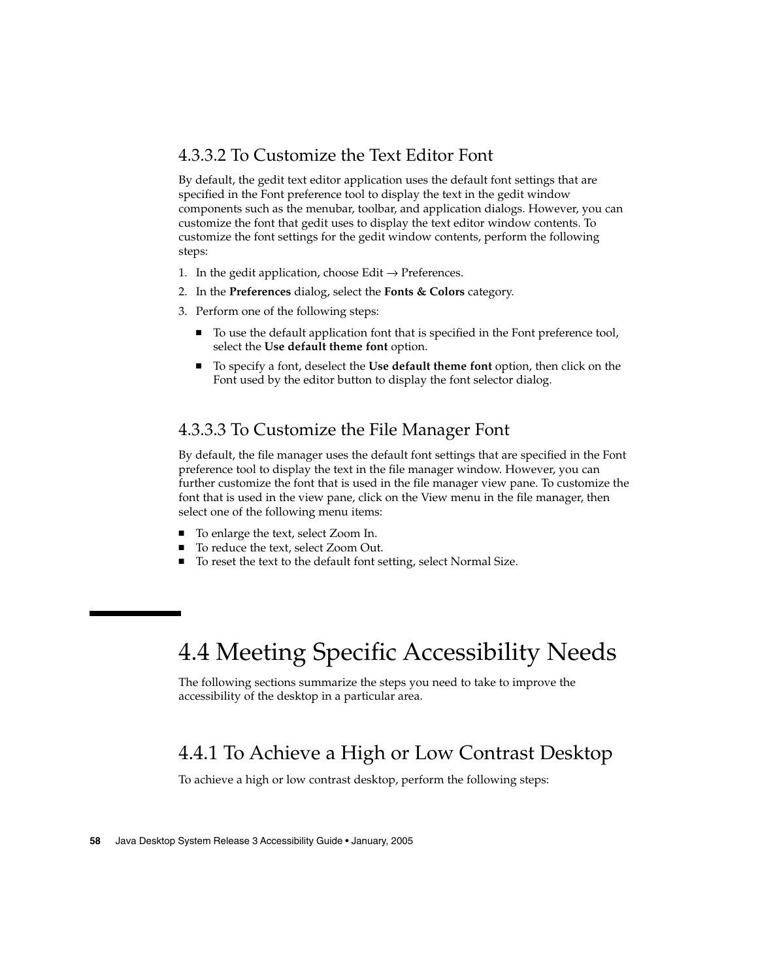#### <span id="page-57-0"></span>4.3.3.2 To Customize the Text Editor Font

By default, the gedit text editor application uses the default font settings that are specified in the Font preference tool to display the text in the gedit window components such as the menubar, toolbar, and application dialogs. However, you can customize the font that gedit uses to display the text editor window contents. To customize the font settings for the gedit window contents, perform the following steps:

- 1. In the gedit application, choose Edit  $\rightarrow$  Preferences.
- 2. In the **Preferences** dialog, select the **Fonts & Colors** category.
- 3. Perform one of the following steps:
	- To use the default application font that is specified in the Font preference tool, select the **Use default theme font** option.
	- To specify a font, deselect the Use default theme font option, then click on the Font used by the editor button to display the font selector dialog.

#### 4.3.3.3 To Customize the File Manager Font

By default, the file manager uses the default font settings that are specified in the Font preference tool to display the text in the file manager window. However, you can further customize the font that is used in the file manager view pane. To customize the font that is used in the view pane, click on the View menu in the file manager, then select one of the following menu items:

- To enlarge the text, select Zoom In.
- To reduce the text, select Zoom Out.
- To reset the text to the default font setting, select Normal Size.

# 4.4 Meeting Specific Accessibility Needs

The following sections summarize the steps you need to take to improve the accessibility of the desktop in a particular area.

#### 4.4.1 To Achieve a High or Low Contrast Desktop

To achieve a high or low contrast desktop, perform the following steps: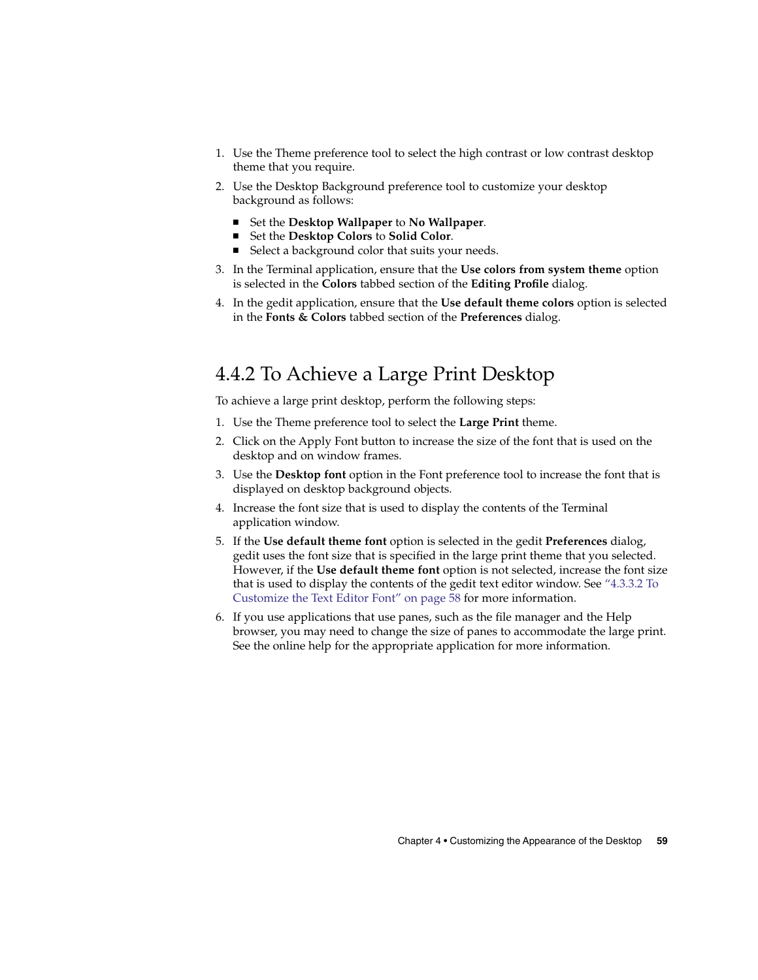- 1. Use the Theme preference tool to select the high contrast or low contrast desktop theme that you require.
- 2. Use the Desktop Background preference tool to customize your desktop background as follows:
	- Set the **Desktop Wallpaper** to **No Wallpaper**.
	- Set the **Desktop Colors** to **Solid Color**.
	- Select a background color that suits your needs.
- 3. In the Terminal application, ensure that the **Use colors from system theme** option is selected in the **Colors** tabbed section of the **Editing Profile** dialog.
- 4. In the gedit application, ensure that the **Use default theme colors** option is selected in the **Fonts & Colors** tabbed section of the **Preferences** dialog.

#### 4.4.2 To Achieve a Large Print Desktop

To achieve a large print desktop, perform the following steps:

- 1. Use the Theme preference tool to select the **Large Print** theme.
- 2. Click on the Apply Font button to increase the size of the font that is used on the desktop and on window frames.
- 3. Use the **Desktop font** option in the Font preference tool to increase the font that is displayed on desktop background objects.
- 4. Increase the font size that is used to display the contents of the Terminal application window.
- 5. If the **Use default theme font** option is selected in the gedit **Preferences** dialog, gedit uses the font size that is specified in the large print theme that you selected. However, if the **Use default theme font** option is not selected, increase the font size that is used to display the contents of the gedit text editor window. See ["4.3.3.2 To](#page-57-0) [Customize the Text Editor Font"](#page-57-0) on page 58 for more information.
- 6. If you use applications that use panes, such as the file manager and the Help browser, you may need to change the size of panes to accommodate the large print. See the online help for the appropriate application for more information.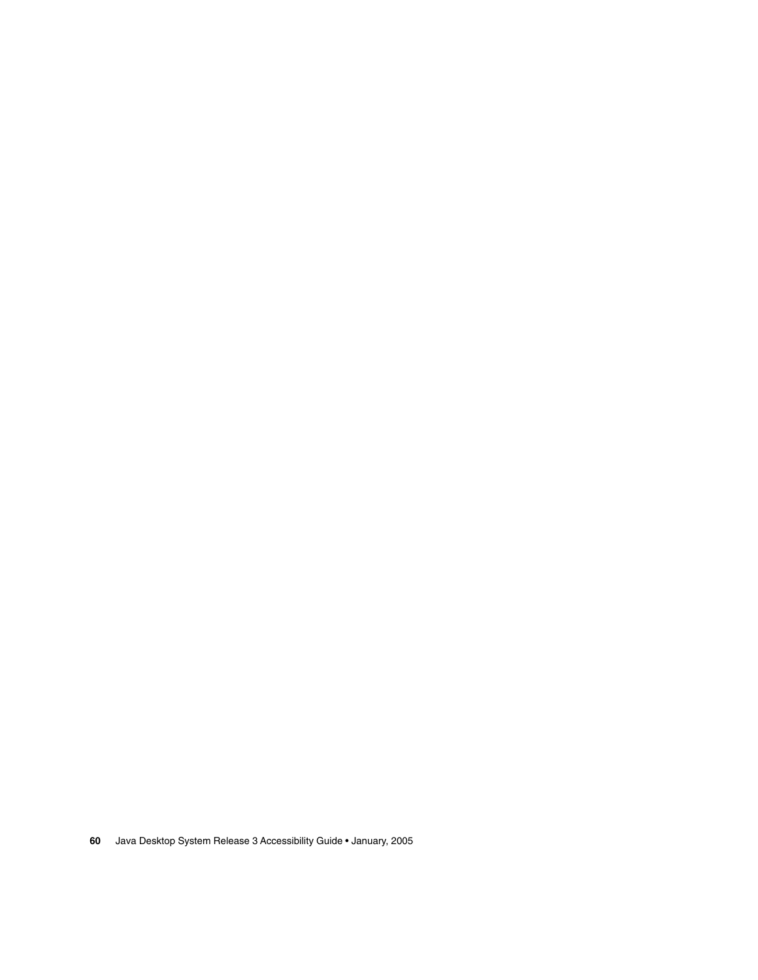Java Desktop System Release 3 Accessibility Guide • January, 2005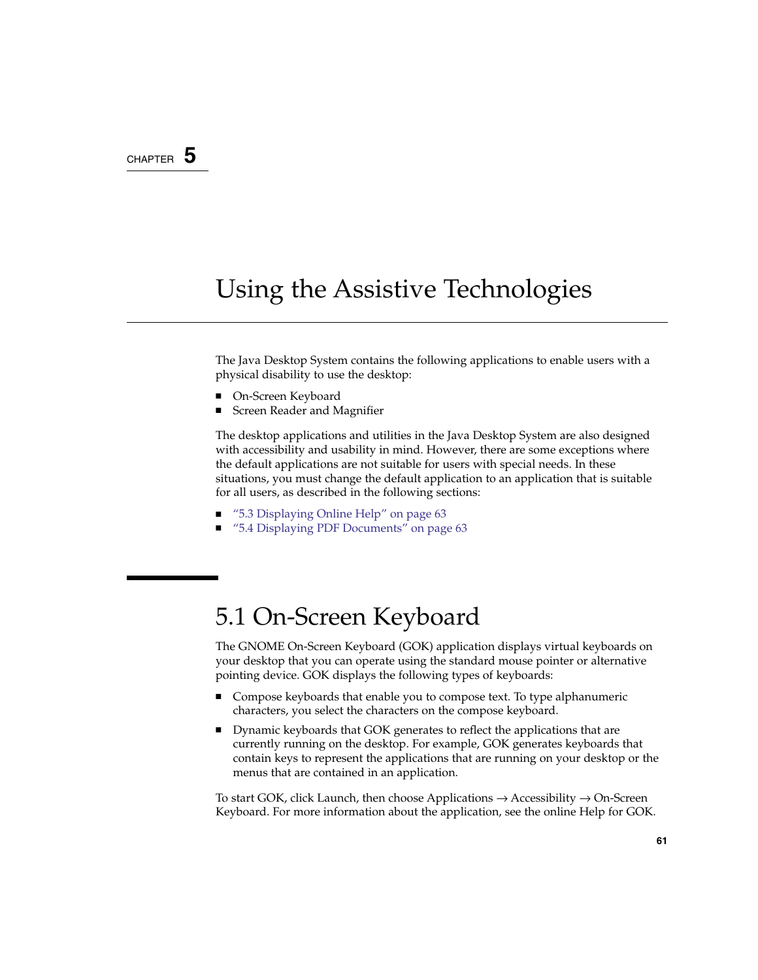#### CHAPTER **5**

### Using the Assistive Technologies

The Java Desktop System contains the following applications to enable users with a physical disability to use the desktop:

- On-Screen Keyboard
- Screen Reader and Magnifier

The desktop applications and utilities in the Java Desktop System are also designed with accessibility and usability in mind. However, there are some exceptions where the default applications are not suitable for users with special needs. In these situations, you must change the default application to an application that is suitable for all users, as described in the following sections:

- ["5.3 Displaying Online Help"](#page-62-0) on page 63
- ["5.4 Displaying PDF Documents"](#page-62-0) on page 63

# 5.1 On-Screen Keyboard

The GNOME On-Screen Keyboard (GOK) application displays virtual keyboards on your desktop that you can operate using the standard mouse pointer or alternative pointing device. GOK displays the following types of keyboards:

- Compose keyboards that enable you to compose text. To type alphanumeric characters, you select the characters on the compose keyboard.
- Dynamic keyboards that GOK generates to reflect the applications that are currently running on the desktop. For example, GOK generates keyboards that contain keys to represent the applications that are running on your desktop or the menus that are contained in an application.

To start GOK, click Launch, then choose Applications  $\rightarrow$  Accessibility  $\rightarrow$  On-Screen Keyboard. For more information about the application, see the online Help for GOK.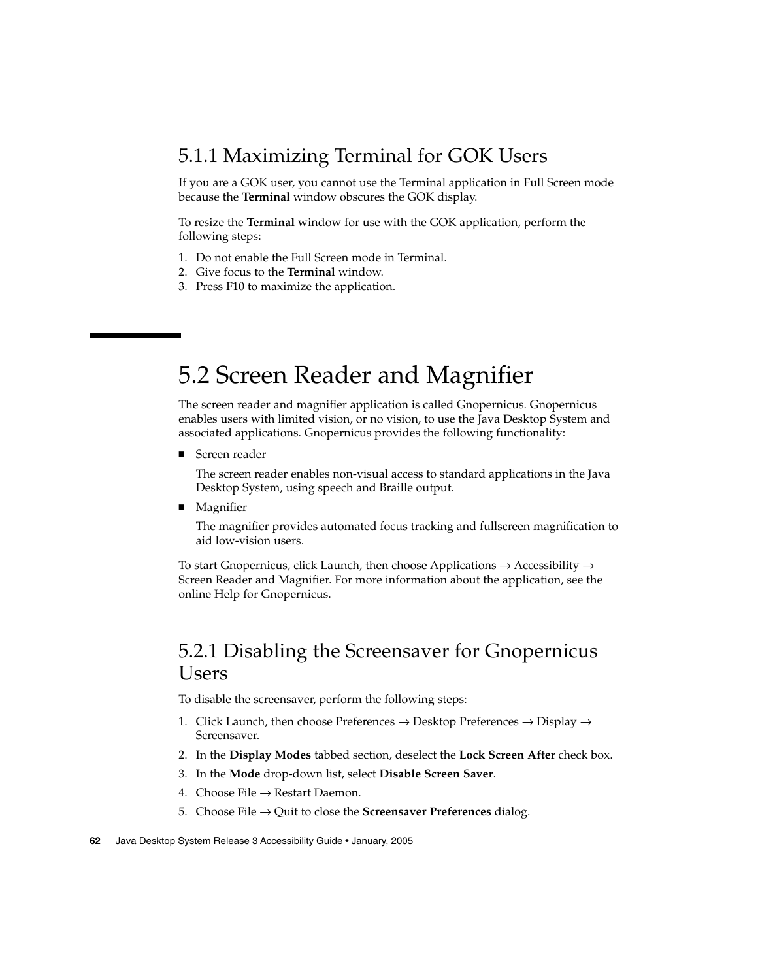#### 5.1.1 Maximizing Terminal for GOK Users

If you are a GOK user, you cannot use the Terminal application in Full Screen mode because the **Terminal** window obscures the GOK display.

To resize the **Terminal** window for use with the GOK application, perform the following steps:

- 1. Do not enable the Full Screen mode in Terminal.
- 2. Give focus to the **Terminal** window.
- 3. Press F10 to maximize the application.

### 5.2 Screen Reader and Magnifier

The screen reader and magnifier application is called Gnopernicus. Gnopernicus enables users with limited vision, or no vision, to use the Java Desktop System and associated applications. Gnopernicus provides the following functionality:

■ Screen reader

The screen reader enables non-visual access to standard applications in the Java Desktop System, using speech and Braille output.

■ Magnifier

The magnifier provides automated focus tracking and fullscreen magnification to aid low-vision users.

To start Gnopernicus, click Launch, then choose Applications  $\rightarrow$  Accessibility  $\rightarrow$ Screen Reader and Magnifier. For more information about the application, see the online Help for Gnopernicus.

#### 5.2.1 Disabling the Screensaver for Gnopernicus Users

To disable the screensaver, perform the following steps:

- 1. Click Launch, then choose Preferences  $\rightarrow$  Desktop Preferences  $\rightarrow$  Display  $\rightarrow$ Screensaver.
- 2. In the **Display Modes** tabbed section, deselect the **Lock Screen After** check box.
- 3. In the **Mode** drop-down list, select **Disable Screen Saver**.
- 4. Choose File  $\rightarrow$  Restart Daemon.
- 5. Choose File → Quit to close the **Screensaver Preferences** dialog.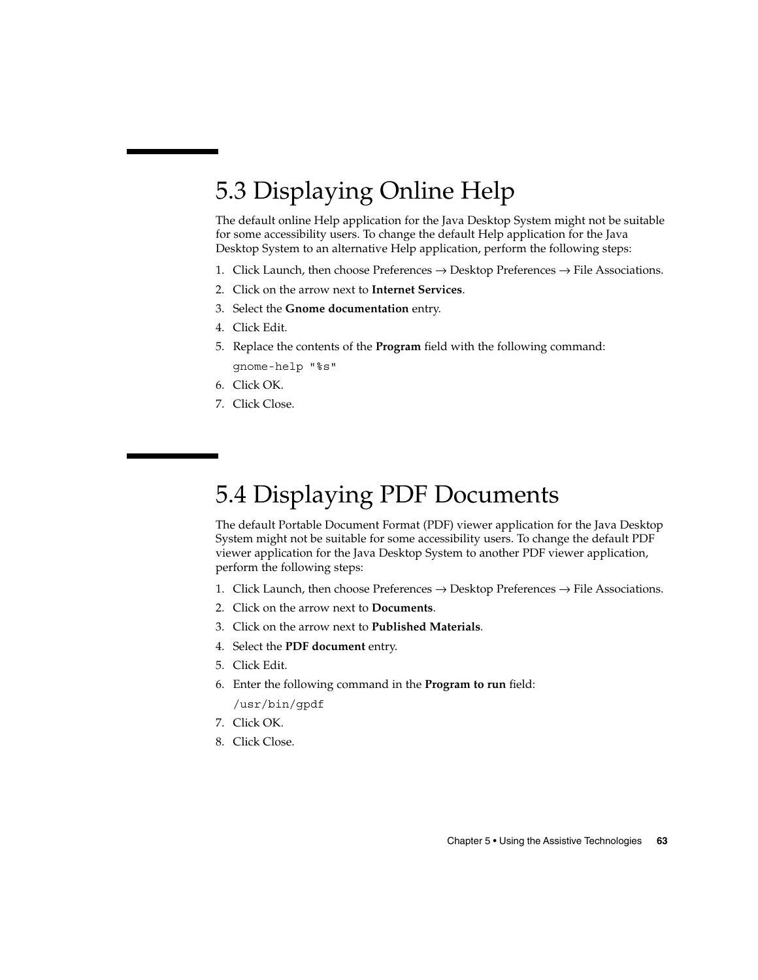# <span id="page-62-0"></span>5.3 Displaying Online Help

The default online Help application for the Java Desktop System might not be suitable for some accessibility users. To change the default Help application for the Java Desktop System to an alternative Help application, perform the following steps:

- 1. Click Launch, then choose Preferences  $\rightarrow$  Desktop Preferences  $\rightarrow$  File Associations.
- 2. Click on the arrow next to **Internet Services**.
- 3. Select the **Gnome documentation** entry.
- 4. Click Edit.
- 5. Replace the contents of the **Program** field with the following command: gnome-help "%s"
- 6. Click OK.
- 7. Click Close.

# 5.4 Displaying PDF Documents

The default Portable Document Format (PDF) viewer application for the Java Desktop System might not be suitable for some accessibility users. To change the default PDF viewer application for the Java Desktop System to another PDF viewer application, perform the following steps:

- 1. Click Launch, then choose Preferences  $\rightarrow$  Desktop Preferences  $\rightarrow$  File Associations.
- 2. Click on the arrow next to **Documents**.
- 3. Click on the arrow next to **Published Materials**.
- 4. Select the **PDF document** entry.
- 5. Click Edit.
- 6. Enter the following command in the **Program to run** field: /usr/bin/gpdf
- 7. Click OK.
- 8. Click Close.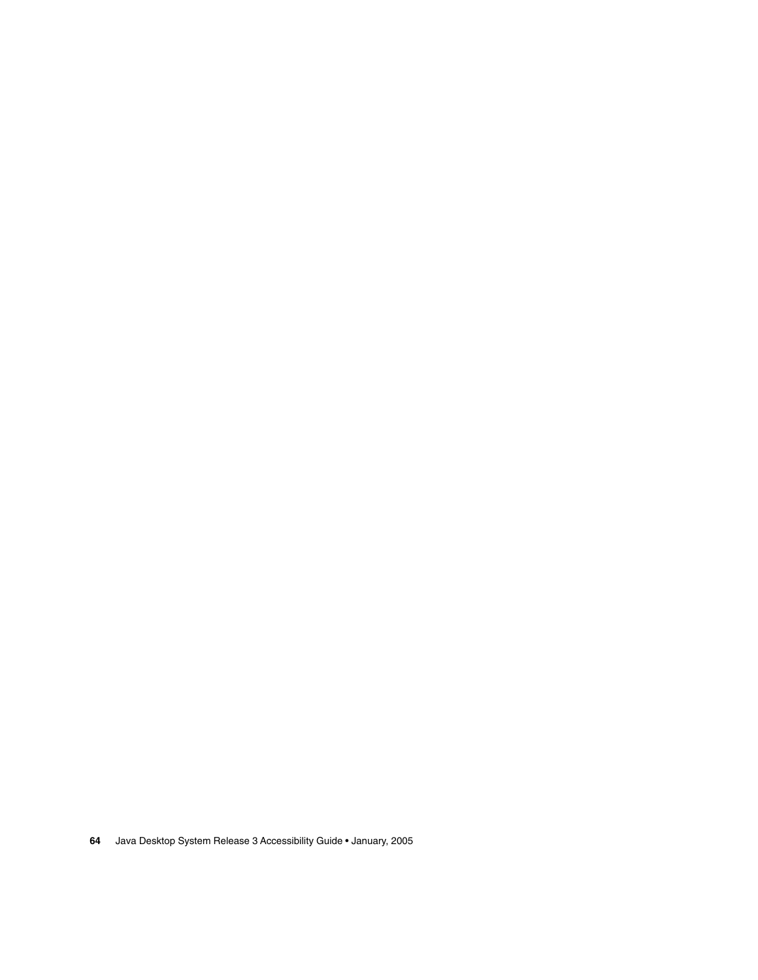Java Desktop System Release 3 Accessibility Guide • January, 2005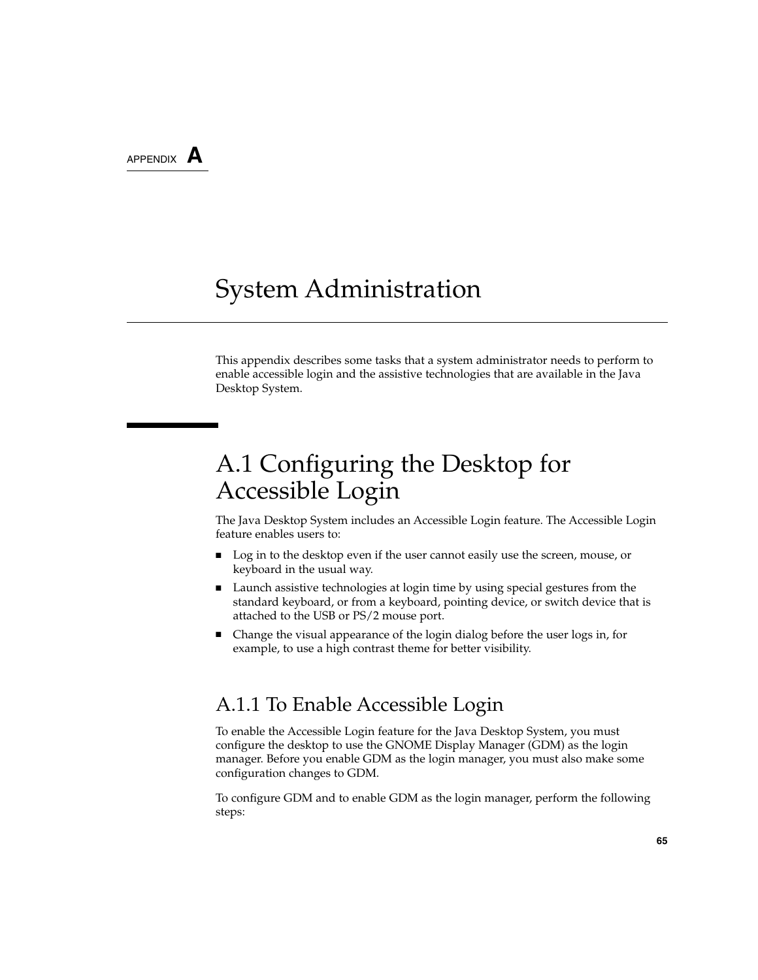APPENDIX **A**

## System Administration

This appendix describes some tasks that a system administrator needs to perform to enable accessible login and the assistive technologies that are available in the Java Desktop System.

# A.1 Configuring the Desktop for Accessible Login

The Java Desktop System includes an Accessible Login feature. The Accessible Login feature enables users to:

- Log in to the desktop even if the user cannot easily use the screen, mouse, or keyboard in the usual way.
- Launch assistive technologies at login time by using special gestures from the standard keyboard, or from a keyboard, pointing device, or switch device that is attached to the USB or PS/2 mouse port.
- Change the visual appearance of the login dialog before the user logs in, for example, to use a high contrast theme for better visibility.

#### A.1.1 To Enable Accessible Login

To enable the Accessible Login feature for the Java Desktop System, you must configure the desktop to use the GNOME Display Manager (GDM) as the login manager. Before you enable GDM as the login manager, you must also make some configuration changes to GDM.

To configure GDM and to enable GDM as the login manager, perform the following steps: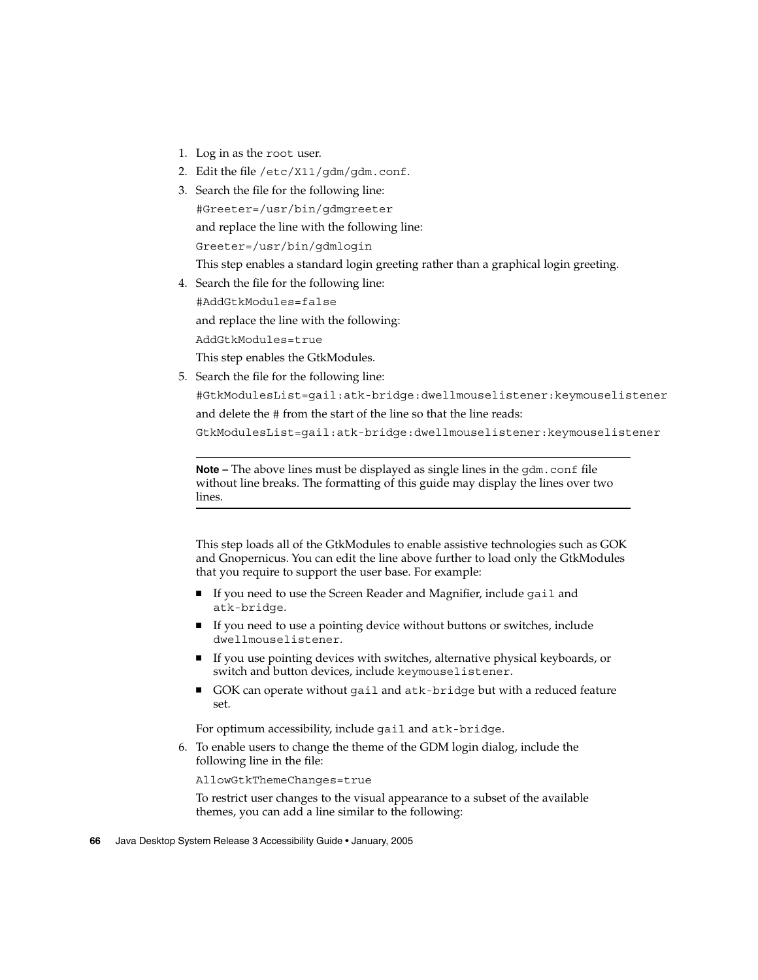- 1. Log in as the root user.
- 2. Edit the file /etc/X11/gdm/gdm.conf.
- 3. Search the file for the following line: #Greeter=/usr/bin/gdmgreeter and replace the line with the following line: Greeter=/usr/bin/gdmlogin This step enables a standard login greeting rather than a graphical login greeting.
- 4. Search the file for the following line: #AddGtkModules=false and replace the line with the following: AddGtkModules=true This step enables the GtkModules.
- 5. Search the file for the following line:

#GtkModulesList=gail:atk-bridge:dwellmouselistener:keymouselistener and delete the # from the start of the line so that the line reads:

GtkModulesList=gail:atk-bridge:dwellmouselistener:keymouselistener

**Note** – The above lines must be displayed as single lines in the gdm.conf file without line breaks. The formatting of this guide may display the lines over two lines.

This step loads all of the GtkModules to enable assistive technologies such as GOK and Gnopernicus. You can edit the line above further to load only the GtkModules that you require to support the user base. For example:

- If you need to use the Screen Reader and Magnifier, include gail and atk-bridge.
- If you need to use a pointing device without buttons or switches, include dwellmouselistener.
- If you use pointing devices with switches, alternative physical keyboards, or switch and button devices, include keymouselistener.
- GOK can operate without gail and atk-bridge but with a reduced feature set.

For optimum accessibility, include gail and atk-bridge.

6. To enable users to change the theme of the GDM login dialog, include the following line in the file:

AllowGtkThemeChanges=true

To restrict user changes to the visual appearance to a subset of the available themes, you can add a line similar to the following:

**66** Java Desktop System Release 3 Accessibility Guide • January, 2005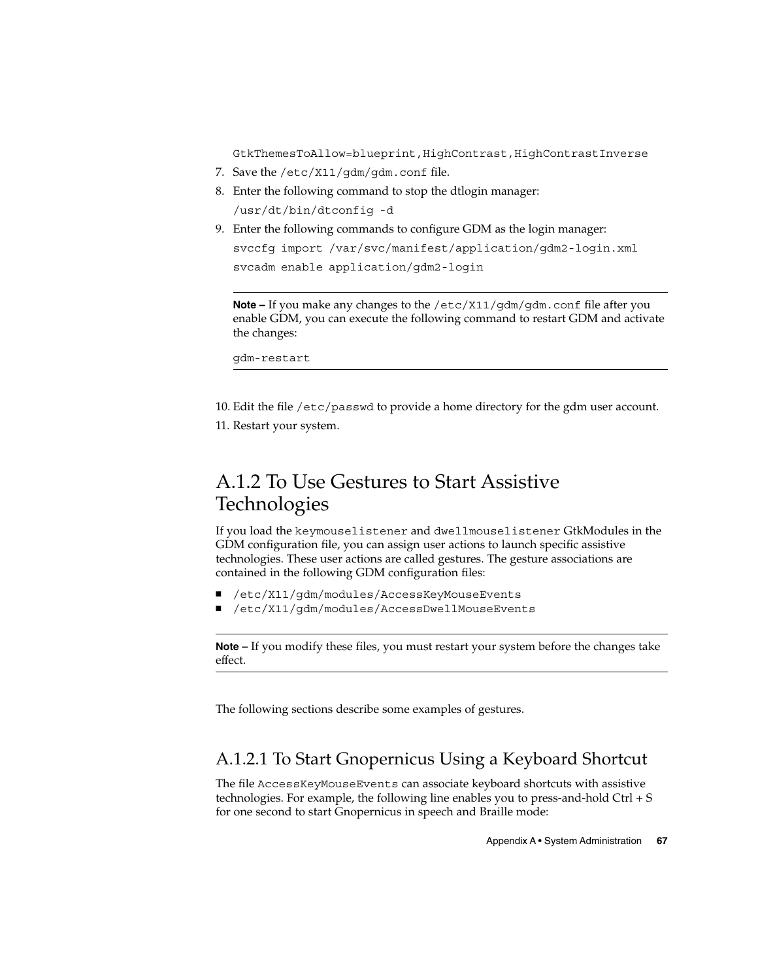GtkThemesToAllow=blueprint,HighContrast,HighContrastInverse

- 7. Save the /etc/X11/gdm/gdm.conf file.
- 8. Enter the following command to stop the dtlogin manager: /usr/dt/bin/dtconfig -d
- 9. Enter the following commands to configure GDM as the login manager: svccfg import /var/svc/manifest/application/gdm2-login.xml svcadm enable application/gdm2-login

**Note –** If you make any changes to the /etc/X11/gdm/gdm.conf file after you enable GDM, you can execute the following command to restart GDM and activate the changes:

gdm-restart

10. Edit the file /etc/passwd to provide a home directory for the gdm user account.

11. Restart your system.

### A.1.2 To Use Gestures to Start Assistive **Technologies**

If you load the keymouselistener and dwellmouselistener GtkModules in the GDM configuration file, you can assign user actions to launch specific assistive technologies. These user actions are called gestures. The gesture associations are contained in the following GDM configuration files:

- /etc/X11/gdm/modules/AccessKeyMouseEvents
- /etc/X11/gdm/modules/AccessDwellMouseEvents

**Note –** If you modify these files, you must restart your system before the changes take effect.

The following sections describe some examples of gestures.

#### A.1.2.1 To Start Gnopernicus Using a Keyboard Shortcut

The file AccessKeyMouseEvents can associate keyboard shortcuts with assistive technologies. For example, the following line enables you to press-and-hold Ctrl + S for one second to start Gnopernicus in speech and Braille mode: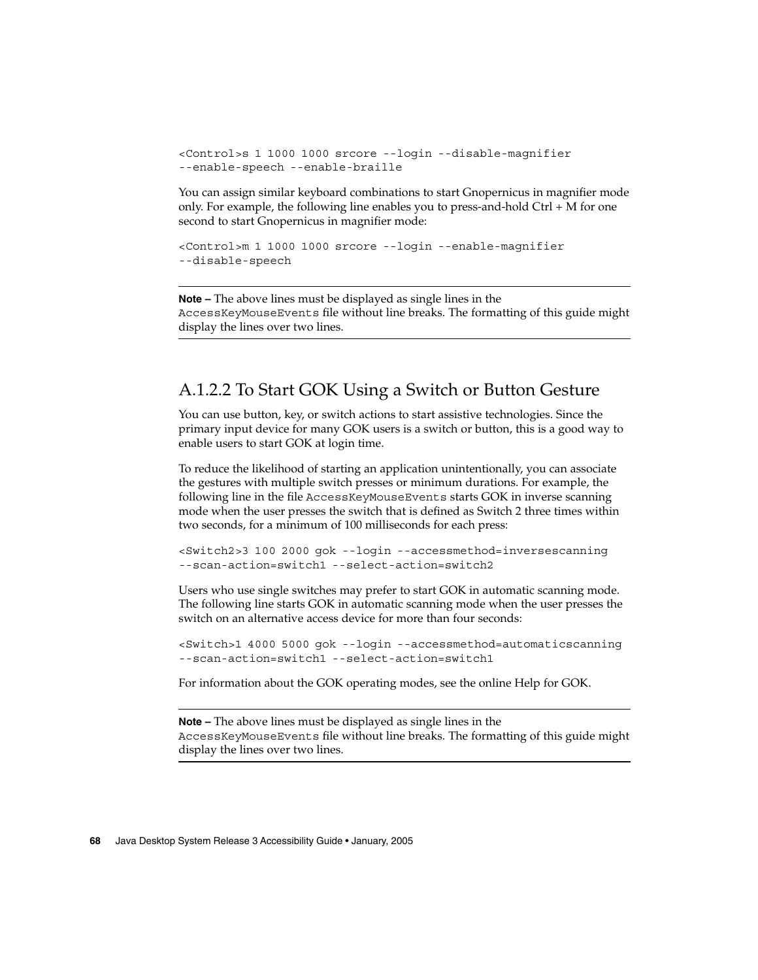```
<Control>s 1 1000 1000 srcore --login --disable-magnifier
--enable-speech --enable-braille
```
You can assign similar keyboard combinations to start Gnopernicus in magnifier mode only. For example, the following line enables you to press-and-hold Ctrl + M for one second to start Gnopernicus in magnifier mode:

```
<Control>m 1 1000 1000 srcore --login --enable-magnifier
--disable-speech
```
**Note –** The above lines must be displayed as single lines in the AccessKeyMouseEvents file without line breaks. The formatting of this guide might display the lines over two lines.

#### A.1.2.2 To Start GOK Using a Switch or Button Gesture

You can use button, key, or switch actions to start assistive technologies. Since the primary input device for many GOK users is a switch or button, this is a good way to enable users to start GOK at login time.

To reduce the likelihood of starting an application unintentionally, you can associate the gestures with multiple switch presses or minimum durations. For example, the following line in the file AccessKeyMouseEvents starts GOK in inverse scanning mode when the user presses the switch that is defined as Switch 2 three times within two seconds, for a minimum of 100 milliseconds for each press:

```
<Switch2>3 100 2000 gok --login --accessmethod=inversescanning
--scan-action=switch1 --select-action=switch2
```
Users who use single switches may prefer to start GOK in automatic scanning mode. The following line starts GOK in automatic scanning mode when the user presses the switch on an alternative access device for more than four seconds:

<Switch>1 4000 5000 gok --login --accessmethod=automaticscanning --scan-action=switch1 --select-action=switch1

For information about the GOK operating modes, see the online Help for GOK.

**Note –** The above lines must be displayed as single lines in the AccessKeyMouseEvents file without line breaks. The formatting of this guide might display the lines over two lines.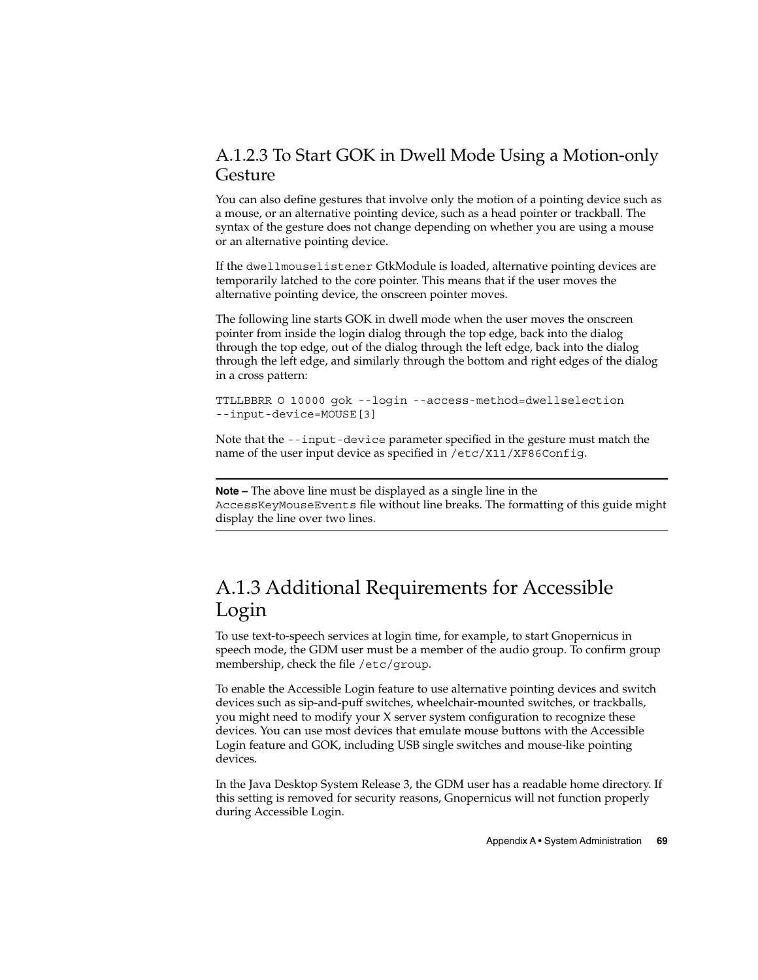#### A.1.2.3 To Start GOK in Dwell Mode Using a Motion-only Gesture

You can also define gestures that involve only the motion of a pointing device such as a mouse, or an alternative pointing device, such as a head pointer or trackball. The syntax of the gesture does not change depending on whether you are using a mouse or an alternative pointing device.

If the dwellmouselistener GtkModule is loaded, alternative pointing devices are temporarily latched to the core pointer. This means that if the user moves the alternative pointing device, the onscreen pointer moves.

The following line starts GOK in dwell mode when the user moves the onscreen pointer from inside the login dialog through the top edge, back into the dialog through the top edge, out of the dialog through the left edge, back into the dialog through the left edge, and similarly through the bottom and right edges of the dialog in a cross pattern:

```
TTLLBBRR O 10000 gok --login --access-method=dwellselection
--input-device=MOUSE[3]
```
Note that the --input-device parameter specified in the gesture must match the name of the user input device as specified in /etc/X11/XF86Config.

**Note –** The above line must be displayed as a single line in the AccessKeyMouseEvents file without line breaks. The formatting of this guide might display the line over two lines.

### A.1.3 Additional Requirements for Accessible Login

To use text-to-speech services at login time, for example, to start Gnopernicus in speech mode, the GDM user must be a member of the audio group. To confirm group membership, check the file /etc/group.

To enable the Accessible Login feature to use alternative pointing devices and switch devices such as sip-and-puff switches, wheelchair-mounted switches, or trackballs, you might need to modify your X server system configuration to recognize these devices. You can use most devices that emulate mouse buttons with the Accessible Login feature and GOK, including USB single switches and mouse-like pointing devices.

In the Java Desktop System Release 3, the GDM user has a readable home directory. If this setting is removed for security reasons, Gnopernicus will not function properly during Accessible Login.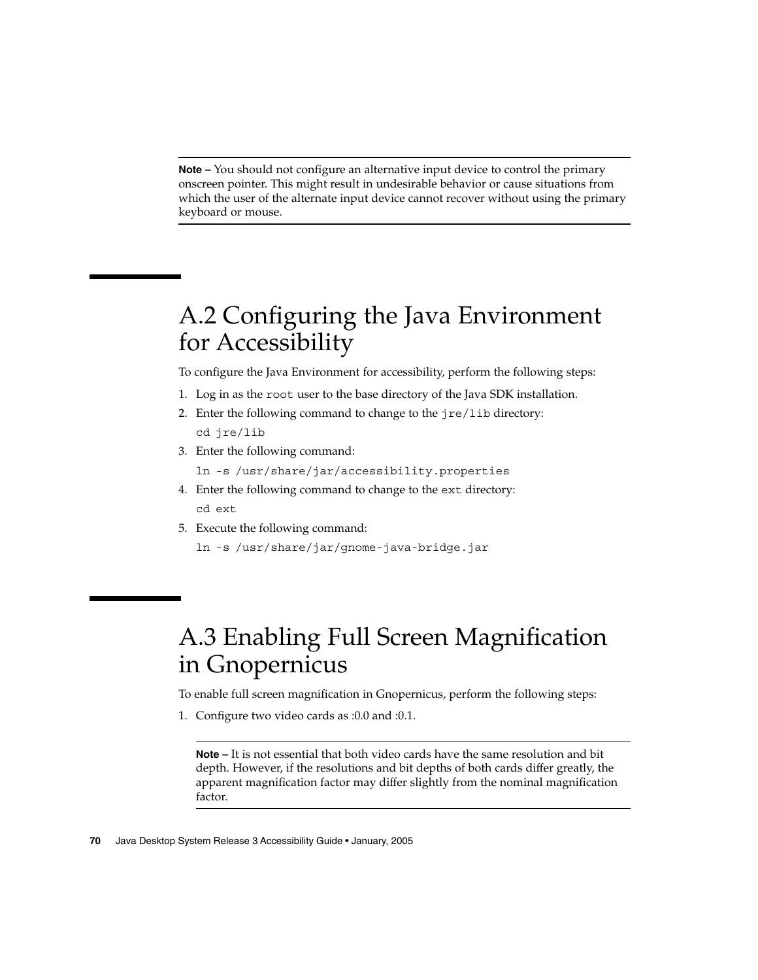**Note –** You should not configure an alternative input device to control the primary onscreen pointer. This might result in undesirable behavior or cause situations from which the user of the alternate input device cannot recover without using the primary keyboard or mouse.

# A.2 Configuring the Java Environment for Accessibility

To configure the Java Environment for accessibility, perform the following steps:

- 1. Log in as the root user to the base directory of the Java SDK installation.
- 2. Enter the following command to change to the  $jre/lib$  directory: cd jre/lib
- 3. Enter the following command: ln -s /usr/share/jar/accessibility.properties
- 4. Enter the following command to change to the ext directory: cd ext
- 5. Execute the following command:
	- ln -s /usr/share/jar/gnome-java-bridge.jar

# A.3 Enabling Full Screen Magnification in Gnopernicus

To enable full screen magnification in Gnopernicus, perform the following steps:

1. Configure two video cards as :0.0 and :0.1.

**Note –** It is not essential that both video cards have the same resolution and bit depth. However, if the resolutions and bit depths of both cards differ greatly, the apparent magnification factor may differ slightly from the nominal magnification factor.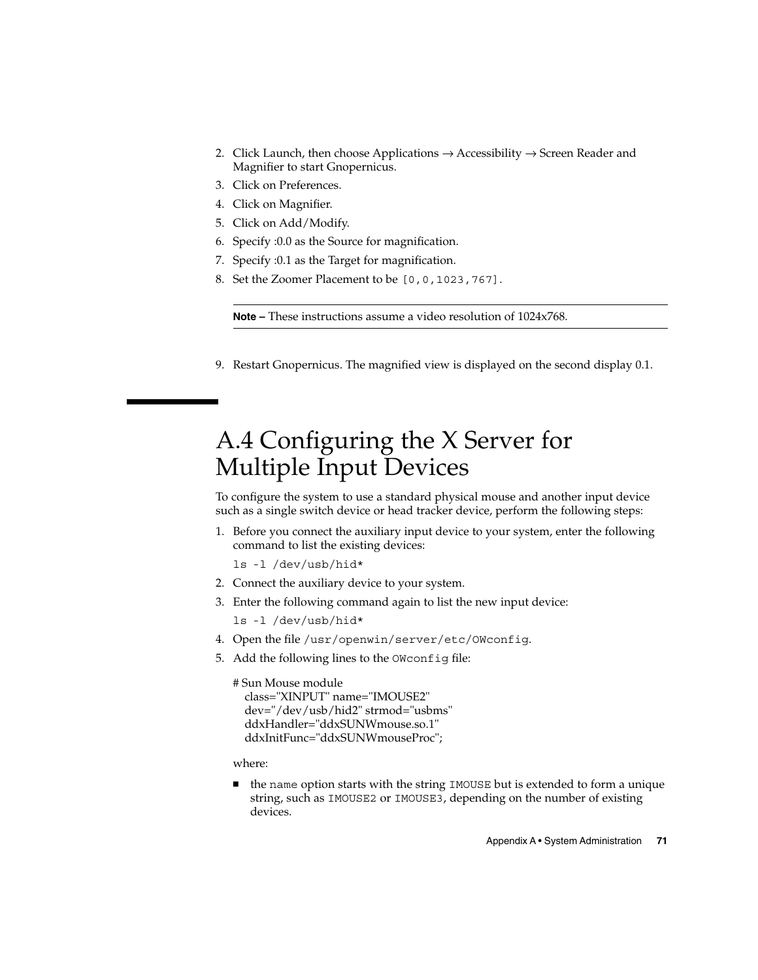- 2. Click Launch, then choose Applications  $\rightarrow$  Accessibility  $\rightarrow$  Screen Reader and Magnifier to start Gnopernicus.
- 3. Click on Preferences.
- 4. Click on Magnifier.
- 5. Click on Add/Modify.
- 6. Specify :0.0 as the Source for magnification.
- 7. Specify :0.1 as the Target for magnification.
- 8. Set the Zoomer Placement to be [0,0,1023,767].

**Note –** These instructions assume a video resolution of 1024x768.

9. Restart Gnopernicus. The magnified view is displayed on the second display 0.1.

## A.4 Configuring the X Server for Multiple Input Devices

To configure the system to use a standard physical mouse and another input device such as a single switch device or head tracker device, perform the following steps:

1. Before you connect the auxiliary input device to your system, enter the following command to list the existing devices:

ls -l /dev/usb/hid\*

- 2. Connect the auxiliary device to your system.
- 3. Enter the following command again to list the new input device:

ls -l /dev/usb/hid\*

- 4. Open the file /usr/openwin/server/etc/OWconfig.
- 5. Add the following lines to the OWconfig file:

```
# Sun Mouse module
 class="XINPUT" name="IMOUSE2"
 dev="/dev/usb/hid2" strmod="usbms"
 ddxHandler="ddxSUNWmouse.so.1"
 ddxInitFunc="ddxSUNWmouseProc";
```
where:

■ the name option starts with the string IMOUSE but is extended to form a unique string, such as IMOUSE2 or IMOUSE3, depending on the number of existing devices.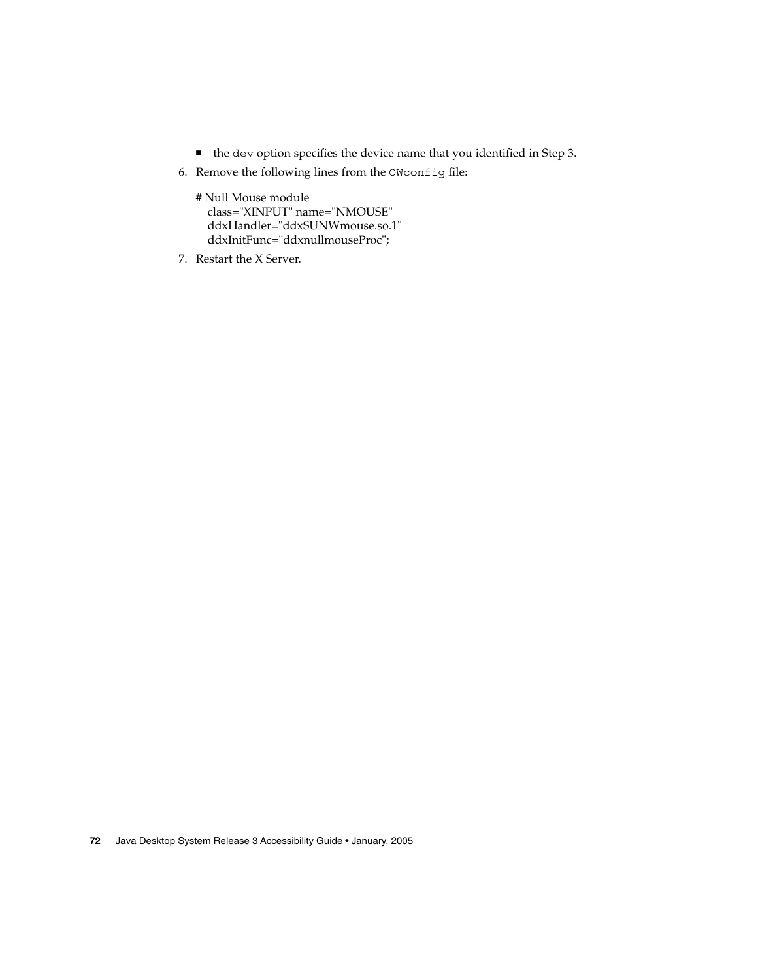- the dev option specifies the device name that you identified in Step 3.
- 6. Remove the following lines from the OWconfig file:

# Null Mouse module class="XINPUT" name="NMOUSE" ddxHandler="ddxSUNWmouse.so.1" ddxInitFunc="ddxnullmouseProc";

7. Restart the X Server.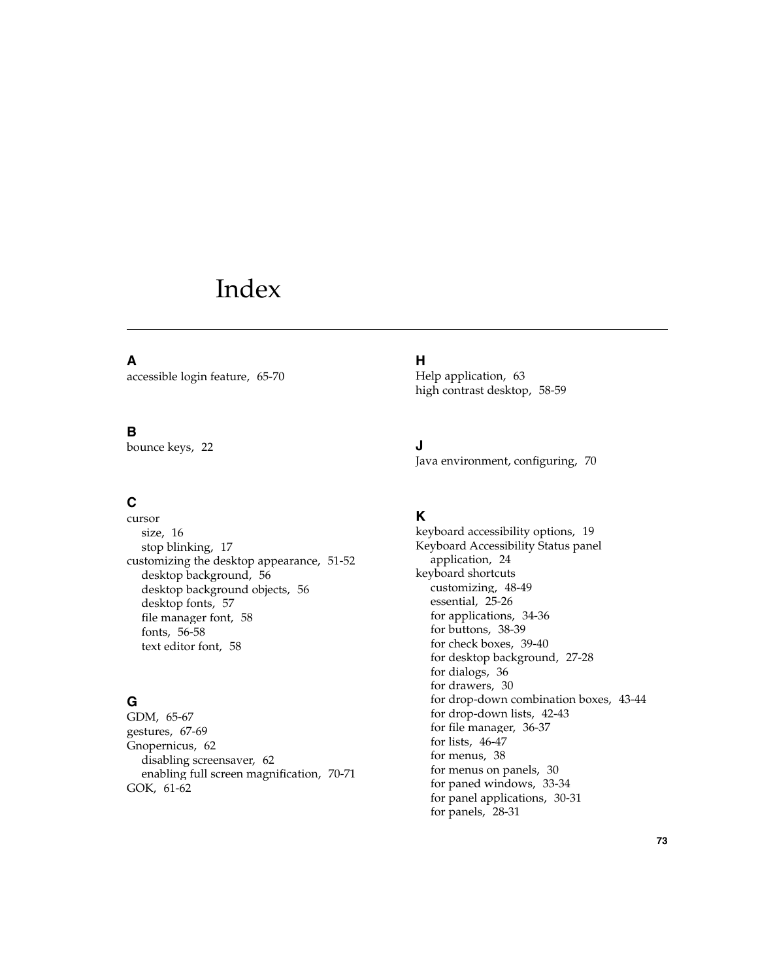# Index

## **A**

accessible login feature, [65-70](#page-64-0)

## **B**

bounce keys, [22](#page-21-0)

## **C**

cursor size, [16](#page-15-0) stop blinking, [17](#page-16-0) customizing the desktop appearance, [51-52](#page-50-0) desktop background, [56](#page-55-0) desktop background objects, [56](#page-55-0) desktop fonts, [57](#page-56-0) file manager font, [58](#page-57-0) fonts, [56-58](#page-55-0) text editor font, [58](#page-57-0)

## **G**

GDM, [65-67](#page-64-0) gestures, [67-69](#page-66-0) Gnopernicus, [62](#page-61-0) disabling screensaver, [62](#page-61-0) enabling full screen magnification, [70-71](#page-69-0) GOK, [61-62](#page-60-0)

## **H**

Help application, [63](#page-62-0) high contrast desktop, [58-59](#page-57-0)

## **J**

Java environment, configuring, [70](#page-69-0)

#### **K**

keyboard accessibility options, [19](#page-18-0) Keyboard Accessibility Status panel application, [24](#page-23-0) keyboard shortcuts customizing, [48-49](#page-47-0) essential, [25-26](#page-24-0) for applications, [34-36](#page-33-0) for buttons, [38-39](#page-37-0) for check boxes, [39-40](#page-38-0) for desktop background, [27-28](#page-26-0) for dialogs, [36](#page-35-0) for drawers, [30](#page-29-0) for drop-down combination boxes, [43-44](#page-42-0) for drop-down lists, [42-43](#page-41-0) for file manager, [36-37](#page-35-0) for lists, [46-47](#page-45-0) for menus, [38](#page-37-0) for menus on panels, [30](#page-29-0) for paned windows, [33-34](#page-32-0) for panel applications, [30-31](#page-29-0) for panels, [28-31](#page-27-0)